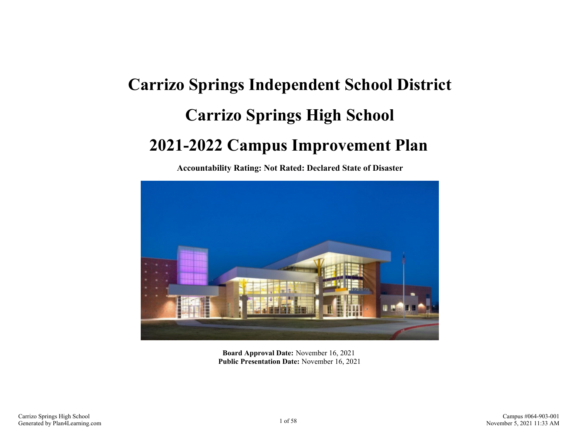# **Carrizo Springs Independent School District Carrizo Springs High School 2021-2022 Campus Improvement Plan**

**Accountability Rating: Not Rated: Declared State of Disaster**



**Board Approval Date:** November 16, 2021 **Public Presentation Date:** November 16, 2021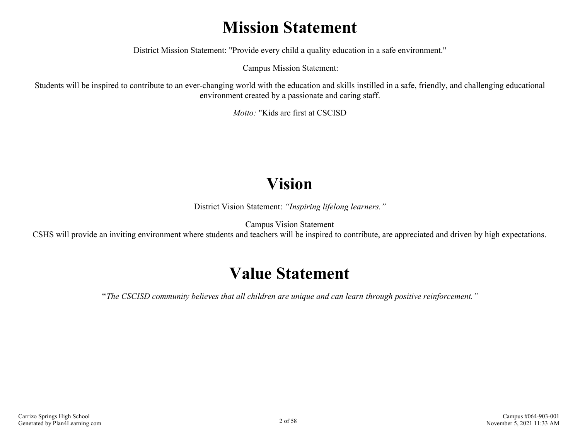## **Mission Statement**

District Mission Statement: "Provide every child a quality education in a safe environment."

Campus Mission Statement:

Students will be inspired to contribute to an ever-changing world with the education and skills instilled in a safe, friendly, and challenging educational environment created by a passionate and caring staff.

*Motto:* "Kids are first at CSCISD

## **Vision**

District Vision Statement: *"Inspiring lifelong learners."*

Campus Vision Statement

CSHS will provide an inviting environment where students and teachers will be inspired to contribute, are appreciated and driven by high expectations.

## **Value Statement**

"*The CSCISD community believes that all children are unique and can learn through positive reinforcement."*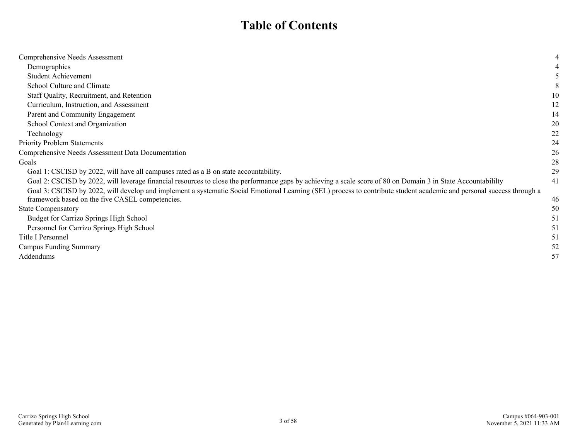## **Table of Contents**

| Comprehensive Needs Assessment                                                                                                                                        |    |
|-----------------------------------------------------------------------------------------------------------------------------------------------------------------------|----|
| Demographics                                                                                                                                                          |    |
| <b>Student Achievement</b>                                                                                                                                            |    |
| School Culture and Climate                                                                                                                                            |    |
| Staff Quality, Recruitment, and Retention                                                                                                                             | 10 |
| Curriculum, Instruction, and Assessment                                                                                                                               | 12 |
| Parent and Community Engagement                                                                                                                                       | 14 |
| School Context and Organization                                                                                                                                       | 20 |
| Technology                                                                                                                                                            | 22 |
| <b>Priority Problem Statements</b>                                                                                                                                    | 24 |
| Comprehensive Needs Assessment Data Documentation                                                                                                                     | 26 |
| Goals                                                                                                                                                                 | 28 |
| Goal 1: CSCISD by 2022, will have all campuses rated as a B on state accountability.                                                                                  | 29 |
| Goal 2: CSCISD by 2022, will leverage financial resources to close the performance gaps by achieving a scale score of 80 on Domain 3 in State Accountabilily          | 41 |
| Goal 3: CSCISD by 2022, will develop and implement a systematic Social Emotional Learning (SEL) process to contribute student academic and personal success through a |    |
| framework based on the five CASEL competencies.                                                                                                                       | 46 |
| <b>State Compensatory</b>                                                                                                                                             | 50 |
| Budget for Carrizo Springs High School                                                                                                                                | 51 |
| Personnel for Carrizo Springs High School                                                                                                                             | 51 |
| Title I Personnel                                                                                                                                                     | 51 |
| <b>Campus Funding Summary</b>                                                                                                                                         | 52 |
| Addendums                                                                                                                                                             | 57 |
|                                                                                                                                                                       |    |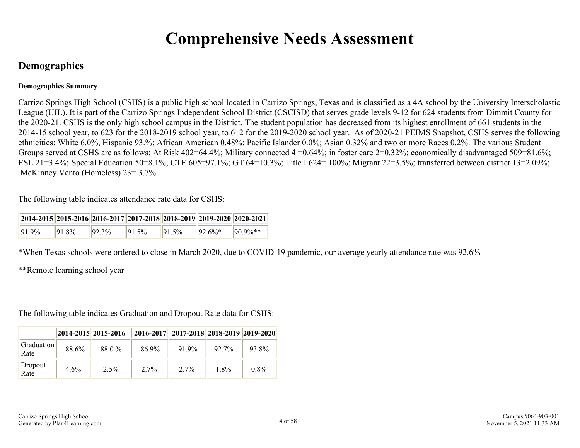## **Comprehensive Needs Assessment**

### <span id="page-3-0"></span>**Demographics**

#### **Demographics Summary**

Carrizo Springs High School (CSHS) is a public high school located in Carrizo Springs, Texas and is classified as a 4A school by the University Interscholastic League (UIL). It is part of the Carrizo Springs Independent School District (CSCISD) that serves grade levels 9-12 for 624 students from Dimmit County for the 2020-21. CSHS is the only high school campus in the District. The student population has decreased from its highest enrollment of 661 students in the 2014-15 school year, to 623 for the 2018-2019 school year, to 612 for the 2019-2020 school year. As of 2020-21 PEIMS Snapshot, CSHS serves the following ethnicities: White 6.0%, Hispanic 93.%; African American 0.48%; Pacific Islander 0.0%; Asian 0.32% and two or more Races 0.2%. The various Student Groups served at CSHS are as follows: At Risk 402=64.4%; Military connected 4 = 0.64%; in foster care 2=0.32%; economically disadvantaged 509=81.6%; ESL 21=3.4%; Special Education 50=8.1%; CTE 605=97.1%; GT 64=10.3%; Title I 624= 100%; Migrant 22=3.5%; transferred between district 13=2.09%; McKinney Vento (Homeless) 23= 3.7%.

The following table indicates attendance rate data for CSHS:

| $2014-2015$ 2015-2016 2016-2017 2017-2018 2018-2019 2019-2020 2020-2021 |           |           |           |           |           |              |
|-------------------------------------------------------------------------|-----------|-----------|-----------|-----------|-----------|--------------|
| $191.9\%$                                                               | $191.8\%$ | $192.3\%$ | $191.5\%$ | $191.5\%$ | $92.6\%*$ | $ 90.9\%** $ |

\*When Texas schools were ordered to close in March 2020, due to COVID-19 pandemic, our average yearly attendance rate was 92.6%

\*\*Remote learning school year

The following table indicates Graduation and Dropout Rate data for CSHS:

|                    | $ 2014 - 2015   2015 - 2016 $ |       | $\vert$ 2016-2017 $\vert$ 2017-2018 2018-2019 2019-2020 |         |       |       |
|--------------------|-------------------------------|-------|---------------------------------------------------------|---------|-------|-------|
| Graduation<br>Rate | 88.6%                         | 88.0% | 86.9%                                                   | 91.9%   | 92.7% | 93.8% |
| Dropout<br>Rate    | 4.6%                          | 2.5%  | $2.7\%$                                                 | $2.7\%$ | 1.8%  | 0.8%  |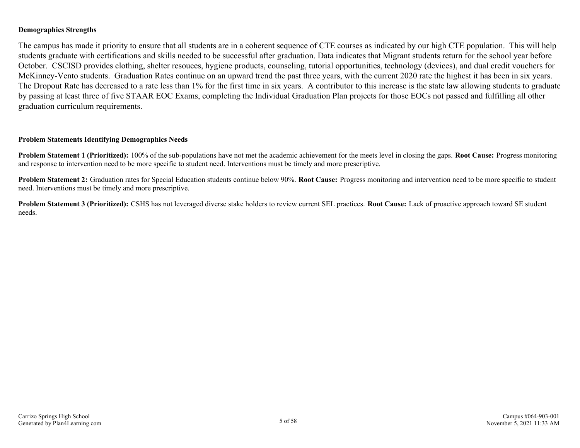#### **Demographics Strengths**

The campus has made it priority to ensure that all students are in a coherent sequence of CTE courses as indicated by our high CTE population. This will help students graduate with certifications and skills needed to be successful after graduation. Data indicates that Migrant students return for the school year before October. CSCISD provides clothing, shelter resouces, hygiene products, counseling, tutorial opportunities, technology (devices), and dual credit vouchers for McKinney-Vento students. Graduation Rates continue on an upward trend the past three years, with the current 2020 rate the highest it has been in six years. The Dropout Rate has decreased to a rate less than 1% for the first time in six years. A contributor to this increase is the state law allowing students to graduate by passing at least three of five STAAR EOC Exams, completing the Individual Graduation Plan projects for those EOCs not passed and fulfilling all other graduation curriculum requirements.

#### **Problem Statements Identifying Demographics Needs**

**Problem Statement 1 (Prioritized):** 100% of the sub-populations have not met the academic achievement for the meets level in closing the gaps. **Root Cause:** Progress monitoring and response to intervention need to be more specific to student need. Interventions must be timely and more prescriptive.

**Problem Statement 2:** Graduation rates for Special Education students continue below 90%. **Root Cause:** Progress monitoring and intervention need to be more specific to student need. Interventions must be timely and more prescriptive.

**Problem Statement 3 (Prioritized):** CSHS has not leveraged diverse stake holders to review current SEL practices. **Root Cause:** Lack of proactive approach toward SE student needs.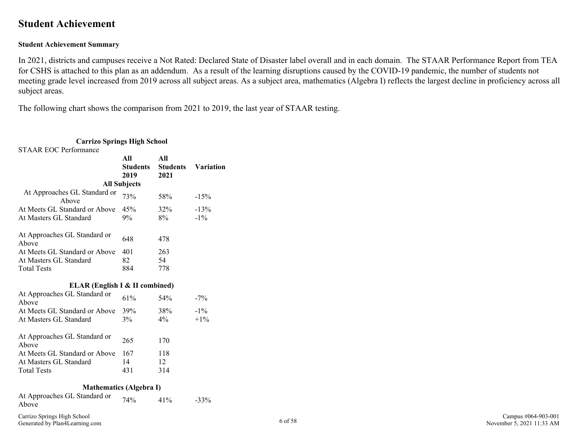### <span id="page-5-0"></span>**Student Achievement**

#### **Student Achievement Summary**

In 2021, districts and campuses receive a Not Rated: Declared State of Disaster label overall and in each domain. The STAAR Performance Report from TEA for CSHS is attached to this plan as an addendum. As a result of the learning disruptions caused by the COVID-19 pandemic, the number of students not meeting grade level increased from 2019 across all subject areas. As a subject area, mathematics (Algebra I) reflects the largest decline in proficiency across all subject areas.

The following chart shows the comparison from 2021 to 2019, the last year of STAAR testing.

| <b>Carrizo Springs High School</b>                            |                                |                                |                  |         |
|---------------------------------------------------------------|--------------------------------|--------------------------------|------------------|---------|
| <b>STAAR EOC Performance</b>                                  |                                |                                |                  |         |
|                                                               | All<br><b>Students</b><br>2019 | All<br><b>Students</b><br>2021 | <b>Variation</b> |         |
|                                                               | <b>All Subjects</b>            |                                |                  |         |
| At Approaches GL Standard or<br>Above                         | 73%                            | 58%                            | $-15%$           |         |
| At Meets GL Standard or Above<br>At Masters GL Standard       | 45%<br>9%                      | 32%<br>8%                      | $-13%$<br>$-1\%$ |         |
|                                                               |                                |                                |                  |         |
| At Approaches GL Standard or<br>Above                         | 648                            | 478                            |                  |         |
| At Meets GL Standard or Above                                 | 401                            | 263                            |                  |         |
| At Masters GL Standard                                        | 82                             | 54                             |                  |         |
| <b>Total Tests</b>                                            | 884                            | 778                            |                  |         |
| ELAR (English I & II combined)                                |                                |                                |                  |         |
| At Approaches GL Standard or<br>Above                         | 61%                            | 54%                            | $-7\%$           |         |
| At Meets GL Standard or Above                                 | 39%                            | 38%                            | $-1\%$           |         |
| At Masters GL Standard                                        | 3%                             | $4\%$                          | $+1\%$           |         |
| At Approaches GL Standard or<br>Above                         | 265                            | 170                            |                  |         |
| At Meets GL Standard or Above                                 | 167                            | 118                            |                  |         |
| At Masters GL Standard                                        | 14                             | 12                             |                  |         |
| <b>Total Tests</b>                                            | 431                            | 314                            |                  |         |
| <b>Mathematics (Algebra I)</b>                                |                                |                                |                  |         |
| At Approaches GL Standard or<br>Above                         | 74%                            | 41%                            | $-33%$           |         |
| Carrizo Springs High School<br>Generated by Plan4Learning.com |                                |                                |                  | 6 of 58 |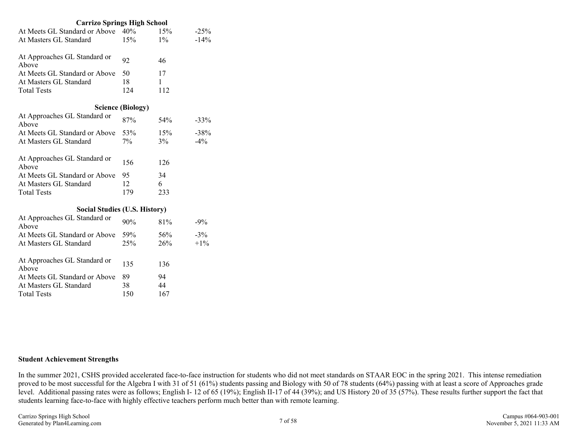| <b>Carrizo Springs High School</b>    |                          |       |         |
|---------------------------------------|--------------------------|-------|---------|
| At Meets GL Standard or Above         | 40%                      | 15%   | $-25%$  |
| At Masters GL Standard                | 15%                      | $1\%$ | $-14%$  |
| At Approaches GL Standard or<br>Above | 92                       | 46    |         |
| At Meets GL Standard or Above         | 50                       | 17    |         |
| At Masters GL Standard                | 18                       | 1     |         |
| <b>Total Tests</b>                    | 124                      | 112   |         |
|                                       | <b>Science (Biology)</b> |       |         |
| At Approaches GL Standard or<br>Above | 87%                      | 54%   | $-33\%$ |
| At Meets GL Standard or Above         | 53%                      | 15%   | $-38%$  |
| At Masters GL Standard                | 7%                       | 3%    | $-4\%$  |
| At Approaches GL Standard or<br>Above | 156                      | 126   |         |
| At Meets GL Standard or Above         | 95                       | 34    |         |
| At Masters GL Standard                | 12                       | 6     |         |
| <b>Total Tests</b>                    | 179                      | 233   |         |
| <b>Social Studies (U.S. History)</b>  |                          |       |         |
| At Approaches GL Standard or<br>Above | 90%                      | 81%   | $-9\%$  |
| At Meets GL Standard or Above         | 59%                      | 56%   | $-3%$   |
| At Masters GL Standard                | 25%                      | 26%   | $+1\%$  |
| At Approaches GL Standard or<br>Above | 135                      | 136   |         |
| At Meets GL Standard or Above         | 89                       | 94    |         |
| At Masters GL Standard                | 38                       | 44    |         |
| <b>Total Tests</b>                    | 150                      | 167   |         |

#### **Student Achievement Strengths**

In the summer 2021, CSHS provided accelerated face-to-face instruction for students who did not meet standards on STAAR EOC in the spring 2021. This intense remediation proved to be most successful for the Algebra I with 31 of 51 (61%) students passing and Biology with 50 of 78 students (64%) passing with at least a score of Approaches grade level. Additional passing rates were as follows; English I- 12 of 65 (19%); English II-17 of 44 (39%); and US History 20 of 35 (57%). These results further support the fact that students learning face-to-face with highly effective teachers perform much better than with remote learning.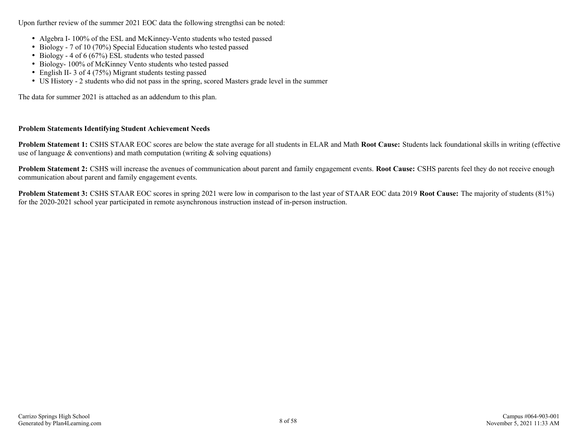Upon further review of the summer 2021 EOC data the following strengthsi can be noted:

- Algebra I- 100% of the ESL and McKinney-Vento students who tested passed
- Biology 7 of 10 (70%) Special Education students who tested passed
- Biology 4 of 6 (67%) ESL students who tested passed
- Biology- 100% of McKinney Vento students who tested passed
- English II- 3 of 4 (75%) Migrant students testing passed
- US History 2 students who did not pass in the spring, scored Masters grade level in the summer

The data for summer 2021 is attached as an addendum to this plan.

#### **Problem Statements Identifying Student Achievement Needs**

**Problem Statement 1:** CSHS STAAR EOC scores are below the state average for all students in ELAR and Math **Root Cause:** Students lack foundational skills in writing (effective use of language  $\&$  conventions) and math computation (writing  $\&$  solving equations)

**Problem Statement 2:** CSHS will increase the avenues of communication about parent and family engagement events. **Root Cause:** CSHS parents feel they do not receive enough communication about parent and family engagement events.

**Problem Statement 3:** CSHS STAAR EOC scores in spring 2021 were low in comparison to the last year of STAAR EOC data 2019 **Root Cause:** The majority of students (81%) for the 2020-2021 school year participated in remote asynchronous instruction instead of in-person instruction.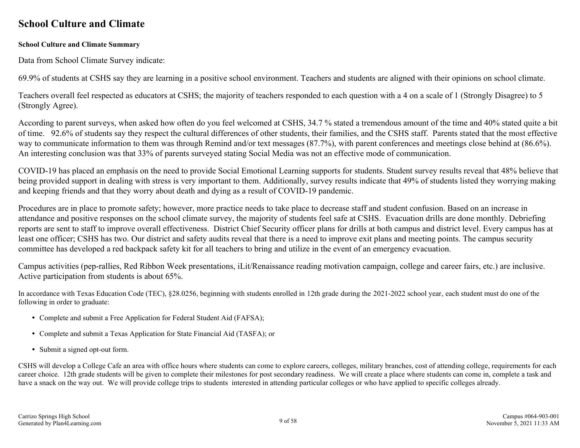### <span id="page-8-0"></span>**School Culture and Climate**

#### **School Culture and Climate Summary**

Data from School Climate Survey indicate:

69.9% of students at CSHS say they are learning in a positive school environment. Teachers and students are aligned with their opinions on school climate.

Teachers overall feel respected as educators at CSHS; the majority of teachers responded to each question with a 4 on a scale of 1 (Strongly Disagree) to 5 (Strongly Agree).

According to parent surveys, when asked how often do you feel welcomed at CSHS, 34.7 % stated a tremendous amount of the time and 40% stated quite a bit of time. 92.6% of students say they respect the cultural differences of other students, their families, and the CSHS staff. Parents stated that the most effective way to communicate information to them was through Remind and/or text messages (87.7%), with parent conferences and meetings close behind at (86.6%). An interesting conclusion was that 33% of parents surveyed stating Social Media was not an effective mode of communication.

COVID-19 has placed an emphasis on the need to provide Social Emotional Learning supports for students. Student survey results reveal that 48% believe that being provided support in dealing with stress is very important to them. Additionally, survey results indicate that 49% of students listed they worrying making and keeping friends and that they worry about death and dying as a result of COVID-19 pandemic.

Procedures are in place to promote safety; however, more practice needs to take place to decrease staff and student confusion. Based on an increase in attendance and positive responses on the school climate survey, the majority of students feel safe at CSHS. Evacuation drills are done monthly. Debriefing reports are sent to staff to improve overall effectiveness. District Chief Security officer plans for drills at both campus and district level. Every campus has at least one officer; CSHS has two. Our district and safety audits reveal that there is a need to improve exit plans and meeting points. The campus security committee has developed a red backpack safety kit for all teachers to bring and utilize in the event of an emergency evacuation.

Campus activities (pep-rallies, Red Ribbon Week presentations, iLit/Renaissance reading motivation campaign, college and career fairs, etc.) are inclusive. Active participation from students is about 65%.

In accordance with Texas Education Code (TEC), §28.0256, beginning with students enrolled in 12th grade during the 2021-2022 school year, each student must do one of the following in order to graduate:

- Complete and submit a Free Application for Federal Student Aid (FAFSA);
- Complete and submit a Texas Application for State Financial Aid (TASFA); or
- Submit a signed opt-out form.

CSHS will develop a College Cafe an area with office hours where students can come to explore careers, colleges, military branches, cost of attending college, requirements for each career choice. 12th grade students will be given to complete their milestones for post secondary readiness. We will create a place where students can come in, complete a task and have a snack on the way out. We will provide college trips to students interested in attending particular colleges or who have applied to specific colleges already.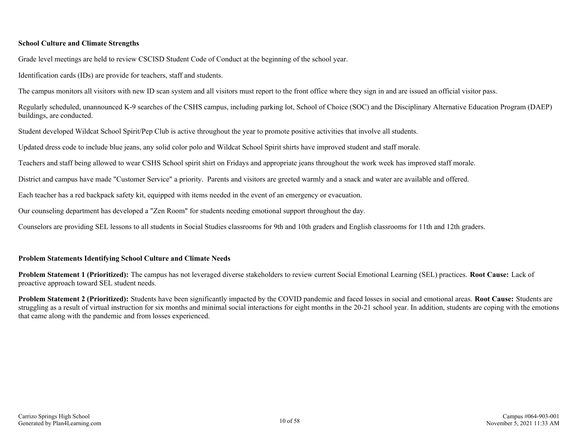#### **School Culture and Climate Strengths**

Grade level meetings are held to review CSCISD Student Code of Conduct at the beginning of the school year.

Identification cards (IDs) are provide for teachers, staff and students.

The campus monitors all visitors with new ID scan system and all visitors must report to the front office where they sign in and are issued an official visitor pass.

Regularly scheduled, unannounced K-9 searches of the CSHS campus, including parking lot, School of Choice (SOC) and the Disciplinary Alternative Education Program (DAEP) buildings, are conducted.

Student developed Wildcat School Spirit/Pep Club is active throughout the year to promote positive activities that involve all students.

Updated dress code to include blue jeans, any solid color polo and Wildcat School Spirit shirts have improved student and staff morale.

Teachers and staff being allowed to wear CSHS School spirit shirt on Fridays and appropriate jeans throughout the work week has improved staff morale.

District and campus have made "Customer Service" a priority. Parents and visitors are greeted warmly and a snack and water are available and offered.

Each teacher has a red backpack safety kit, equipped with items needed in the event of an emergency or evacuation.

Our counseling department has developed a "Zen Room" for students needing emotional support throughout the day.

Counselors are providing SEL lessons to all students in Social Studies classrooms for 9th and 10th graders and English classrooms for 11th and 12th graders.

#### **Problem Statements Identifying School Culture and Climate Needs**

**Problem Statement 1 (Prioritized):** The campus has not leveraged diverse stakeholders to review current Social Emotional Learning (SEL) practices. **Root Cause:** Lack of proactive approach toward SEL student needs.

**Problem Statement 2 (Prioritized):** Students have been significantly impacted by the COVID pandemic and faced losses in social and emotional areas. **Root Cause:** Students are struggling as a result of virtual instruction for six months and minimal social interactions for eight months in the 20-21 school year. In addition, students are coping with the emotions that came along with the pandemic and from losses experienced.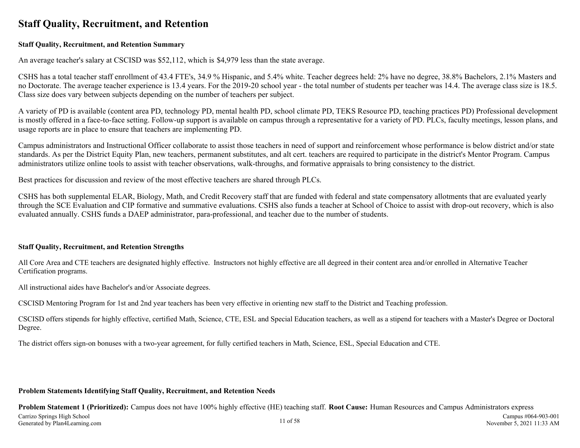### <span id="page-10-0"></span>**Staff Quality, Recruitment, and Retention**

#### **Staff Quality, Recruitment, and Retention Summary**

An average teacher's salary at CSCISD was \$52,112, which is \$4,979 less than the state average.

CSHS has a total teacher staff enrollment of 43.4 FTE's, 34.9 % Hispanic, and 5.4% white. Teacher degrees held: 2% have no degree, 38.8% Bachelors, 2.1% Masters and no Doctorate. The average teacher experience is 13.4 years. For the 2019-20 school year - the total number of students per teacher was 14.4. The average class size is 18.5. Class size does vary between subjects depending on the number of teachers per subject.

A variety of PD is available (content area PD, technology PD, mental health PD, school climate PD, TEKS Resource PD, teaching practices PD) Professional development is mostly offered in a face-to-face setting. Follow-up support is available on campus through a representative for a variety of PD. PLCs, faculty meetings, lesson plans, and usage reports are in place to ensure that teachers are implementing PD.

Campus administrators and Instructional Officer collaborate to assist those teachers in need of support and reinforcement whose performance is below district and/or state standards. As per the District Equity Plan, new teachers, permanent substitutes, and alt cert. teachers are required to participate in the district's Mentor Program. Campus administrators utilize online tools to assist with teacher observations, walk-throughs, and formative appraisals to bring consistency to the district.

Best practices for discussion and review of the most effective teachers are shared through PLCs.

CSHS has both supplemental ELAR, Biology, Math, and Credit Recovery staff that are funded with federal and state compensatory allotments that are evaluated yearly through the SCE Evaluation and CIP formative and summative evaluations. CSHS also funds a teacher at School of Choice to assist with drop-out recovery, which is also evaluated annually. CSHS funds a DAEP administrator, para-professional, and teacher due to the number of students.

#### **Staff Quality, Recruitment, and Retention Strengths**

All Core Area and CTE teachers are designated highly effective. Instructors not highly effective are all degreed in their content area and/or enrolled in Alternative Teacher Certification programs.

All instructional aides have Bachelor's and/or Associate degrees.

CSCISD Mentoring Program for 1st and 2nd year teachers has been very effective in orienting new staff to the District and Teaching profession.

CSCISD offers stipends for highly effective, certified Math, Science, CTE, ESL and Special Education teachers, as well as a stipend for teachers with a Master's Degree or Doctoral Degree.

The district offers sign-on bonuses with a two-year agreement, for fully certified teachers in Math, Science, ESL, Special Education and CTE.

#### **Problem Statements Identifying Staff Quality, Recruitment, and Retention Needs**

**Problem Statement 1 (Prioritized):** Campus does not have 100% highly effective (HE) teaching staff. **Root Cause:** Human Resources and Campus Administrators express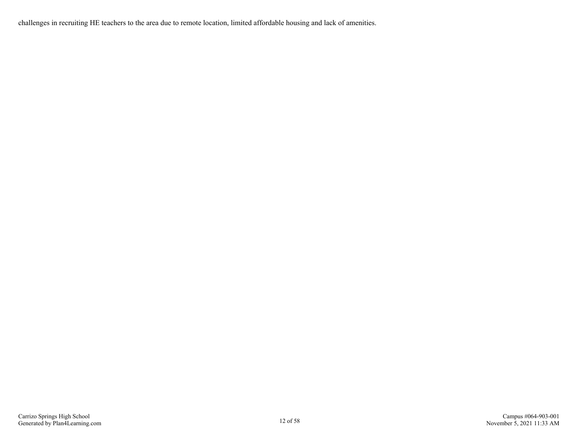challenges in recruiting HE teachers to the area due to remote location, limited affordable housing and lack of amenities.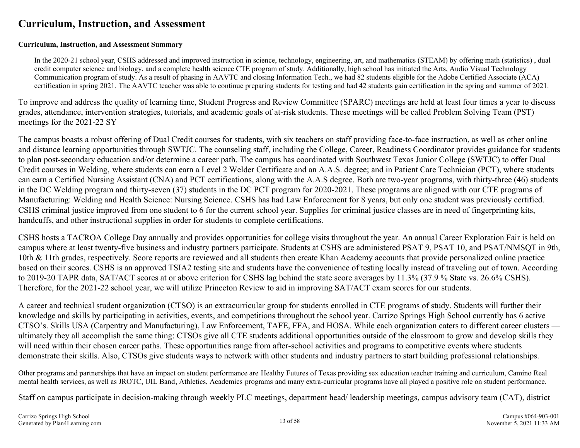### <span id="page-12-0"></span>**Curriculum, Instruction, and Assessment**

#### **Curriculum, Instruction, and Assessment Summary**

In the 2020-21 school year, CSHS addressed and improved instruction in science, technology, engineering, art, and mathematics (STEAM) by offering math (statistics) , dual credit computer science and biology, and a complete health science CTE program of study. Additionally, high school has initiated the Arts, Audio Visual Technology Communication program of study. As a result of phasing in AAVTC and closing Information Tech., we had 82 students eligible for the Adobe Certified Associate (ACA) certification in spring 2021. The AAVTC teacher was able to continue preparing students for testing and had 42 students gain certification in the spring and summer of 2021.

To improve and address the quality of learning time, Student Progress and Review Committee (SPARC) meetings are held at least four times a year to discuss grades, attendance, intervention strategies, tutorials, and academic goals of at-risk students. These meetings will be called Problem Solving Team (PST) meetings for the 2021-22 SY

The campus boasts a robust offering of Dual Credit courses for students, with six teachers on staff providing face-to-face instruction, as well as other online and distance learning opportunities through SWTJC. The counseling staff, including the College, Career, Readiness Coordinator provides guidance for students to plan post-secondary education and/or determine a career path. The campus has coordinated with Southwest Texas Junior College (SWTJC) to offer Dual Credit courses in Welding, where students can earn a Level 2 Welder Certificate and an A.A.S. degree; and in Patient Care Technician (PCT), where students can earn a Certified Nursing Assistant (CNA) and PCT certifications, along with the A.A.S degree. Both are two-year programs, with thirty-three (46) students in the DC Welding program and thirty-seven (37) students in the DC PCT program for 2020-2021. These programs are aligned with our CTE programs of Manufacturing: Welding and Health Science: Nursing Science. CSHS has had Law Enforcement for 8 years, but only one student was previously certified. CSHS criminal justice improved from one student to 6 for the current school year. Supplies for criminal justice classes are in need of fingerprinting kits, handcuffs, and other instructional supplies in order for students to complete certifications.

CSHS hosts a TACROA College Day annually and provides opportunities for college visits throughout the year. An annual Career Exploration Fair is held on campus where at least twenty-five business and industry partners participate. Students at CSHS are administered PSAT 9, PSAT 10, and PSAT/NMSQT in 9th, 10th & 11th grades, respectively. Score reports are reviewed and all students then create Khan Academy accounts that provide personalized online practice based on their scores. CSHS is an approved TSIA2 testing site and students have the convenience of testing locally instead of traveling out of town. According to 2019-20 TAPR data, SAT/ACT scores at or above criterion for CSHS lag behind the state score averages by 11.3% (37.9 % State vs. 26.6% CSHS). Therefore, for the 2021-22 school year, we will utilize Princeton Review to aid in improving SAT/ACT exam scores for our students.

A career and technical student organization (CTSO) is an extracurricular group for students enrolled in CTE programs of study. Students will further their knowledge and skills by participating in activities, events, and competitions throughout the school year. Carrizo Springs High School currently has 6 active CTSO's. Skills USA (Carpentry and Manufacturing), Law Enforcement, TAFE, FFA, and HOSA. While each organization caters to different career clusters ultimately they all accomplish the same thing: CTSOs give all CTE students additional opportunities outside of the classroom to grow and develop skills they will need within their chosen career paths. These opportunities range from after-school activities and programs to competitive events where students demonstrate their skills. Also, CTSOs give students ways to network with other students and industry partners to start building professional relationships.

Other programs and partnerships that have an impact on student performance are Healthy Futures of Texas providing sex education teacher training and curriculum, Camino Real mental health services, as well as JROTC, UIL Band, Athletics, Academics programs and many extra-curricular programs have all played a positive role on student performance.

Staff on campus participate in decision-making through weekly PLC meetings, department head/ leadership meetings, campus advisory team (CAT), district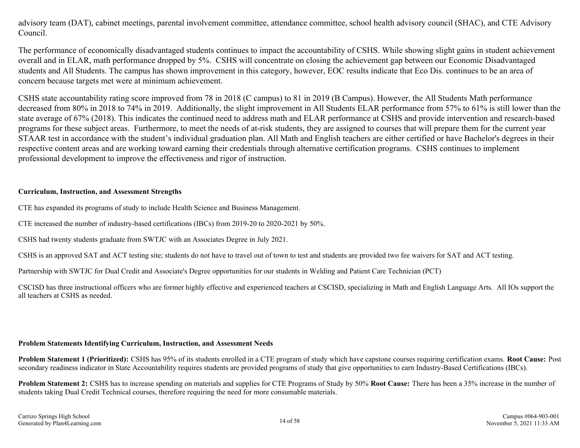advisory team (DAT), cabinet meetings, parental involvement committee, attendance committee, school health advisory council (SHAC), and CTE Advisory Council.

The performance of economically disadvantaged students continues to impact the accountability of CSHS. While showing slight gains in student achievement overall and in ELAR, math performance dropped by 5%. CSHS will concentrate on closing the achievement gap between our Economic Disadvantaged students and All Students. The campus has shown improvement in this category, however, EOC results indicate that Eco Dis. continues to be an area of concern because targets met were at minimum achievement.

CSHS state accountability rating score improved from 78 in 2018 (C campus) to 81 in 2019 (B Campus). However, the All Students Math performance decreased from 80% in 2018 to 74% in 2019. Additionally, the slight improvement in All Students ELAR performance from 57% to 61% is still lower than the state average of 67% (2018). This indicates the continued need to address math and ELAR performance at CSHS and provide intervention and research-based programs for these subject areas. Furthermore, to meet the needs of at-risk students, they are assigned to courses that will prepare them for the current year STAAR test in accordance with the student's individual graduation plan. All Math and English teachers are either certified or have Bachelor's degrees in their respective content areas and are working toward earning their credentials through alternative certification programs. CSHS continues to implement professional development to improve the effectiveness and rigor of instruction.

#### **Curriculum, Instruction, and Assessment Strengths**

CTE has expanded its programs of study to include Health Science and Business Management.

CTE increased the number of industry-based certifications (IBCs) from 2019-20 to 2020-2021 by 50%.

CSHS had twenty students graduate from SWTJC with an Associates Degree in July 2021.

CSHS is an approved SAT and ACT testing site; students do not have to travel out of town to test and students are provided two fee waivers for SAT and ACT testing.

Partnership with SWTJC for Dual Credit and Associate's Degree opportunities for our students in Welding and Patient Care Technician (PCT)

CSCISD has three instructional officers who are former highly effective and experienced teachers at CSCISD, specializing in Math and English Language Arts. All IOs support the all teachers at CSHS as needed.

#### **Problem Statements Identifying Curriculum, Instruction, and Assessment Needs**

**Problem Statement 1 (Prioritized):** CSHS has 95% of its students enrolled in a CTE program of study which have capstone courses requiring certification exams. **Root Cause:** Post secondary readiness indicator in State Accountability requires students are provided programs of study that give opportunities to earn Industry-Based Certifications (IBCs).

**Problem Statement 2:** CSHS has to increase spending on materials and supplies for CTE Programs of Study by 50% **Root Cause:** There has been a 35% increase in the number of students taking Dual Credit Technical courses, therefore requiring the need for more consumable materials.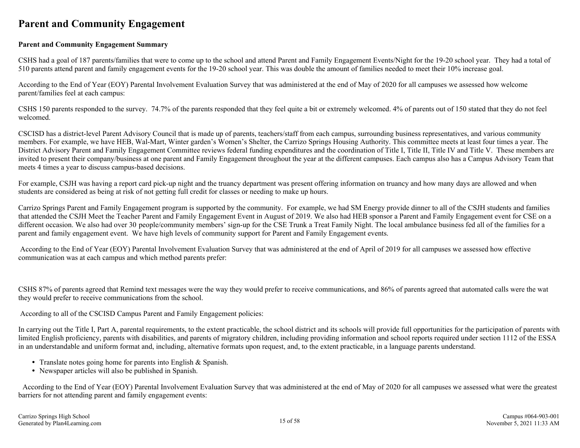### <span id="page-14-0"></span>**Parent and Community Engagement**

#### **Parent and Community Engagement Summary**

CSHS had a goal of 187 parents/families that were to come up to the school and attend Parent and Family Engagement Events/Night for the 19-20 school year. They had a total of 510 parents attend parent and family engagement events for the 19-20 school year. This was double the amount of families needed to meet their 10% increase goal.

According to the End of Year (EOY) Parental Involvement Evaluation Survey that was administered at the end of May of 2020 for all campuses we assessed how welcome parent/families feel at each campus:

CSHS 150 parents responded to the survey. 74.7% of the parents responded that they feel quite a bit or extremely welcomed. 4% of parents out of 150 stated that they do not feel welcomed.

CSCISD has a district-level Parent Advisory Council that is made up of parents, teachers/staff from each campus, surrounding business representatives, and various community members. For example, we have HEB, Wal-Mart, Winter garden's Women's Shelter, the Carrizo Springs Housing Authority. This committee meets at least four times a year. The District Advisory Parent and Family Engagement Committee reviews federal funding expenditures and the coordination of Title I, Title II, Title IV and Title V. These members are invited to present their company/business at one parent and Family Engagement throughout the year at the different campuses. Each campus also has a Campus Advisory Team that meets 4 times a year to discuss campus-based decisions.

For example, CSJH was having a report card pick-up night and the truancy department was present offering information on truancy and how many days are allowed and when students are considered as being at risk of not getting full credit for classes or needing to make up hours.

Carrizo Springs Parent and Family Engagement program is supported by the community. For example, we had SM Energy provide dinner to all of the CSJH students and families that attended the CSJH Meet the Teacher Parent and Family Engagement Event in August of 2019. We also had HEB sponsor a Parent and Family Engagement event for CSE on a different occasion. We also had over 30 people/community members' sign-up for the CSE Trunk a Treat Family Night. The local ambulance business fed all of the families for a parent and family engagement event. We have high levels of community support for Parent and Family Engagement events.

 According to the End of Year (EOY) Parental Involvement Evaluation Survey that was administered at the end of April of 2019 for all campuses we assessed how effective communication was at each campus and which method parents prefer:

CSHS 87% of parents agreed that Remind text messages were the way they would prefer to receive communications, and 86% of parents agreed that automated calls were the wat they would prefer to receive communications from the school.

According to all of the CSCISD Campus Parent and Family Engagement policies:

In carrying out the Title I, Part A, parental requirements, to the extent practicable, the school district and its schools will provide full opportunities for the participation of parents with limited English proficiency, parents with disabilities, and parents of migratory children, including providing information and school reports required under section 1112 of the ESSA in an understandable and uniform format and, including, alternative formats upon request, and, to the extent practicable, in a language parents understand.

- Translate notes going home for parents into English & Spanish.
- Newspaper articles will also be published in Spanish.

According to the End of Year (EOY) Parental Involvement Evaluation Survey that was administered at the end of May of 2020 for all campuses we assessed what were the greatest barriers for not attending parent and family engagement events: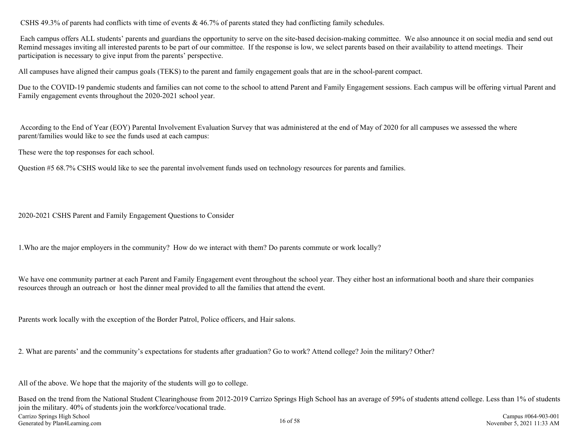CSHS 49.3% of parents had conflicts with time of events & 46.7% of parents stated they had conflicting family schedules.

 Each campus offers ALL students' parents and guardians the opportunity to serve on the site-based decision-making committee. We also announce it on social media and send out Remind messages inviting all interested parents to be part of our committee. If the response is low, we select parents based on their availability to attend meetings. Their participation is necessary to give input from the parents' perspective.

All campuses have aligned their campus goals (TEKS) to the parent and family engagement goals that are in the school-parent compact.

Due to the COVID-19 pandemic students and families can not come to the school to attend Parent and Family Engagement sessions. Each campus will be offering virtual Parent and Family engagement events throughout the 2020-2021 school year.

 According to the End of Year (EOY) Parental Involvement Evaluation Survey that was administered at the end of May of 2020 for all campuses we assessed the where parent/families would like to see the funds used at each campus:

These were the top responses for each school.

Question #5 68.7% CSHS would like to see the parental involvement funds used on technology resources for parents and families.

2020-2021 CSHS Parent and Family Engagement Questions to Consider

1.Who are the major employers in the community? How do we interact with them? Do parents commute or work locally?

We have one community partner at each Parent and Family Engagement event throughout the school year. They either host an informational booth and share their companies resources through an outreach or host the dinner meal provided to all the families that attend the event.

Parents work locally with the exception of the Border Patrol, Police officers, and Hair salons.

2. What are parents' and the community's expectations for students after graduation? Go to work? Attend college? Join the military? Other?

All of the above. We hope that the majority of the students will go to college.

Based on the trend from the National Student Clearinghouse from 2012-2019 Carrizo Springs High School has an average of 59% of students attend college. Less than 1% of students join the military. 40% of students join the workforce/vocational trade. Carrizo Springs High School Generated by Plan4Learning.com 16 of 58 Campus #064-903-001 November 5, 2021 11:33 AM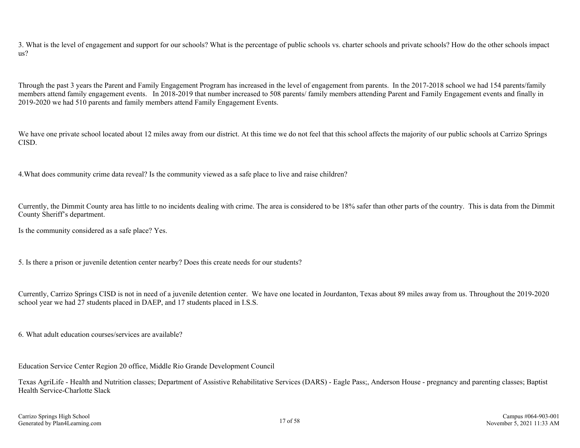3. What is the level of engagement and support for our schools? What is the percentage of public schools vs. charter schools and private schools? How do the other schools impact us?

Through the past 3 years the Parent and Family Engagement Program has increased in the level of engagement from parents. In the 2017-2018 school we had 154 parents/family members attend family engagement events. In 2018-2019 that number increased to 508 parents/ family members attending Parent and Family Engagement events and finally in 2019-2020 we had 510 parents and family members attend Family Engagement Events.

We have one private school located about 12 miles away from our district. At this time we do not feel that this school affects the majority of our public schools at Carrizo Springs CISD.

4.What does community crime data reveal? Is the community viewed as a safe place to live and raise children?

Currently, the Dimmit County area has little to no incidents dealing with crime. The area is considered to be 18% safer than other parts of the country. This is data from the Dimmit County Sheriff's department.

Is the community considered as a safe place? Yes.

5. Is there a prison or juvenile detention center nearby? Does this create needs for our students?

Currently, Carrizo Springs CISD is not in need of a juvenile detention center. We have one located in Jourdanton, Texas about 89 miles away from us. Throughout the 2019-2020 school year we had 27 students placed in DAEP, and 17 students placed in I.S.S.

6. What adult education courses/services are available?

Education Service Center Region 20 office, Middle Rio Grande Development Council

Texas AgriLife - Health and Nutrition classes; Department of Assistive Rehabilitative Services (DARS) - Eagle Pass;, Anderson House - pregnancy and parenting classes; Baptist Health Service-Charlotte Slack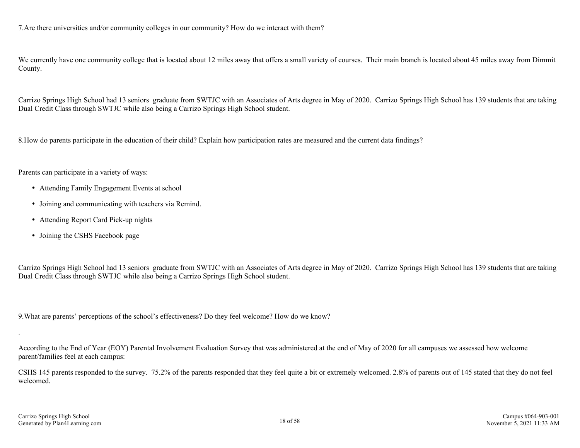7.Are there universities and/or community colleges in our community? How do we interact with them?

We currently have one community college that is located about 12 miles away that offers a small variety of courses. Their main branch is located about 45 miles away from Dimmit County.

Carrizo Springs High School had 13 seniors graduate from SWTJC with an Associates of Arts degree in May of 2020. Carrizo Springs High School has 139 students that are taking Dual Credit Class through SWTJC while also being a Carrizo Springs High School student.

8.How do parents participate in the education of their child? Explain how participation rates are measured and the current data findings?

Parents can participate in a variety of ways:

- Attending Family Engagement Events at school
- Joining and communicating with teachers via Remind.
- Attending Report Card Pick-up nights
- Joining the CSHS Facebook page

Carrizo Springs High School had 13 seniors graduate from SWTJC with an Associates of Arts degree in May of 2020. Carrizo Springs High School has 139 students that are taking Dual Credit Class through SWTJC while also being a Carrizo Springs High School student.

9.What are parents' perceptions of the school's effectiveness? Do they feel welcome? How do we know?

According to the End of Year (EOY) Parental Involvement Evaluation Survey that was administered at the end of May of 2020 for all campuses we assessed how welcome parent/families feel at each campus:

CSHS 145 parents responded to the survey. 75.2% of the parents responded that they feel quite a bit or extremely welcomed. 2.8% of parents out of 145 stated that they do not feel welcomed.

.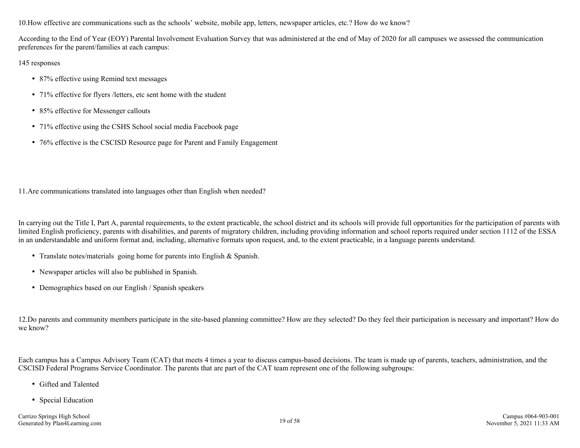10.How effective are communications such as the schools' website, mobile app, letters, newspaper articles, etc.? How do we know?

According to the End of Year (EOY) Parental Involvement Evaluation Survey that was administered at the end of May of 2020 for all campuses we assessed the communication preferences for the parent/families at each campus:

145 responses

- 87% effective using Remind text messages
- 71% effective for flyers / letters, etc sent home with the student
- 85% effective for Messenger callouts
- 71% effective using the CSHS School social media Facebook page
- 76% effective is the CSCISD Resource page for Parent and Family Engagement

11.Are communications translated into languages other than English when needed?

In carrying out the Title I, Part A, parental requirements, to the extent practicable, the school district and its schools will provide full opportunities for the participation of parents with limited English proficiency, parents with disabilities, and parents of migratory children, including providing information and school reports required under section 1112 of the ESSA in an understandable and uniform format and, including, alternative formats upon request, and, to the extent practicable, in a language parents understand.

- Translate notes/materials going home for parents into English & Spanish.
- Newspaper articles will also be published in Spanish.
- Demographics based on our English / Spanish speakers

12.Do parents and community members participate in the site-based planning committee? How are they selected? Do they feel their participation is necessary and important? How do we know?

Each campus has a Campus Advisory Team (CAT) that meets 4 times a year to discuss campus-based decisions. The team is made up of parents, teachers, administration, and the CSCISD Federal Programs Service Coordinator. The parents that are part of the CAT team represent one of the following subgroups:

- Gifted and Talented
- Special Education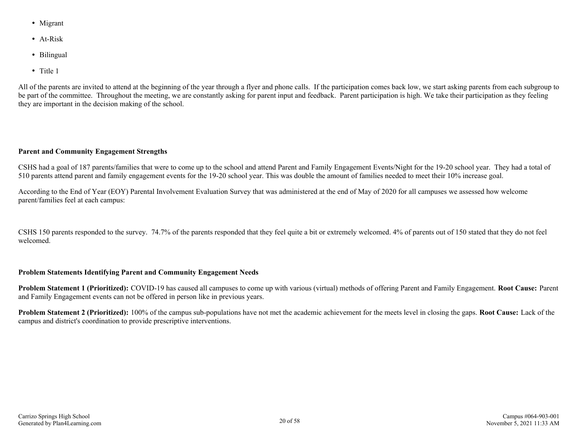- Migrant
- At-Risk
- Bilingual
- Title 1

All of the parents are invited to attend at the beginning of the year through a flyer and phone calls. If the participation comes back low, we start asking parents from each subgroup to be part of the committee. Throughout the meeting, we are constantly asking for parent input and feedback. Parent participation is high. We take their participation as they feeling they are important in the decision making of the school.

#### **Parent and Community Engagement Strengths**

CSHS had a goal of 187 parents/families that were to come up to the school and attend Parent and Family Engagement Events/Night for the 19-20 school year. They had a total of 510 parents attend parent and family engagement events for the 19-20 school year. This was double the amount of families needed to meet their 10% increase goal.

According to the End of Year (EOY) Parental Involvement Evaluation Survey that was administered at the end of May of 2020 for all campuses we assessed how welcome parent/families feel at each campus:

CSHS 150 parents responded to the survey. 74.7% of the parents responded that they feel quite a bit or extremely welcomed. 4% of parents out of 150 stated that they do not feel welcomed.

#### **Problem Statements Identifying Parent and Community Engagement Needs**

**Problem Statement 1 (Prioritized):** COVID-19 has caused all campuses to come up with various (virtual) methods of offering Parent and Family Engagement. **Root Cause:** Parent and Family Engagement events can not be offered in person like in previous years.

**Problem Statement 2 (Prioritized):** 100% of the campus sub-populations have not met the academic achievement for the meets level in closing the gaps. **Root Cause:** Lack of the campus and district's coordination to provide prescriptive interventions.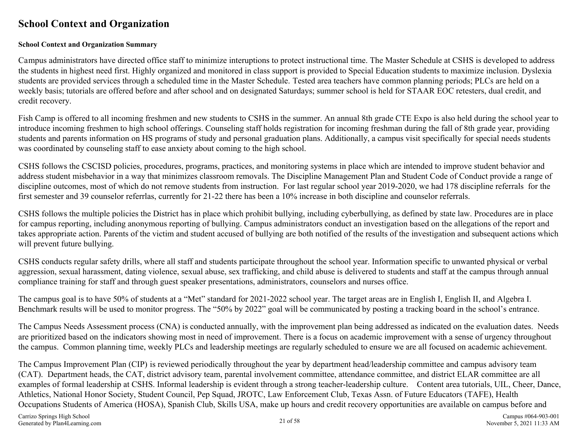### <span id="page-20-0"></span>**School Context and Organization**

#### **School Context and Organization Summary**

Campus administrators have directed office staff to minimize interuptions to protect instructional time. The Master Schedule at CSHS is developed to address the students in highest need first. Highly organized and monitored in class support is provided to Special Education students to maximize inclusion. Dyslexia students are provided services through a scheduled time in the Master Schedule. Tested area teachers have common planning periods; PLCs are held on a weekly basis; tutorials are offered before and after school and on designated Saturdays; summer school is held for STAAR EOC retesters, dual credit, and credit recovery.

Fish Camp is offered to all incoming freshmen and new students to CSHS in the summer. An annual 8th grade CTE Expo is also held during the school year to introduce incoming freshmen to high school offerings. Counseling staff holds registration for incoming freshman during the fall of 8th grade year, providing students and parents information on HS programs of study and personal graduation plans. Additionally, a campus visit specifically for special needs students was coordinated by counseling staff to ease anxiety about coming to the high school.

CSHS follows the CSCISD policies, procedures, programs, practices, and monitoring systems in place which are intended to improve student behavior and address student misbehavior in a way that minimizes classroom removals. The Discipline Management Plan and Student Code of Conduct provide a range of discipline outcomes, most of which do not remove students from instruction. For last regular school year 2019-2020, we had 178 discipline referrals for the first semester and 39 counselor referrlas, currently for 21-22 there has been a 10% increase in both discipline and counselor referrals.

CSHS follows the multiple policies the District has in place which prohibit bullying, including cyberbullying, as defined by state law. Procedures are in place for campus reporting, including anonymous reporting of bullying. Campus administrators conduct an investigation based on the allegations of the report and takes appropriate action. Parents of the victim and student accused of bullying are both notified of the results of the investigation and subsequent actions which will prevent future bullying.

CSHS conducts regular safety drills, where all staff and students participate throughout the school year. Information specific to unwanted physical or verbal aggression, sexual harassment, dating violence, sexual abuse, sex trafficking, and child abuse is delivered to students and staff at the campus through annual compliance training for staff and through guest speaker presentations, administrators, counselors and nurses office.

The campus goal is to have 50% of students at a "Met" standard for 2021-2022 school year. The target areas are in English I, English II, and Algebra I. Benchmark results will be used to monitor progress. The "50% by 2022" goal will be communicated by posting a tracking board in the school's entrance.

The Campus Needs Assessment process (CNA) is conducted annually, with the improvement plan being addressed as indicated on the evaluation dates. Needs are prioritized based on the indicators showing most in need of improvement. There is a focus on academic improvement with a sense of urgency throughout the campus. Common planning time, weekly PLCs and leadership meetings are regularly scheduled to ensure we are all focused on academic achievement.

The Campus Improvement Plan (CIP) is reviewed periodically throughout the year by department head/leadership committee and campus advisory team (CAT). Department heads, the CAT, district advisory team, parental involvement committee, attendance committee, and district ELAR committee are all examples of formal leadership at CSHS. Informal leadership is evident through a strong teacher-leadership culture. Content area tutorials, UIL, Cheer, Dance, Athletics, National Honor Society, Student Council, Pep Squad, JROTC, Law Enforcement Club, Texas Assn. of Future Educators (TAFE), Health Occupations Students of America (HOSA), Spanish Club, Skills USA, make up hours and credit recovery opportunities are available on campus before and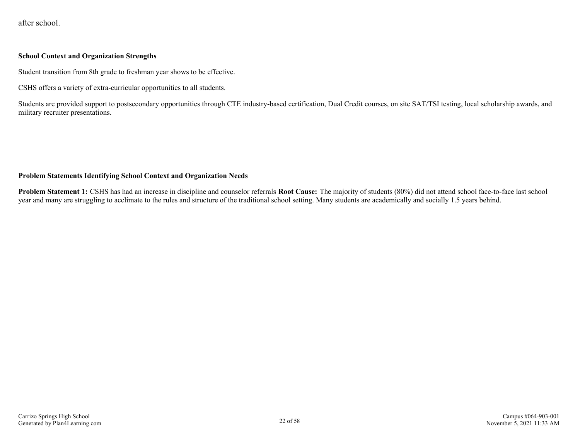after school.

#### **School Context and Organization Strengths**

Student transition from 8th grade to freshman year shows to be effective.

CSHS offers a variety of extra-curricular opportunities to all students.

Students are provided support to postsecondary opportunities through CTE industry-based certification, Dual Credit courses, on site SAT/TSI testing, local scholarship awards, and military recruiter presentations.

#### **Problem Statements Identifying School Context and Organization Needs**

**Problem Statement 1:** CSHS has had an increase in discipline and counselor referrals **Root Cause:** The majority of students (80%) did not attend school face-to-face last school year and many are struggling to acclimate to the rules and structure of the traditional school setting. Many students are academically and socially 1.5 years behind.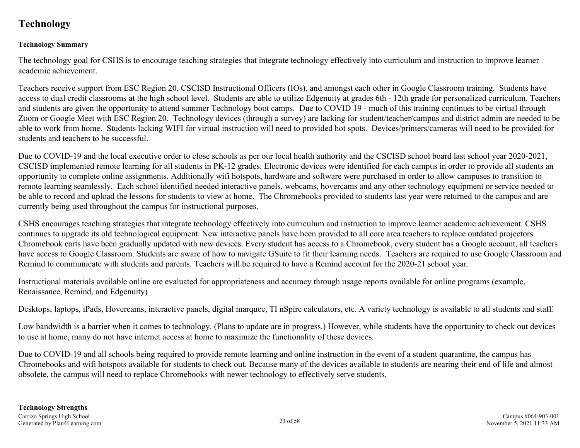### <span id="page-22-0"></span>**Technology**

#### **Technology Summary**

The technology goal for CSHS is to encourage teaching strategies that integrate technology effectively into curriculum and instruction to improve learner academic achievement.

Teachers receive support from ESC Region 20, CSCISD Instructional Officers (IOs), and amongst each other in Google Classroom training. Students have access to dual credit classrooms at the high school level. Students are able to utilize Edgenuity at grades 6th - 12th grade for personalized curriculum. Teachers and students are given the opportunity to attend summer Technology boot camps. Due to COVID 19 - much of this training continues to be virtual through Zoom or Google Meet with ESC Region 20. Technology devices (through a survey) are lacking for student/teacher/campus and district admin are needed to be able to work from home. Students lacking WIFI for virtual instruction will need to provided hot spots. Devices/printers/cameras will need to be provided for students and teachers to be successful.

Due to COVID-19 and the local executive order to close schools as per our local health authority and the CSCISD school board last school year 2020-2021, CSCISD implemented remote learning for all students in PK-12 grades. Electronic devices were identified for each campus in order to provide all students an opportunity to complete online assignments. Additionally wifi hotspots, hardware and software were purchased in order to allow campuses to transition to remote learning seamlessly. Each school identified needed interactive panels, webcams, hovercams and any other technology equipment or service needed to be able to record and upload the lessons for students to view at home. The Chromebooks provided to students last year were returned to the campus and are currently being used throughout the campus for instructional purposes.

CSHS encourages teaching strategies that integrate technology effectively into curriculum and instruction to improve learner academic achievement. CSHS continues to upgrade its old technological equipment. New interactive panels have been provided to all core area teachers to replace outdated projectors. Chromebook carts have been gradually updated with new devices. Every student has access to a Chromebook, every student has a Google account, all teachers have access to Google Classroom. Students are aware of how to navigate GSuite to fit their learning needs. Teachers are required to use Google Classroom and Remind to communicate with students and parents. Teachers will be required to have a Remind account for the 2020-21 school year.

Instructional materials available online are evaluated for appropriateness and accuracy through usage reports available for online programs (example, Renaissance, Remind, and Edgenuity)

Desktops, laptops, iPads, Hovercams, interactive panels, digital marquee, TI nSpire calculators, etc. A variety technology is available to all students and staff.

Low bandwidth is a barrier when it comes to technology. (Plans to update are in progress.) However, while students have the opportunity to check out devices to use at home, many do not have internet access at home to maximize the functionality of these devices.

Due to COVID-19 and all schools being required to provide remote learning and online instruction in the event of a student quarantine, the campus has Chromebooks and wifi hotspots available for students to check out. Because many of the devices available to students are nearing their end of life and almost obsolete, the campus will need to replace Chromebooks with newer technology to effectively serve students.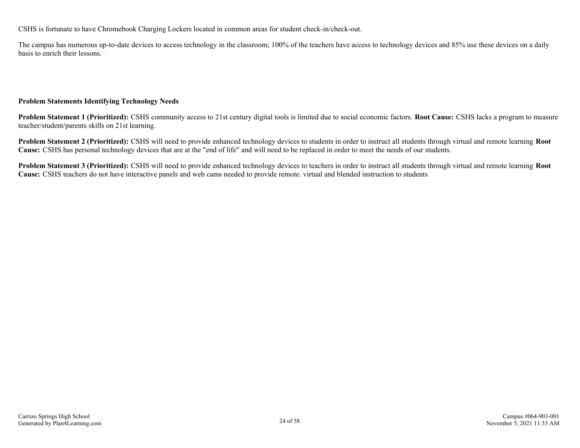CSHS is fortunate to have Chromebook Charging Lockers located in common areas for student check-in/check-out.

The campus has numerous up-to-date devices to access technology in the classroom; 100% of the teachers have access to technology devices and 85% use these devices on a daily basis to enrich their lessons.

#### **Problem Statements Identifying Technology Needs**

**Problem Statement 1 (Prioritized):** CSHS community access to 21st century digital tools is limited due to social economic factors. **Root Cause:** CSHS lacks a program to measure teacher/student/parents skills on 21st learning.

**Problem Statement 2 (Prioritized):** CSHS will need to provide enhanced technology devices to students in order to instruct all students through virtual and remote learning **Root Cause:** CSHS has personal technology devices that are at the "end of life" and will need to be replaced in order to meet the needs of our students.

**Problem Statement 3 (Prioritized):** CSHS will need to provide enhanced technology devices to teachers in order to instruct all students through virtual and remote learning **Root Cause:** CSHS teachers do not have interactive panels and web cams needed to provide remote. virtual and blended instruction to students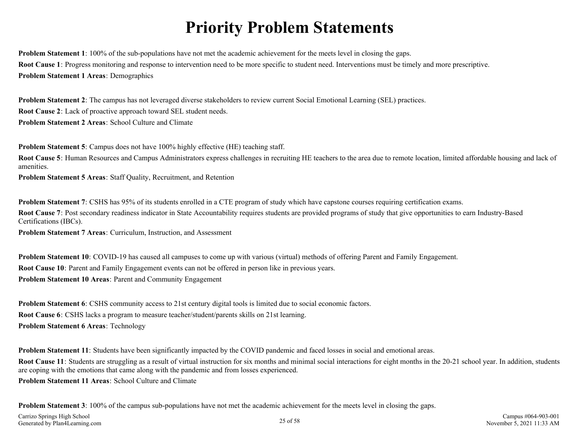## **Priority Problem Statements**

<span id="page-24-0"></span>**Problem Statement 1**: 100% of the sub-populations have not met the academic achievement for the meets level in closing the gaps. **Root Cause 1**: Progress monitoring and response to intervention need to be more specific to student need. Interventions must be timely and more prescriptive. **Problem Statement 1 Areas**: Demographics

**Problem Statement 2**: The campus has not leveraged diverse stakeholders to review current Social Emotional Learning (SEL) practices. **Root Cause 2**: Lack of proactive approach toward SEL student needs. **Problem Statement 2 Areas**: School Culture and Climate

**Problem Statement 5**: Campus does not have 100% highly effective (HE) teaching staff.

**Root Cause 5**: Human Resources and Campus Administrators express challenges in recruiting HE teachers to the area due to remote location, limited affordable housing and lack of amenities.

**Problem Statement 5 Areas**: Staff Quality, Recruitment, and Retention

**Problem Statement 7**: CSHS has 95% of its students enrolled in a CTE program of study which have capstone courses requiring certification exams.

**Root Cause 7:** Post secondary readiness indicator in State Accountability requires students are provided programs of study that give opportunities to earn Industry-Based Certifications (IBCs).

**Problem Statement 7 Areas**: Curriculum, Instruction, and Assessment

**Problem Statement 10**: COVID-19 has caused all campuses to come up with various (virtual) methods of offering Parent and Family Engagement. **Root Cause 10**: Parent and Family Engagement events can not be offered in person like in previous years. **Problem Statement 10 Areas**: Parent and Community Engagement

**Problem Statement 6**: CSHS community access to 21st century digital tools is limited due to social economic factors. **Root Cause 6**: CSHS lacks a program to measure teacher/student/parents skills on 21st learning. **Problem Statement 6 Areas**: Technology

**Problem Statement 11**: Students have been significantly impacted by the COVID pandemic and faced losses in social and emotional areas.

**Root Cause 11**: Students are struggling as a result of virtual instruction for six months and minimal social interactions for eight months in the 20-21 school year. In addition, students are coping with the emotions that came along with the pandemic and from losses experienced.

**Problem Statement 11 Areas**: School Culture and Climate

**Problem Statement 3**: 100% of the campus sub-populations have not met the academic achievement for the meets level in closing the gaps.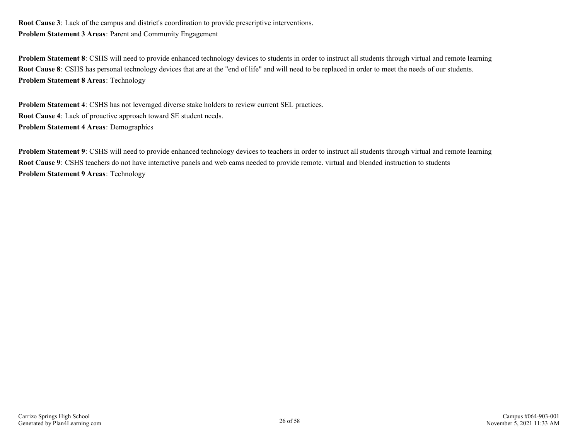**Root Cause 3**: Lack of the campus and district's coordination to provide prescriptive interventions. **Problem Statement 3 Areas**: Parent and Community Engagement

**Problem Statement 8**: CSHS will need to provide enhanced technology devices to students in order to instruct all students through virtual and remote learning **Root Cause 8**: CSHS has personal technology devices that are at the "end of life" and will need to be replaced in order to meet the needs of our students. **Problem Statement 8 Areas**: Technology

**Problem Statement 4**: CSHS has not leveraged diverse stake holders to review current SEL practices. **Root Cause 4**: Lack of proactive approach toward SE student needs. **Problem Statement 4 Areas**: Demographics

**Problem Statement 9**: CSHS will need to provide enhanced technology devices to teachers in order to instruct all students through virtual and remote learning **Root Cause 9**: CSHS teachers do not have interactive panels and web cams needed to provide remote. virtual and blended instruction to students **Problem Statement 9 Areas**: Technology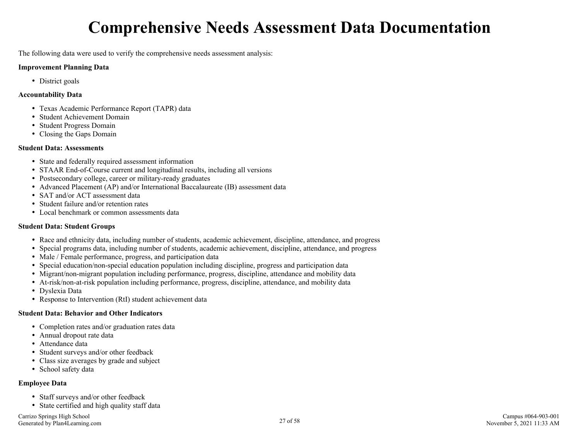## **Comprehensive Needs Assessment Data Documentation**

<span id="page-26-0"></span>The following data were used to verify the comprehensive needs assessment analysis:

#### **Improvement Planning Data**

• District goals

#### **Accountability Data**

- Texas Academic Performance Report (TAPR) data
- Student Achievement Domain
- Student Progress Domain
- Closing the Gaps Domain

#### **Student Data: Assessments**

- State and federally required assessment information
- STAAR End-of-Course current and longitudinal results, including all versions
- Postsecondary college, career or military-ready graduates
- Advanced Placement (AP) and/or International Baccalaureate (IB) assessment data
- SAT and/or ACT assessment data
- Student failure and/or retention rates
- Local benchmark or common assessments data

#### **Student Data: Student Groups**

- Race and ethnicity data, including number of students, academic achievement, discipline, attendance, and progress
- Special programs data, including number of students, academic achievement, discipline, attendance, and progress
- Male / Female performance, progress, and participation data
- Special education/non-special education population including discipline, progress and participation data
- Migrant/non-migrant population including performance, progress, discipline, attendance and mobility data
- At-risk/non-at-risk population including performance, progress, discipline, attendance, and mobility data
- Dyslexia Data
- Response to Intervention (RtI) student achievement data

#### **Student Data: Behavior and Other Indicators**

- Completion rates and/or graduation rates data
- Annual dropout rate data
- Attendance data
- Student surveys and/or other feedback
- Class size averages by grade and subject
- School safety data

#### **Employee Data**

- Staff surveys and/or other feedback
- State certified and high quality staff data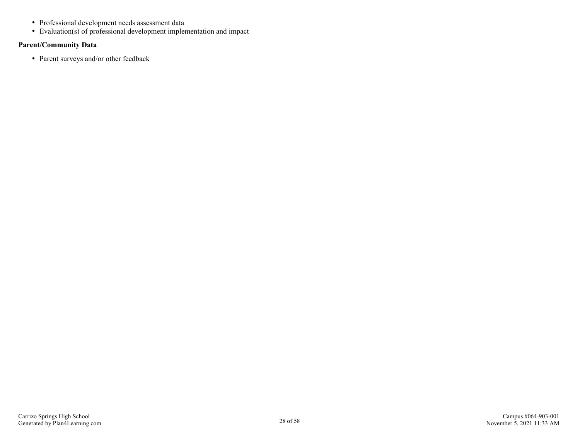- Professional development needs assessment data
- Evaluation(s) of professional development implementation and impact

#### **Parent/Community Data**

• Parent surveys and/or other feedback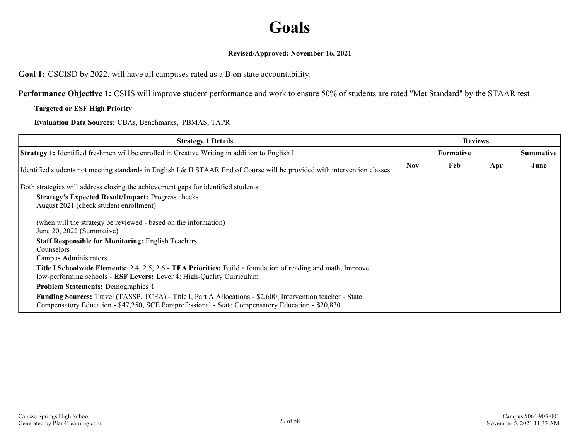## **Goals**

#### **Revised/Approved: November 16, 2021**

<span id="page-28-0"></span>**Goal 1:** CSCISD by 2022, will have all campuses rated as a B on state accountability.

**Performance Objective 1:** CSHS will improve student performance and work to ensure 50% of students are rated "Met Standard" by the STAAR test

#### **Targeted or ESF High Priority**

**Evaluation Data Sources:** CBAs, Benchmarks, PBMAS, TAPR

| <b>Strategy 1 Details</b>                                                                                                                                                                                        | <b>Reviews</b>   |     |     |                  |
|------------------------------------------------------------------------------------------------------------------------------------------------------------------------------------------------------------------|------------------|-----|-----|------------------|
| <b>Strategy 1:</b> Identified freshmen will be enrolled in Creative Writing in addition to English I.                                                                                                            | <b>Formative</b> |     |     | <b>Summative</b> |
| Identified students not meeting standards in English I & II STAAR End of Course will be provided with intervention classes                                                                                       | <b>Nov</b>       | Feb | Apr | June             |
| Both strategies will address closing the achievement gaps for identified students                                                                                                                                |                  |     |     |                  |
| <b>Strategy's Expected Result/Impact: Progress checks</b><br>August 2021 (check student enrollment)                                                                                                              |                  |     |     |                  |
| (when will the strategy be reviewed - based on the information)<br>June 20, 2022 (Summative)                                                                                                                     |                  |     |     |                  |
| <b>Staff Responsible for Monitoring: English Teachers</b>                                                                                                                                                        |                  |     |     |                  |
| Counselors<br>Campus Administrators                                                                                                                                                                              |                  |     |     |                  |
| <b>Title I Schoolwide Elements:</b> 2.4, 2.5, 2.6 - TEA Priorities: Build a foundation of reading and math, Improve<br>low-performing schools - ESF Levers: Lever 4: High-Quality Curriculum                     |                  |     |     |                  |
| <b>Problem Statements: Demographics 1</b>                                                                                                                                                                        |                  |     |     |                  |
| Funding Sources: Travel (TASSP, TCEA) - Title I, Part A Allocations - \$2,600, Intervention teacher - State<br>Compensatory Education - \$47,250, SCE Paraprofessional - State Compensatory Education - \$20,830 |                  |     |     |                  |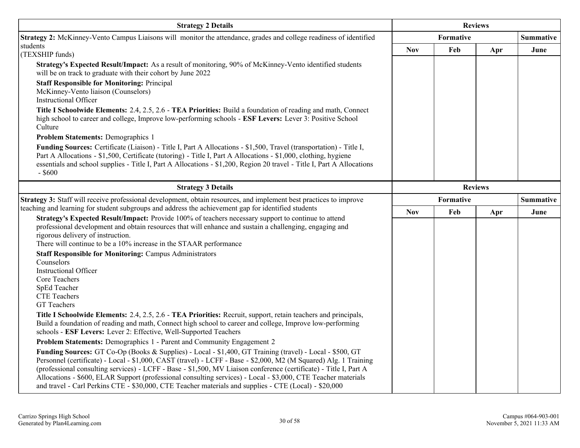| <b>Strategy 2 Details</b>                                                                                                                                                                                                                                                                                                                                                                                                                                                                                                                                                   | <b>Reviews</b> |           |                |                  |
|-----------------------------------------------------------------------------------------------------------------------------------------------------------------------------------------------------------------------------------------------------------------------------------------------------------------------------------------------------------------------------------------------------------------------------------------------------------------------------------------------------------------------------------------------------------------------------|----------------|-----------|----------------|------------------|
| Strategy 2: McKinney-Vento Campus Liaisons will monitor the attendance, grades and college readiness of identified                                                                                                                                                                                                                                                                                                                                                                                                                                                          |                | Formative |                | <b>Summative</b> |
| students<br>(TEXSHIP funds)                                                                                                                                                                                                                                                                                                                                                                                                                                                                                                                                                 | <b>Nov</b>     | Feb       | Apr            | June             |
| Strategy's Expected Result/Impact: As a result of monitoring, 90% of McKinney-Vento identified students<br>will be on track to graduate with their cohort by June 2022                                                                                                                                                                                                                                                                                                                                                                                                      |                |           |                |                  |
| <b>Staff Responsible for Monitoring: Principal</b><br>McKinney-Vento liaison (Counselors)<br><b>Instructional Officer</b>                                                                                                                                                                                                                                                                                                                                                                                                                                                   |                |           |                |                  |
| Title I Schoolwide Elements: 2.4, 2.5, 2.6 - TEA Priorities: Build a foundation of reading and math, Connect<br>high school to career and college, Improve low-performing schools - ESF Levers: Lever 3: Positive School<br>Culture                                                                                                                                                                                                                                                                                                                                         |                |           |                |                  |
| <b>Problem Statements: Demographics 1</b>                                                                                                                                                                                                                                                                                                                                                                                                                                                                                                                                   |                |           |                |                  |
| Funding Sources: Certificate (Liaison) - Title I, Part A Allocations - \$1,500, Travel (transportation) - Title I,<br>Part A Allocations - \$1,500, Certificate (tutoring) - Title I, Part A Allocations - \$1,000, clothing, hygiene<br>essentials and school supplies - Title I, Part A Allocations - \$1,200, Region 20 travel - Title I, Part A Allocations<br>$-$ \$600                                                                                                                                                                                                |                |           |                |                  |
| <b>Strategy 3 Details</b>                                                                                                                                                                                                                                                                                                                                                                                                                                                                                                                                                   |                |           | <b>Reviews</b> |                  |
| Strategy 3: Staff will receive professional development, obtain resources, and implement best practices to improve                                                                                                                                                                                                                                                                                                                                                                                                                                                          | Formative      |           |                | <b>Summative</b> |
| teaching and learning for student subgroups and address the achievement gap for identified students                                                                                                                                                                                                                                                                                                                                                                                                                                                                         | <b>Nov</b>     | Feb       | Apr            | June             |
| Strategy's Expected Result/Impact: Provide 100% of teachers necessary support to continue to attend<br>professional development and obtain resources that will enhance and sustain a challenging, engaging and<br>rigorous delivery of instruction.<br>There will continue to be a 10% increase in the STAAR performance                                                                                                                                                                                                                                                    |                |           |                |                  |
| <b>Staff Responsible for Monitoring: Campus Administrators</b>                                                                                                                                                                                                                                                                                                                                                                                                                                                                                                              |                |           |                |                  |
| Counselors<br><b>Instructional Officer</b><br>Core Teachers<br>SpEd Teacher<br><b>CTE</b> Teachers<br>GT Teachers                                                                                                                                                                                                                                                                                                                                                                                                                                                           |                |           |                |                  |
| Title I Schoolwide Elements: 2.4, 2.5, 2.6 - TEA Priorities: Recruit, support, retain teachers and principals,<br>Build a foundation of reading and math, Connect high school to career and college, Improve low-performing<br>schools - ESF Levers: Lever 2: Effective, Well-Supported Teachers                                                                                                                                                                                                                                                                            |                |           |                |                  |
| Problem Statements: Demographics 1 - Parent and Community Engagement 2                                                                                                                                                                                                                                                                                                                                                                                                                                                                                                      |                |           |                |                  |
| Funding Sources: GT Co-Op (Books & Supplies) - Local - \$1,400, GT Training (travel) - Local - \$500, GT<br>Personnel (certificate) - Local - \$1,000, CAST (travel) - LCFF - Base - \$2,000, M2 (M Squared) Alg. 1 Training<br>(professional consulting services) - LCFF - Base - \$1,500, MV Liaison conference (certificate) - Title I, Part A<br>Allocations - \$600, ELAR Support (professional consulting services) - Local - \$3,000, CTE Teacher materials<br>and travel - Carl Perkins CTE - \$30,000, CTE Teacher materials and supplies - CTE (Local) - \$20,000 |                |           |                |                  |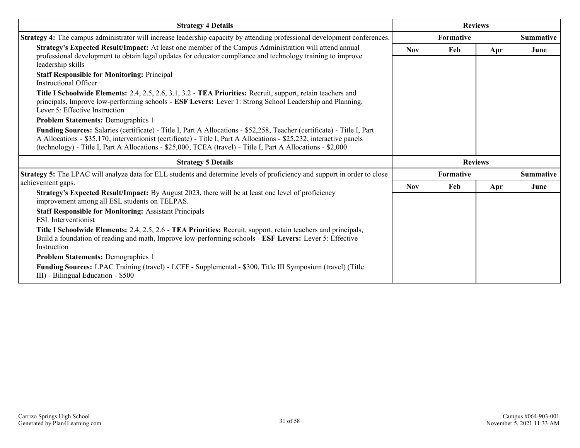| <b>Strategy 4 Details</b>                                                                                                                                                                                                                                                                                                                                       | <b>Reviews</b> |                |     |                  |  |
|-----------------------------------------------------------------------------------------------------------------------------------------------------------------------------------------------------------------------------------------------------------------------------------------------------------------------------------------------------------------|----------------|----------------|-----|------------------|--|
| Strategy 4: The campus administrator will increase leadership capacity by attending professional development conferences.                                                                                                                                                                                                                                       |                | Formative      |     | <b>Summative</b> |  |
| Strategy's Expected Result/Impact: At least one member of the Campus Administration will attend annual<br>professional development to obtain legal updates for educator compliance and technology training to improve<br>leadership skills                                                                                                                      | <b>Nov</b>     | Feb            | Apr | June             |  |
| <b>Staff Responsible for Monitoring: Principal</b><br>Instructional Officer                                                                                                                                                                                                                                                                                     |                |                |     |                  |  |
| Title I Schoolwide Elements: 2.4, 2.5, 2.6, 3.1, 3.2 - TEA Priorities: Recruit, support, retain teachers and<br>principals, Improve low-performing schools - ESF Levers: Lever 1: Strong School Leadership and Planning,<br>Lever 5: Effective Instruction                                                                                                      |                |                |     |                  |  |
| <b>Problem Statements: Demographics 1</b>                                                                                                                                                                                                                                                                                                                       |                |                |     |                  |  |
| Funding Sources: Salaries (certificate) - Title I, Part A Allocations - \$52,258, Teacher (certificate) - Title I, Part<br>A Allocations - \$35,170, interventionist (certificate) - Title I, Part A Allocations - \$25,232, interactive panels<br>(technology) - Title I, Part A Allocations - \$25,000, TCEA (travel) - Title I, Part A Allocations - \$2,000 |                |                |     |                  |  |
| <b>Strategy 5 Details</b>                                                                                                                                                                                                                                                                                                                                       |                | <b>Reviews</b> |     |                  |  |
|                                                                                                                                                                                                                                                                                                                                                                 | Formative      |                |     | <b>Summative</b> |  |
| Strategy 5: The LPAC will analyze data for ELL students and determine levels of proficiency and support in order to close                                                                                                                                                                                                                                       |                |                |     |                  |  |
| achievement gaps.                                                                                                                                                                                                                                                                                                                                               | <b>Nov</b>     | Feb            | Apr | June             |  |
| Strategy's Expected Result/Impact: By August 2023, there will be at least one level of proficiency<br>improvement among all ESL students on TELPAS.                                                                                                                                                                                                             |                |                |     |                  |  |
| <b>Staff Responsible for Monitoring: Assistant Principals</b><br><b>ESL</b> Interventionist                                                                                                                                                                                                                                                                     |                |                |     |                  |  |
| Title I Schoolwide Elements: 2.4, 2.5, 2.6 - TEA Priorities: Recruit, support, retain teachers and principals,<br>Build a foundation of reading and math, Improve low-performing schools - ESF Levers: Lever 5: Effective<br>Instruction                                                                                                                        |                |                |     |                  |  |
| <b>Problem Statements: Demographics 1</b>                                                                                                                                                                                                                                                                                                                       |                |                |     |                  |  |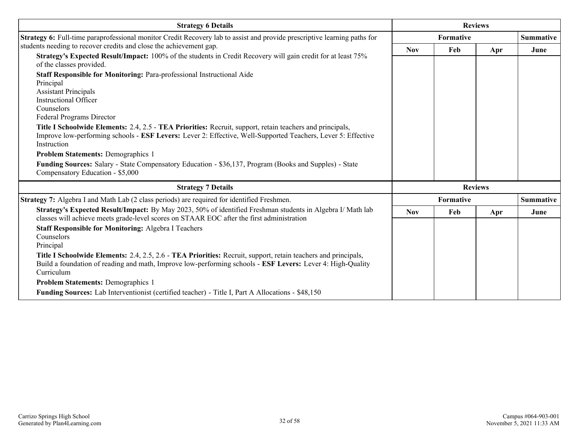| <b>Strategy 6 Details</b>                                                                                                                                                                                                                  |            | <b>Reviews</b>   |                |                  |
|--------------------------------------------------------------------------------------------------------------------------------------------------------------------------------------------------------------------------------------------|------------|------------------|----------------|------------------|
| Strategy 6: Full-time paraprofessional monitor Credit Recovery lab to assist and provide prescriptive learning paths for                                                                                                                   |            | <b>Formative</b> |                | <b>Summative</b> |
| students needing to recover credits and close the achievement gap.                                                                                                                                                                         | <b>Nov</b> | Feb              | Apr            | June             |
| Strategy's Expected Result/Impact: 100% of the students in Credit Recovery will gain credit for at least 75%<br>of the classes provided.                                                                                                   |            |                  |                |                  |
| Staff Responsible for Monitoring: Para-professional Instructional Aide                                                                                                                                                                     |            |                  |                |                  |
| Principal                                                                                                                                                                                                                                  |            |                  |                |                  |
| <b>Assistant Principals</b><br><b>Instructional Officer</b>                                                                                                                                                                                |            |                  |                |                  |
| Counselors                                                                                                                                                                                                                                 |            |                  |                |                  |
| Federal Programs Director                                                                                                                                                                                                                  |            |                  |                |                  |
| Title I Schoolwide Elements: 2.4, 2.5 - TEA Priorities: Recruit, support, retain teachers and principals,<br>Improve low-performing schools - ESF Levers: Lever 2: Effective, Well-Supported Teachers, Lever 5: Effective<br>Instruction   |            |                  |                |                  |
| <b>Problem Statements: Demographics 1</b>                                                                                                                                                                                                  |            |                  |                |                  |
| Funding Sources: Salary - State Compensatory Education - \$36,137, Program (Books and Supples) - State<br>Compensatory Education - \$5,000                                                                                                 |            |                  |                |                  |
| <b>Strategy 7 Details</b>                                                                                                                                                                                                                  |            |                  | <b>Reviews</b> |                  |
| Strategy 7: Algebra I and Math Lab (2 class periods) are required for identified Freshmen.                                                                                                                                                 |            | Formative        |                | <b>Summative</b> |
| Strategy's Expected Result/Impact: By May 2023, 50% of identified Freshman students in Algebra I/ Math lab<br>classes will achieve meets grade-level scores on STAAR EOC after the first administration                                    | <b>Nov</b> | Feb              | Apr            | June             |
| <b>Staff Responsible for Monitoring: Algebra I Teachers</b>                                                                                                                                                                                |            |                  |                |                  |
| Counselors                                                                                                                                                                                                                                 |            |                  |                |                  |
| Principal                                                                                                                                                                                                                                  |            |                  |                |                  |
| Title I Schoolwide Elements: 2.4, 2.5, 2.6 - TEA Priorities: Recruit, support, retain teachers and principals,<br>Build a foundation of reading and math, Improve low-performing schools - ESF Levers: Lever 4: High-Quality<br>Curriculum |            |                  |                |                  |
| <b>Problem Statements: Demographics 1</b>                                                                                                                                                                                                  |            |                  |                |                  |
| <b>Funding Sources:</b> Lab Interventionist (certified teacher) - Title I, Part A Allocations - \$48,150                                                                                                                                   |            |                  |                |                  |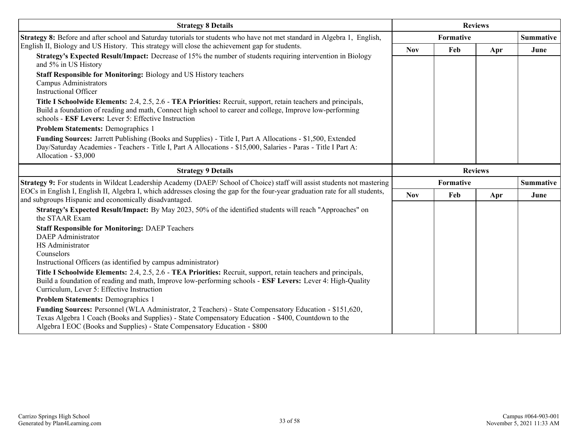| <b>Strategy 8 Details</b>                                                                                                                                                                                                                                                                  | <b>Reviews</b>   |                  |     |                  |
|--------------------------------------------------------------------------------------------------------------------------------------------------------------------------------------------------------------------------------------------------------------------------------------------|------------------|------------------|-----|------------------|
| Strategy 8: Before and after school and Saturday tutorials tor students who have not met standard in Algebra 1, English,                                                                                                                                                                   |                  | <b>Formative</b> |     | <b>Summative</b> |
| English II, Biology and US History. This strategy will close the achievement gap for students.                                                                                                                                                                                             | <b>Nov</b>       | Feb              | Apr | June             |
| Strategy's Expected Result/Impact: Decrease of 15% the number of students requiring intervention in Biology<br>and 5% in US History                                                                                                                                                        |                  |                  |     |                  |
| <b>Staff Responsible for Monitoring: Biology and US History teachers</b><br><b>Campus Administrators</b><br><b>Instructional Officer</b>                                                                                                                                                   |                  |                  |     |                  |
| Title I Schoolwide Elements: 2.4, 2.5, 2.6 - TEA Priorities: Recruit, support, retain teachers and principals,<br>Build a foundation of reading and math, Connect high school to career and college, Improve low-performing<br>schools - ESF Levers: Lever 5: Effective Instruction        |                  |                  |     |                  |
| <b>Problem Statements: Demographics 1</b>                                                                                                                                                                                                                                                  |                  |                  |     |                  |
| Funding Sources: Jarrett Publishing (Books and Supplies) - Title I, Part A Allocations - \$1,500, Extended<br>Day/Saturday Academies - Teachers - Title I, Part A Allocations - \$15,000, Salaries - Paras - Title I Part A:<br>Allocation - \$3,000                                       |                  |                  |     |                  |
| <b>Strategy 9 Details</b>                                                                                                                                                                                                                                                                  |                  | <b>Reviews</b>   |     |                  |
| Strategy 9: For students in Wildcat Leadership Academy (DAEP/ School of Choice) staff will assist students not mastering                                                                                                                                                                   | <b>Formative</b> |                  |     | <b>Summative</b> |
| EOCs in English I, English II, Algebra I, which addresses closing the gap for the four-year graduation rate for all students,<br>and subgroups Hispanic and economically disadvantaged.                                                                                                    | <b>Nov</b>       | Feb              | Apr | June             |
| Strategy's Expected Result/Impact: By May 2023, 50% of the identified students will reach "Approaches" on<br>the STAAR Exam                                                                                                                                                                |                  |                  |     |                  |
| <b>Staff Responsible for Monitoring: DAEP Teachers</b><br><b>DAEP</b> Administrator<br>HS Administrator<br>Counselors<br>Instructional Officers (as identified by campus administrator)                                                                                                    |                  |                  |     |                  |
| Title I Schoolwide Elements: 2.4, 2.5, 2.6 - TEA Priorities: Recruit, support, retain teachers and principals,<br>Build a foundation of reading and math, Improve low-performing schools - ESF Levers: Lever 4: High-Quality<br>Curriculum, Lever 5: Effective Instruction                 |                  |                  |     |                  |
| <b>Problem Statements: Demographics 1</b>                                                                                                                                                                                                                                                  |                  |                  |     |                  |
| Funding Sources: Personnel (WLA Administrator, 2 Teachers) - State Compensatory Education - \$151,620,<br>Texas Algebra 1 Coach (Books and Supplies) - State Compensatory Education - \$400, Countdown to the<br>Algebra I EOC (Books and Supplies) - State Compensatory Education - \$800 |                  |                  |     |                  |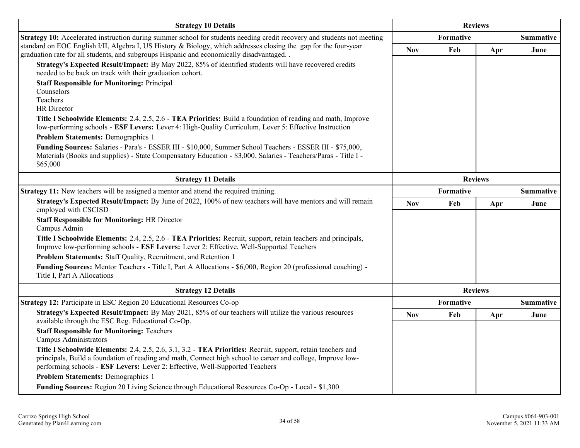| <b>Strategy 10 Details</b>                                                                                                                                                                                                                                                                                               | <b>Reviews</b> |           |                |                  |  |
|--------------------------------------------------------------------------------------------------------------------------------------------------------------------------------------------------------------------------------------------------------------------------------------------------------------------------|----------------|-----------|----------------|------------------|--|
| Strategy 10: Accelerated instruction during summer school for students needing credit recovery and students not meeting                                                                                                                                                                                                  |                | Formative |                | <b>Summative</b> |  |
| standard on EOC English I/II, Algebra I, US History & Biology, which addresses closing the gap for the four-year<br>graduation rate for all students, and subgroups Hispanic and economically disadvantaged. .<br>Strategy's Expected Result/Impact: By May 2022, 85% of identified students will have recovered credits | <b>Nov</b>     | Feb       | Apr            | June             |  |
| needed to be back on track with their graduation cohort.                                                                                                                                                                                                                                                                 |                |           |                |                  |  |
| <b>Staff Responsible for Monitoring: Principal</b><br>Counselors                                                                                                                                                                                                                                                         |                |           |                |                  |  |
| Teachers                                                                                                                                                                                                                                                                                                                 |                |           |                |                  |  |
| <b>HR</b> Director                                                                                                                                                                                                                                                                                                       |                |           |                |                  |  |
| Title I Schoolwide Elements: 2.4, 2.5, 2.6 - TEA Priorities: Build a foundation of reading and math, Improve<br>low-performing schools - ESF Levers: Lever 4: High-Quality Curriculum, Lever 5: Effective Instruction                                                                                                    |                |           |                |                  |  |
| Problem Statements: Demographics 1                                                                                                                                                                                                                                                                                       |                |           |                |                  |  |
| Funding Sources: Salaries - Para's - ESSER III - \$10,000, Summer School Teachers - ESSER III - \$75,000,<br>Materials (Books and supplies) - State Compensatory Education - \$3,000, Salaries - Teachers/Paras - Title I -                                                                                              |                |           |                |                  |  |
| \$65,000                                                                                                                                                                                                                                                                                                                 |                |           |                |                  |  |
| <b>Strategy 11 Details</b>                                                                                                                                                                                                                                                                                               | <b>Reviews</b> |           |                |                  |  |
| Strategy 11: New teachers will be assigned a mentor and attend the required training.                                                                                                                                                                                                                                    |                | Formative |                | <b>Summative</b> |  |
| Strategy's Expected Result/Impact: By June of 2022, 100% of new teachers will have mentors and will remain<br>employed with CSCISD                                                                                                                                                                                       | <b>Nov</b>     | Feb       | Apr            | June             |  |
| <b>Staff Responsible for Monitoring: HR Director</b><br>Campus Admin                                                                                                                                                                                                                                                     |                |           |                |                  |  |
| Title I Schoolwide Elements: 2.4, 2.5, 2.6 - TEA Priorities: Recruit, support, retain teachers and principals,<br>Improve low-performing schools - ESF Levers: Lever 2: Effective, Well-Supported Teachers                                                                                                               |                |           |                |                  |  |
| Problem Statements: Staff Quality, Recruitment, and Retention 1                                                                                                                                                                                                                                                          |                |           |                |                  |  |
| Funding Sources: Mentor Teachers - Title I, Part A Allocations - \$6,000, Region 20 (professional coaching) -<br>Title I, Part A Allocations                                                                                                                                                                             |                |           |                |                  |  |
| <b>Strategy 12 Details</b>                                                                                                                                                                                                                                                                                               |                |           | <b>Reviews</b> |                  |  |
| Strategy 12: Participate in ESC Region 20 Educational Resources Co-op                                                                                                                                                                                                                                                    |                | Formative |                | <b>Summative</b> |  |
| Strategy's Expected Result/Impact: By May 2021, 85% of our teachers will utilize the various resources<br>available through the ESC Reg. Educational Co-Op.                                                                                                                                                              | <b>Nov</b>     | Feb       | Apr            | June             |  |
| <b>Staff Responsible for Monitoring: Teachers</b><br>Campus Administrators                                                                                                                                                                                                                                               |                |           |                |                  |  |
| Title I Schoolwide Elements: 2.4, 2.5, 2.6, 3.1, 3.2 - TEA Priorities: Recruit, support, retain teachers and<br>principals, Build a foundation of reading and math, Connect high school to career and college, Improve low-<br>performing schools - ESF Levers: Lever 2: Effective, Well-Supported Teachers              |                |           |                |                  |  |
| <b>Problem Statements: Demographics 1</b>                                                                                                                                                                                                                                                                                |                |           |                |                  |  |
| Funding Sources: Region 20 Living Science through Educational Resources Co-Op - Local - \$1,300                                                                                                                                                                                                                          |                |           |                |                  |  |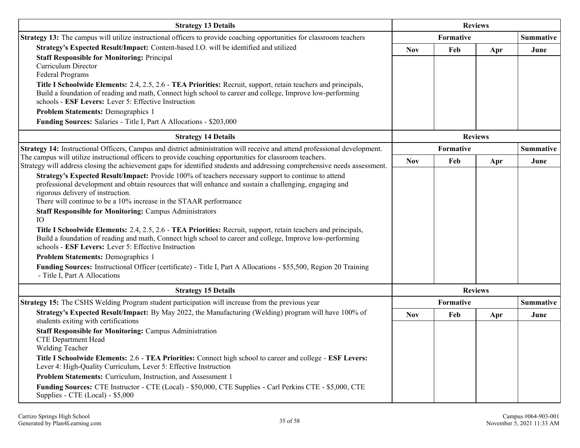| <b>Strategy 13 Details</b>                                                                                                                                                                                                            |            | <b>Reviews</b> |     |                  |
|---------------------------------------------------------------------------------------------------------------------------------------------------------------------------------------------------------------------------------------|------------|----------------|-----|------------------|
| <b>Strategy 13:</b> The campus will utilize instructional officers to provide coaching opportunities for classroom teachers                                                                                                           |            | Formative      |     | <b>Summative</b> |
| Strategy's Expected Result/Impact: Content-based I.O. will be identified and utilized                                                                                                                                                 | <b>Nov</b> | Feb            | Apr | June             |
| <b>Staff Responsible for Monitoring: Principal</b><br><b>Curriculum Director</b>                                                                                                                                                      |            |                |     |                  |
| Federal Programs                                                                                                                                                                                                                      |            |                |     |                  |
| Title I Schoolwide Elements: 2.4, 2.5, 2.6 - TEA Priorities: Recruit, support, retain teachers and principals,                                                                                                                        |            |                |     |                  |
| Build a foundation of reading and math, Connect high school to career and college, Improve low-performing<br>schools - ESF Levers: Lever 5: Effective Instruction                                                                     |            |                |     |                  |
| <b>Problem Statements: Demographics 1</b>                                                                                                                                                                                             |            |                |     |                  |
| Funding Sources: Salaries - Title I, Part A Allocations - \$203,000                                                                                                                                                                   |            |                |     |                  |
| <b>Strategy 14 Details</b>                                                                                                                                                                                                            |            | <b>Reviews</b> |     |                  |
| Strategy 14: Instructional Officers, Campus and district administration will receive and attend professional development.                                                                                                             |            | Formative      |     | <b>Summative</b> |
| The campus will utilize instructional officers to provide coaching opportunities for classroom teachers.<br>Strategy will address closing the achievement gaps for identified students and addressing comprehensive needs assessment. | Nov        | Feb            | Apr | June             |
| Strategy's Expected Result/Impact: Provide 100% of teachers necessary support to continue to attend                                                                                                                                   |            |                |     |                  |
| professional development and obtain resources that will enhance and sustain a challenging, engaging and                                                                                                                               |            |                |     |                  |
| rigorous delivery of instruction.<br>There will continue to be a 10% increase in the STAAR performance                                                                                                                                |            |                |     |                  |
| <b>Staff Responsible for Monitoring: Campus Administrators</b>                                                                                                                                                                        |            |                |     |                  |
| IO                                                                                                                                                                                                                                    |            |                |     |                  |
| Title I Schoolwide Elements: 2.4, 2.5, 2.6 - TEA Priorities: Recruit, support, retain teachers and principals,                                                                                                                        |            |                |     |                  |
| Build a foundation of reading and math, Connect high school to career and college, Improve low-performing<br>schools - ESF Levers: Lever 5: Effective Instruction                                                                     |            |                |     |                  |
| <b>Problem Statements: Demographics 1</b>                                                                                                                                                                                             |            |                |     |                  |
| Funding Sources: Instructional Officer (certificate) - Title I, Part A Allocations - \$55,500, Region 20 Training                                                                                                                     |            |                |     |                  |
| - Title I, Part A Allocations                                                                                                                                                                                                         |            |                |     |                  |
| <b>Strategy 15 Details</b>                                                                                                                                                                                                            |            | <b>Reviews</b> |     |                  |
| <b>Strategy 15:</b> The CSHS Welding Program student participation will increase from the previous year                                                                                                                               |            | Formative      |     | <b>Summative</b> |
| Strategy's Expected Result/Impact: By May 2022, the Manufacturing (Welding) program will have 100% of<br>students exiting with certifications                                                                                         | <b>Nov</b> | Feb            | Apr | June             |
| <b>Staff Responsible for Monitoring: Campus Administration</b>                                                                                                                                                                        |            |                |     |                  |
| <b>CTE Department Head</b><br>Welding Teacher                                                                                                                                                                                         |            |                |     |                  |
| Title I Schoolwide Elements: 2.6 - TEA Priorities: Connect high school to career and college - ESF Levers:<br>Lever 4: High-Quality Curriculum, Lever 5: Effective Instruction                                                        |            |                |     |                  |
| Problem Statements: Curriculum, Instruction, and Assessment 1                                                                                                                                                                         |            |                |     |                  |
| Funding Sources: CTE Instructor - CTE (Local) - \$50,000, CTE Supplies - Carl Perkins CTE - \$5,000, CTE<br>Supplies - CTE (Local) - \$5,000                                                                                          |            |                |     |                  |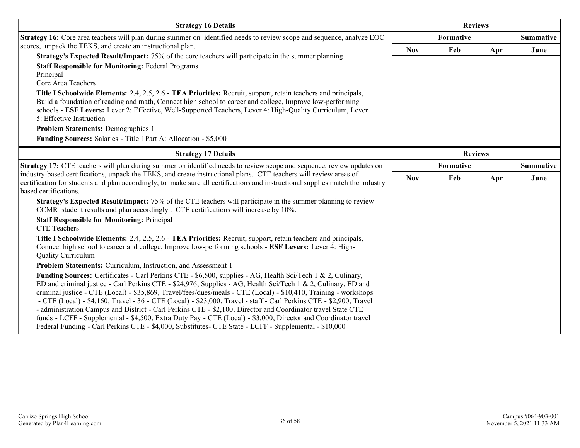| <b>Strategy 16 Details</b>                                                                                                                                                                                                                                                                                                                                                                                                                                                                                                                                                                                                                                                                                                                                                                                        | <b>Reviews</b>   |     |                |                  |
|-------------------------------------------------------------------------------------------------------------------------------------------------------------------------------------------------------------------------------------------------------------------------------------------------------------------------------------------------------------------------------------------------------------------------------------------------------------------------------------------------------------------------------------------------------------------------------------------------------------------------------------------------------------------------------------------------------------------------------------------------------------------------------------------------------------------|------------------|-----|----------------|------------------|
| Strategy 16: Core area teachers will plan during summer on identified needs to review scope and sequence, analyze EOC                                                                                                                                                                                                                                                                                                                                                                                                                                                                                                                                                                                                                                                                                             | Formative        |     |                | <b>Summative</b> |
| scores, unpack the TEKS, and create an instructional plan.<br>Strategy's Expected Result/Impact: 75% of the core teachers will participate in the summer planning<br><b>Staff Responsible for Monitoring: Federal Programs</b>                                                                                                                                                                                                                                                                                                                                                                                                                                                                                                                                                                                    | <b>Nov</b>       | Feb | Apr            | June             |
| Principal<br>Core Area Teachers                                                                                                                                                                                                                                                                                                                                                                                                                                                                                                                                                                                                                                                                                                                                                                                   |                  |     |                |                  |
| Title I Schoolwide Elements: 2.4, 2.5, 2.6 - TEA Priorities: Recruit, support, retain teachers and principals,<br>Build a foundation of reading and math, Connect high school to career and college, Improve low-performing<br>schools - ESF Levers: Lever 2: Effective, Well-Supported Teachers, Lever 4: High-Quality Curriculum, Lever<br>5: Effective Instruction                                                                                                                                                                                                                                                                                                                                                                                                                                             |                  |     |                |                  |
| <b>Problem Statements: Demographics 1</b><br>Funding Sources: Salaries - Title I Part A: Allocation - \$5,000                                                                                                                                                                                                                                                                                                                                                                                                                                                                                                                                                                                                                                                                                                     |                  |     |                |                  |
| <b>Strategy 17 Details</b>                                                                                                                                                                                                                                                                                                                                                                                                                                                                                                                                                                                                                                                                                                                                                                                        |                  |     | <b>Reviews</b> |                  |
| Strategy 17: CTE teachers will plan during summer on identified needs to review scope and sequence, review updates on<br>industry-based certifications, unpack the TEKS, and create instructional plans. CTE teachers will review areas of<br>certification for students and plan accordingly, to make sure all certifications and instructional supplies match the industry<br>based certifications.                                                                                                                                                                                                                                                                                                                                                                                                             | <b>Formative</b> |     |                | <b>Summative</b> |
|                                                                                                                                                                                                                                                                                                                                                                                                                                                                                                                                                                                                                                                                                                                                                                                                                   | <b>Nov</b>       | Feb | Apr            | June             |
| Strategy's Expected Result/Impact: 75% of the CTE teachers will participate in the summer planning to review<br>CCMR student results and plan accordingly. CTE certifications will increase by 10%.                                                                                                                                                                                                                                                                                                                                                                                                                                                                                                                                                                                                               |                  |     |                |                  |
| <b>Staff Responsible for Monitoring: Principal</b><br><b>CTE Teachers</b>                                                                                                                                                                                                                                                                                                                                                                                                                                                                                                                                                                                                                                                                                                                                         |                  |     |                |                  |
| Title I Schoolwide Elements: 2.4, 2.5, 2.6 - TEA Priorities: Recruit, support, retain teachers and principals,<br>Connect high school to career and college, Improve low-performing schools - ESF Levers: Lever 4: High-<br><b>Quality Curriculum</b>                                                                                                                                                                                                                                                                                                                                                                                                                                                                                                                                                             |                  |     |                |                  |
| Problem Statements: Curriculum, Instruction, and Assessment 1                                                                                                                                                                                                                                                                                                                                                                                                                                                                                                                                                                                                                                                                                                                                                     |                  |     |                |                  |
| Funding Sources: Certificates - Carl Perkins CTE - \$6,500, supplies - AG, Health Sci/Tech 1 & 2, Culinary,<br>ED and criminal justice - Carl Perkins CTE - \$24,976, Supplies - AG, Health Sci/Tech 1 & 2, Culinary, ED and<br>criminal justice - CTE (Local) - \$35,869, Travel/fees/dues/meals - CTE (Local) - \$10,410, Training - workshops<br>- CTE (Local) - \$4,160, Travel - 36 - CTE (Local) - \$23,000, Travel - staff - Carl Perkins CTE - \$2,900, Travel<br>- administration Campus and District - Carl Perkins CTE - \$2,100, Director and Coordinator travel State CTE<br>funds - LCFF - Supplemental - \$4,500, Extra Duty Pay - CTE (Local) - \$3,000, Director and Coordinator travel<br>Federal Funding - Carl Perkins CTE - \$4,000, Substitutes- CTE State - LCFF - Supplemental - \$10,000 |                  |     |                |                  |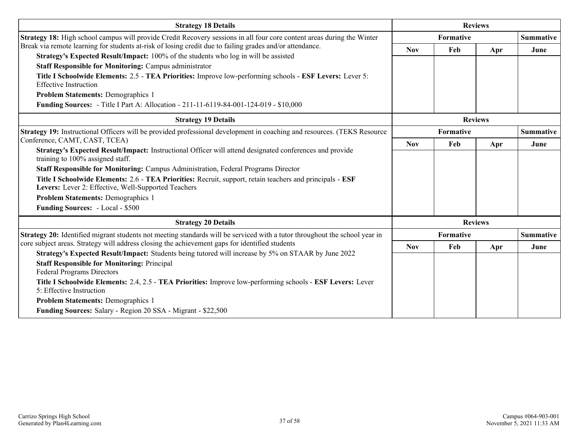| <b>Strategy 18 Details</b>                                                                                                                                                                            | <b>Reviews</b> |           |                |                  |
|-------------------------------------------------------------------------------------------------------------------------------------------------------------------------------------------------------|----------------|-----------|----------------|------------------|
| Strategy 18: High school campus will provide Credit Recovery sessions in all four core content areas during the Winter                                                                                | Formative      |           |                | <b>Summative</b> |
| Break via remote learning for students at-risk of losing credit due to failing grades and/or attendance.                                                                                              | <b>Nov</b>     | Feb       | Apr            | June             |
| Strategy's Expected Result/Impact: 100% of the students who log in will be assisted<br><b>Staff Responsible for Monitoring: Campus administrator</b>                                                  |                |           |                |                  |
| Title I Schoolwide Elements: 2.5 - TEA Priorities: Improve low-performing schools - ESF Levers: Lever 5:                                                                                              |                |           |                |                  |
| <b>Effective Instruction</b>                                                                                                                                                                          |                |           |                |                  |
| <b>Problem Statements: Demographics 1</b>                                                                                                                                                             |                |           |                |                  |
| <b>Funding Sources:</b> - Title I Part A: Allocation - 211-11-6119-84-001-124-019 - \$10,000                                                                                                          |                |           |                |                  |
| <b>Strategy 19 Details</b>                                                                                                                                                                            | <b>Reviews</b> |           |                |                  |
| Strategy 19: Instructional Officers will be provided professional development in coaching and resources. (TEKS Resource                                                                               |                | Formative |                | <b>Summative</b> |
| Conference, CAMT, CAST, TCEA)                                                                                                                                                                         | <b>Nov</b>     | Feb       | Apr            | June             |
| Strategy's Expected Result/Impact: Instructional Officer will attend designated conferences and provide<br>training to 100% assigned staff.                                                           |                |           |                |                  |
| Staff Responsible for Monitoring: Campus Administration, Federal Programs Director                                                                                                                    |                |           |                |                  |
| Title I Schoolwide Elements: 2.6 - TEA Priorities: Recruit, support, retain teachers and principals - ESF<br>Levers: Lever 2: Effective, Well-Supported Teachers                                      |                |           |                |                  |
| <b>Problem Statements: Demographics 1</b>                                                                                                                                                             |                |           |                |                  |
| Funding Sources: - Local - \$500                                                                                                                                                                      |                |           |                |                  |
| <b>Strategy 20 Details</b>                                                                                                                                                                            |                |           | <b>Reviews</b> |                  |
| Strategy 20: Identified migrant students not meeting standards will be serviced with a tutor throughout the school year in                                                                            |                | Formative |                | <b>Summative</b> |
| core subject areas. Strategy will address closing the achievement gaps for identified students<br>Strategy's Expected Result/Impact: Students being tutored will increase by 5% on STAAR by June 2022 | <b>Nov</b>     | Feb       | Apr            | June             |
| <b>Staff Responsible for Monitoring: Principal</b>                                                                                                                                                    |                |           |                |                  |
| <b>Federal Programs Directors</b>                                                                                                                                                                     |                |           |                |                  |
| Title I Schoolwide Elements: 2.4, 2.5 - TEA Priorities: Improve low-performing schools - ESF Levers: Lever                                                                                            |                |           |                |                  |
| 5: Effective Instruction                                                                                                                                                                              |                |           |                |                  |
| <b>Problem Statements: Demographics 1</b>                                                                                                                                                             |                |           |                |                  |
| Funding Sources: Salary - Region 20 SSA - Migrant - \$22,500                                                                                                                                          |                |           |                |                  |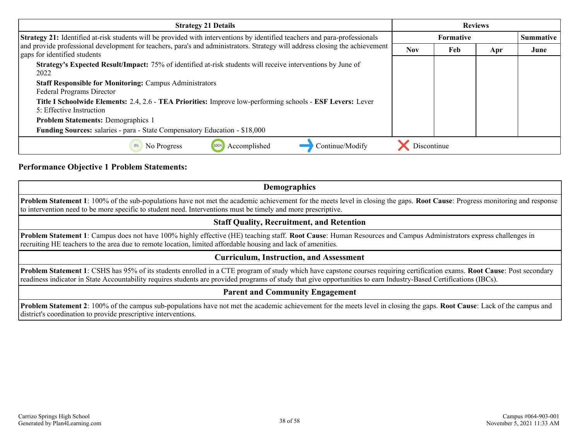| <b>Strategy 21 Details</b>                                                                                                                                  | <b>Reviews</b> |                                      |     |      |  |
|-------------------------------------------------------------------------------------------------------------------------------------------------------------|----------------|--------------------------------------|-----|------|--|
| Strategy 21: Identified at-risk students will be provided with interventions by identified teachers and para-professionals                                  |                | <b>Summative</b><br><b>Formative</b> |     |      |  |
| and provide professional development for teachers, para's and administrators. Strategy will address closing the achievement<br>gaps for identified students | <b>Nov</b>     | Feb                                  | Apr | June |  |
| <b>Strategy's Expected Result/Impact:</b> 75% of identified at-risk students will receive interventions by June of<br>2022                                  |                |                                      |     |      |  |
| <b>Staff Responsible for Monitoring: Campus Administrators</b><br>Federal Programs Director                                                                 |                |                                      |     |      |  |
| Title I Schoolwide Elements: 2.4, 2.6 - TEA Priorities: Improve low-performing schools - ESF Levers: Lever<br>5: Effective Instruction                      |                |                                      |     |      |  |
| <b>Problem Statements: Demographics 1</b>                                                                                                                   |                |                                      |     |      |  |
| Funding Sources: salaries - para - State Compensatory Education - \$18,000                                                                                  |                |                                      |     |      |  |
| Continue/Modify<br>Accomplished<br>No Progress                                                                                                              | Discontinue    |                                      |     |      |  |

#### **Performance Objective 1 Problem Statements:**

### **Demographics Problem Statement 1**: 100% of the sub-populations have not met the academic achievement for the meets level in closing the gaps. **Root Cause**: Progress monitoring and response to intervention need to be more specific to student need. Interventions must be timely and more prescriptive. **Staff Quality, Recruitment, and Retention Problem Statement 1**: Campus does not have 100% highly effective (HE) teaching staff. **Root Cause**: Human Resources and Campus Administrators express challenges in recruiting HE teachers to the area due to remote location, limited affordable housing and lack of amenities. **Curriculum, Instruction, and Assessment**

**Problem Statement 1**: CSHS has 95% of its students enrolled in a CTE program of study which have capstone courses requiring certification exams. **Root Cause**: Post secondary readiness indicator in State Accountability requires students are provided programs of study that give opportunities to earn Industry-Based Certifications (IBCs).

#### **Parent and Community Engagement**

**Problem Statement 2**: 100% of the campus sub-populations have not met the academic achievement for the meets level in closing the gaps. **Root Cause**: Lack of the campus and district's coordination to provide prescriptive interventions.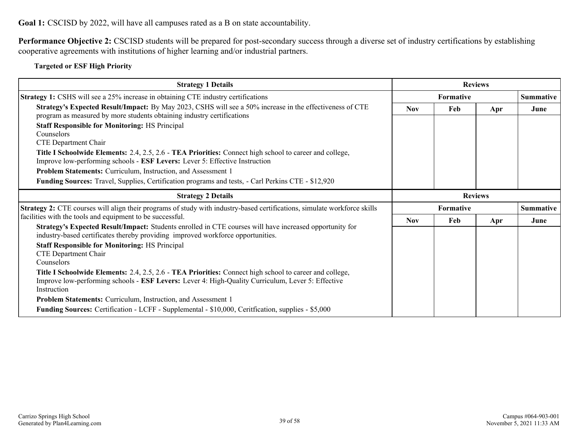**Goal 1:** CSCISD by 2022, will have all campuses rated as a B on state accountability.

**Performance Objective 2:** CSCISD students will be prepared for post-secondary success through a diverse set of industry certifications by establishing cooperative agreements with institutions of higher learning and/or industrial partners.

#### **Targeted or ESF High Priority**

| <b>Strategy 1 Details</b>                                                                                                                                                                                                   | <b>Reviews</b> |                  |     |                  |
|-----------------------------------------------------------------------------------------------------------------------------------------------------------------------------------------------------------------------------|----------------|------------------|-----|------------------|
| <b>Strategy 1:</b> CSHS will see a 25% increase in obtaining CTE industry certifications                                                                                                                                    |                | <b>Formative</b> |     | <b>Summative</b> |
| Strategy's Expected Result/Impact: By May 2023, CSHS will see a 50% increase in the effectiveness of CTE<br>program as measured by more students obtaining industry certifications                                          | <b>Nov</b>     | Feb              | Apr | June             |
| <b>Staff Responsible for Monitoring: HS Principal</b><br>Counselors<br>CTE Department Chair                                                                                                                                 |                |                  |     |                  |
| Title I Schoolwide Elements: 2.4, 2.5, 2.6 - TEA Priorities: Connect high school to career and college,<br>Improve low-performing schools - ESF Levers: Lever 5: Effective Instruction                                      |                |                  |     |                  |
| Problem Statements: Curriculum, Instruction, and Assessment 1                                                                                                                                                               |                |                  |     |                  |
| <b>Funding Sources:</b> Travel, Supplies, Certification programs and tests, - Carl Perkins CTE - \$12,920                                                                                                                   |                |                  |     |                  |
| <b>Strategy 2 Details</b>                                                                                                                                                                                                   |                | <b>Reviews</b>   |     |                  |
| Strategy 2: CTE courses will align their programs of study with industry-based certifications, simulate workforce skills                                                                                                    |                | Formative        |     | <b>Summative</b> |
| facilities with the tools and equipment to be successful.                                                                                                                                                                   | <b>Nov</b>     | Feb              | Apr | June             |
| Strategy's Expected Result/Impact: Students enrolled in CTE courses will have increased opportunity for<br>industry-based certificates thereby providing improved workforce opportunities.                                  |                |                  |     |                  |
| <b>Staff Responsible for Monitoring: HS Principal</b><br>CTE Department Chair<br>Counselors                                                                                                                                 |                |                  |     |                  |
| Title I Schoolwide Elements: 2.4, 2.5, 2.6 - TEA Priorities: Connect high school to career and college,<br>Improve low-performing schools - ESF Levers: Lever 4: High-Quality Curriculum, Lever 5: Effective<br>Instruction |                |                  |     |                  |
| Problem Statements: Curriculum, Instruction, and Assessment 1                                                                                                                                                               |                |                  |     |                  |
| <b>Funding Sources:</b> Certification - LCFF - Supplemental - \$10,000, Ceritfication, supplies - \$5,000                                                                                                                   |                |                  |     |                  |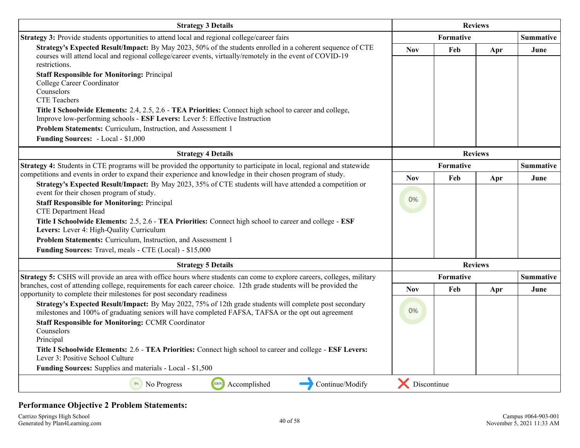| <b>Strategy 3 Details</b>                                                                                                                                                                                                                                                                                                                                                                                            | <b>Reviews</b>   |                |     |                  |  |                  |
|----------------------------------------------------------------------------------------------------------------------------------------------------------------------------------------------------------------------------------------------------------------------------------------------------------------------------------------------------------------------------------------------------------------------|------------------|----------------|-----|------------------|--|------------------|
| Strategy 3: Provide students opportunities to attend local and regional college/career fairs                                                                                                                                                                                                                                                                                                                         | <b>Formative</b> |                |     | <b>Summative</b> |  |                  |
| Strategy's Expected Result/Impact: By May 2023, 50% of the students enrolled in a coherent sequence of CTE<br>courses will attend local and regional college/career events, virtually/remotely in the event of COVID-19<br>restrictions.                                                                                                                                                                             | <b>Nov</b>       | Feb            | Apr | June             |  |                  |
| <b>Staff Responsible for Monitoring: Principal</b><br>College Career Coordinator<br>Counselors<br><b>CTE</b> Teachers                                                                                                                                                                                                                                                                                                |                  |                |     |                  |  |                  |
| Title I Schoolwide Elements: 2.4, 2.5, 2.6 - TEA Priorities: Connect high school to career and college,<br>Improve low-performing schools - ESF Levers: Lever 5: Effective Instruction                                                                                                                                                                                                                               |                  |                |     |                  |  |                  |
| Problem Statements: Curriculum, Instruction, and Assessment 1                                                                                                                                                                                                                                                                                                                                                        |                  |                |     |                  |  |                  |
| <b>Funding Sources:</b> - Local - \$1,000                                                                                                                                                                                                                                                                                                                                                                            |                  |                |     |                  |  |                  |
| <b>Strategy 4 Details</b>                                                                                                                                                                                                                                                                                                                                                                                            |                  | <b>Reviews</b> |     |                  |  |                  |
| Strategy 4: Students in CTE programs will be provided the opportunity to participate in local, regional and statewide                                                                                                                                                                                                                                                                                                | <b>Formative</b> |                |     |                  |  | <b>Summative</b> |
| competitions and events in order to expand their experience and knowledge in their chosen program of study.<br>Strategy's Expected Result/Impact: By May 2023, 35% of CTE students will have attended a competition or                                                                                                                                                                                               | <b>Nov</b>       | Feb            | Apr | June             |  |                  |
| event for their chosen program of study.<br><b>Staff Responsible for Monitoring: Principal</b><br><b>CTE Department Head</b><br>Title I Schoolwide Elements: 2.5, 2.6 - TEA Priorities: Connect high school to career and college - ESF<br>Levers: Lever 4: High-Quality Curriculum<br>Problem Statements: Curriculum, Instruction, and Assessment 1<br>Funding Sources: Travel, meals - CTE (Local) - \$15,000      | 0%               |                |     |                  |  |                  |
| <b>Strategy 5 Details</b>                                                                                                                                                                                                                                                                                                                                                                                            |                  | <b>Reviews</b> |     |                  |  |                  |
| Strategy 5: CSHS will provide an area with office hours where students can come to explore careers, colleges, military                                                                                                                                                                                                                                                                                               |                  | Formative      |     | <b>Summative</b> |  |                  |
| branches, cost of attending college, requirements for each career choice. 12th grade students will be provided the<br>opportunity to complete their milestones for post secondary readiness                                                                                                                                                                                                                          | <b>Nov</b>       | Feb            | Apr | June             |  |                  |
| Strategy's Expected Result/Impact: By May 2022, 75% of 12th grade students will complete post secondary<br>milestones and 100% of graduating seniors will have completed FAFSA, TAFSA or the opt out agreement<br><b>Staff Responsible for Monitoring: CCMR Coordinator</b><br>Counselors<br>Principal<br>Title I Schoolwide Elements: 2.6 - TEA Priorities: Connect high school to career and college - ESF Levers: | 0%               |                |     |                  |  |                  |
| Lever 3: Positive School Culture                                                                                                                                                                                                                                                                                                                                                                                     |                  |                |     |                  |  |                  |
| Funding Sources: Supplies and materials - Local - \$1,500                                                                                                                                                                                                                                                                                                                                                            |                  |                |     |                  |  |                  |
| 100%<br>0%<br>Accomplished<br>Continue/Modify<br>No Progress                                                                                                                                                                                                                                                                                                                                                         | Discontinue      |                |     |                  |  |                  |

#### **Performance Objective 2 Problem Statements:**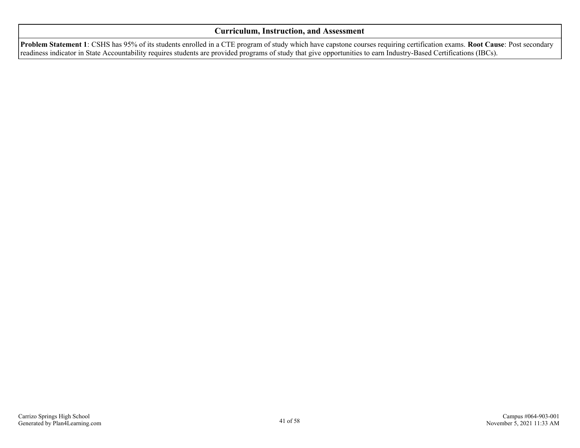#### **Curriculum, Instruction, and Assessment**

**Problem Statement 1**: CSHS has 95% of its students enrolled in a CTE program of study which have capstone courses requiring certification exams. **Root Cause**: Post secondary readiness indicator in State Accountability requires students are provided programs of study that give opportunities to earn Industry-Based Certifications (IBCs).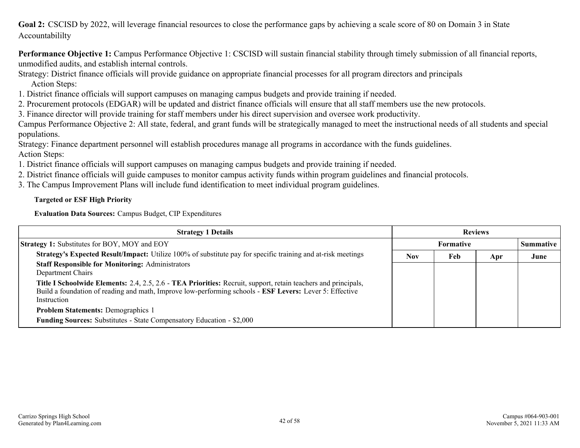<span id="page-41-0"></span>Goal 2: CSCISD by 2022, will leverage financial resources to close the performance gaps by achieving a scale score of 80 on Domain 3 in State Accountabililty

**Performance Objective 1:** Campus Performance Objective 1: CSCISD will sustain financial stability through timely submission of all financial reports, unmodified audits, and establish internal controls.

Strategy: District finance officials will provide guidance on appropriate financial processes for all program directors and principals Action Steps:

1. District finance officials will support campuses on managing campus budgets and provide training if needed.

2. Procurement protocols (EDGAR) will be updated and district finance officials will ensure that all staff members use the new protocols.

3. Finance director will provide training for staff members under his direct supervision and oversee work productivity.

Campus Performance Objective 2: All state, federal, and grant funds will be strategically managed to meet the instructional needs of all students and special populations.

Strategy: Finance department personnel will establish procedures manage all programs in accordance with the funds guidelines.

Action Steps:

1. District finance officials will support campuses on managing campus budgets and provide training if needed.

2. District finance officials will guide campuses to monitor campus activity funds within program guidelines and financial protocols.

3. The Campus Improvement Plans will include fund identification to meet individual program guidelines.

#### **Targeted or ESF High Priority**

**Evaluation Data Sources:** Campus Budget, CIP Expenditures

| <b>Strategy 1 Details</b>                                                                                                                                                                                                                | <b>Reviews</b> |           |     |                  |
|------------------------------------------------------------------------------------------------------------------------------------------------------------------------------------------------------------------------------------------|----------------|-----------|-----|------------------|
| <b>Strategy 1:</b> Substitutes for BOY, MOY and EOY                                                                                                                                                                                      |                | Formative |     | <b>Summative</b> |
| Strategy's Expected Result/Impact: Utilize 100% of substitute pay for specific training and at-risk meetings                                                                                                                             | <b>Nov</b>     | Feb       | Apr | June             |
| <b>Staff Responsible for Monitoring: Administrators</b><br>Department Chairs                                                                                                                                                             |                |           |     |                  |
| Title I Schoolwide Elements: 2.4, 2.5, 2.6 - TEA Priorities: Recruit, support, retain teachers and principals,<br>Build a foundation of reading and math, Improve low-performing schools - ESF Levers: Lever 5: Effective<br>Instruction |                |           |     |                  |
| <b>Problem Statements: Demographics 1</b>                                                                                                                                                                                                |                |           |     |                  |
| <b>Funding Sources:</b> Substitutes - State Compensatory Education - \$2,000                                                                                                                                                             |                |           |     |                  |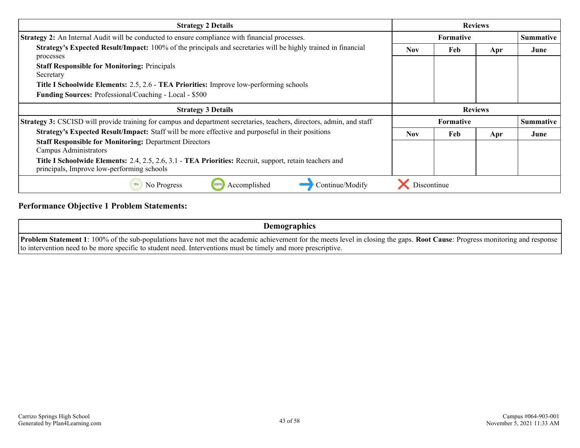| <b>Strategy 2 Details</b>                                                                                                                                           | <b>Reviews</b>   |                |     |           |
|---------------------------------------------------------------------------------------------------------------------------------------------------------------------|------------------|----------------|-----|-----------|
| <b>Strategy 2:</b> An Internal Audit will be conducted to ensure compliance with financial processes.                                                               | <b>Formative</b> |                |     | Summative |
| Strategy's Expected Result/Impact: 100% of the principals and secretaries will be highly trained in financial<br>processes                                          | <b>Nov</b>       | Feb            | Apr | June      |
| <b>Staff Responsible for Monitoring: Principals</b><br>Secretary                                                                                                    |                  |                |     |           |
| <b>Title I Schoolwide Elements: 2.5, 2.6 - TEA Priorities:</b> Improve low-performing schools                                                                       |                  |                |     |           |
| Funding Sources: Professional/Coaching - Local - \$500                                                                                                              |                  |                |     |           |
| <b>Strategy 3 Details</b>                                                                                                                                           |                  | <b>Reviews</b> |     |           |
| <b>Strategy 3:</b> CSCISD will provide training for campus and department secretaries, teachers, directors, admin, and staff                                        | <b>Formative</b> |                |     | Summative |
| Strategy's Expected Result/Impact: Staff will be more effective and purposeful in their positions                                                                   | <b>Nov</b>       | Feb            | Apr | June      |
| <b>Staff Responsible for Monitoring: Department Directors</b><br><b>Campus Administrators</b>                                                                       |                  |                |     |           |
| <b>Title I Schoolwide Elements:</b> 2.4, 2.5, 2.6, 3.1 - <b>TEA Priorities:</b> Recruit, support, retain teachers and<br>principals, Improve low-performing schools |                  |                |     |           |
| Continue/Modify<br>Accomplished<br>No Progress                                                                                                                      | Discontinue      |                |     |           |

### **Performance Objective 1 Problem Statements:**

| <b>Demographics</b>                                                                                                                                                                          |
|----------------------------------------------------------------------------------------------------------------------------------------------------------------------------------------------|
| <b>Problem Statement 1</b> : 100% of the sub-populations have not met the academic achievement for the meets level in closing the gaps. <b>Root Cause</b> : Progress monitoring and response |
| to intervention need to be more specific to student need. Interventions must be timely and more prescriptive.                                                                                |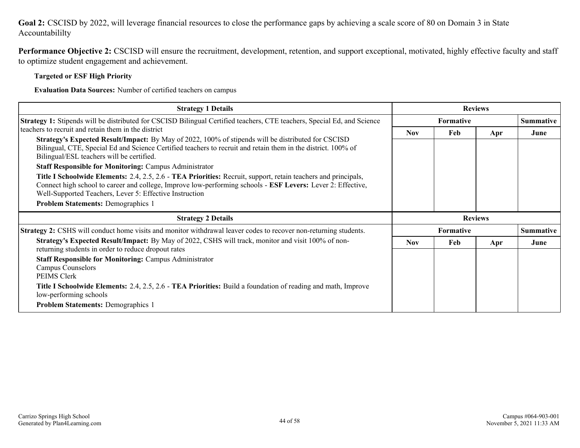#### **Goal 2:** CSCISD by 2022, will leverage financial resources to close the performance gaps by achieving a scale score of 80 on Domain 3 in State Accountabililty

**Performance Objective 2:** CSCISD will ensure the recruitment, development, retention, and support exceptional, motivated, highly effective faculty and staff to optimize student engagement and achievement.

#### **Targeted or ESF High Priority**

**Evaluation Data Sources:** Number of certified teachers on campus

| <b>Strategy 1 Details</b>                                                                                                                                                                                                                                                                                                                                                                                                                                                                                                                                                                                                                                                                                                                | <b>Reviews</b> |                  |     |                  |
|------------------------------------------------------------------------------------------------------------------------------------------------------------------------------------------------------------------------------------------------------------------------------------------------------------------------------------------------------------------------------------------------------------------------------------------------------------------------------------------------------------------------------------------------------------------------------------------------------------------------------------------------------------------------------------------------------------------------------------------|----------------|------------------|-----|------------------|
| Strategy 1: Stipends will be distributed for CSCISD Bilingual Certified teachers, CTE teachers, Special Ed, and Science                                                                                                                                                                                                                                                                                                                                                                                                                                                                                                                                                                                                                  |                | <b>Formative</b> |     | <b>Summative</b> |
| teachers to recruit and retain them in the district<br><b>Strategy's Expected Result/Impact:</b> By May of 2022, 100% of stipends will be distributed for CSCISD<br>Bilingual, CTE, Special Ed and Science Certified teachers to recruit and retain them in the district. 100% of<br>Bilingual/ESL teachers will be certified.<br><b>Staff Responsible for Monitoring: Campus Administrator</b><br>Title I Schoolwide Elements: 2.4, 2.5, 2.6 - TEA Priorities: Recruit, support, retain teachers and principals,<br>Connect high school to career and college, Improve low-performing schools - ESF Levers: Lever 2: Effective,<br>Well-Supported Teachers, Lever 5: Effective Instruction<br><b>Problem Statements: Demographics 1</b> | <b>Nov</b>     | Feb              | Apr | June             |
| <b>Strategy 2 Details</b>                                                                                                                                                                                                                                                                                                                                                                                                                                                                                                                                                                                                                                                                                                                | <b>Reviews</b> |                  |     |                  |
| <b>Strategy 2:</b> CSHS will conduct home visits and monitor withdrawal leaver codes to recover non-returning students.                                                                                                                                                                                                                                                                                                                                                                                                                                                                                                                                                                                                                  |                | <b>Formative</b> |     | <b>Summative</b> |
| Strategy's Expected Result/Impact: By May of 2022, CSHS will track, monitor and visit 100% of non-<br>returning students in order to reduce dropout rates                                                                                                                                                                                                                                                                                                                                                                                                                                                                                                                                                                                | <b>Nov</b>     | Feb              | Apr | June             |
| <b>Staff Responsible for Monitoring: Campus Administrator</b><br><b>Campus Counselors</b><br><b>PEIMS Clerk</b>                                                                                                                                                                                                                                                                                                                                                                                                                                                                                                                                                                                                                          |                |                  |     |                  |
| Title I Schoolwide Elements: 2.4, 2.5, 2.6 - TEA Priorities: Build a foundation of reading and math, Improve<br>low-performing schools                                                                                                                                                                                                                                                                                                                                                                                                                                                                                                                                                                                                   |                |                  |     |                  |
| <b>Problem Statements: Demographics 1</b>                                                                                                                                                                                                                                                                                                                                                                                                                                                                                                                                                                                                                                                                                                |                |                  |     |                  |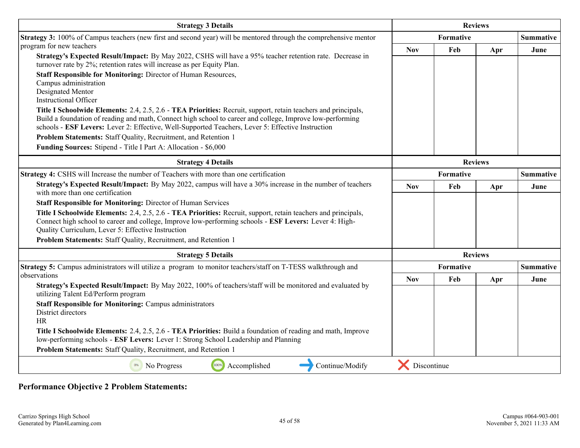| <b>Strategy 3 Details</b>                                                                                                                                                                                      | <b>Reviews</b> |     |                  |                  |
|----------------------------------------------------------------------------------------------------------------------------------------------------------------------------------------------------------------|----------------|-----|------------------|------------------|
| Strategy 3: 100% of Campus teachers (new first and second year) will be mentored through the comprehensive mentor                                                                                              |                |     | <b>Summative</b> |                  |
| program for new teachers                                                                                                                                                                                       | <b>Nov</b>     | Feb | Apr              | June             |
| Strategy's Expected Result/Impact: By May 2022, CSHS will have a 95% teacher retention rate. Decrease in<br>turnover rate by 2%; retention rates will increase as per Equity Plan.                             |                |     |                  |                  |
| Staff Responsible for Monitoring: Director of Human Resources,                                                                                                                                                 |                |     |                  |                  |
| Campus administration<br>Designated Mentor                                                                                                                                                                     |                |     |                  |                  |
| <b>Instructional Officer</b>                                                                                                                                                                                   |                |     |                  |                  |
| Title I Schoolwide Elements: 2.4, 2.5, 2.6 - TEA Priorities: Recruit, support, retain teachers and principals,                                                                                                 |                |     |                  |                  |
| Build a foundation of reading and math, Connect high school to career and college, Improve low-performing<br>schools - ESF Levers: Lever 2: Effective, Well-Supported Teachers, Lever 5: Effective Instruction |                |     |                  |                  |
| Problem Statements: Staff Quality, Recruitment, and Retention 1                                                                                                                                                |                |     |                  |                  |
| Funding Sources: Stipend - Title I Part A: Allocation - \$6,000                                                                                                                                                |                |     |                  |                  |
| <b>Strategy 4 Details</b>                                                                                                                                                                                      | <b>Reviews</b> |     |                  |                  |
| Strategy 4: CSHS will Increase the number of Teachers with more than one certification                                                                                                                         | Formative      |     |                  | <b>Summative</b> |
| Strategy's Expected Result/Impact: By May 2022, campus will have a 30% increase in the number of teachers<br>with more than one certification                                                                  | <b>Nov</b>     | Feb | Apr              | June             |
| <b>Staff Responsible for Monitoring: Director of Human Services</b>                                                                                                                                            |                |     |                  |                  |
| Title I Schoolwide Elements: 2.4, 2.5, 2.6 - TEA Priorities: Recruit, support, retain teachers and principals,                                                                                                 |                |     |                  |                  |
| Connect high school to career and college, Improve low-performing schools - ESF Levers: Lever 4: High-<br>Quality Curriculum, Lever 5: Effective Instruction                                                   |                |     |                  |                  |
| Problem Statements: Staff Quality, Recruitment, and Retention 1                                                                                                                                                |                |     |                  |                  |
|                                                                                                                                                                                                                |                |     |                  |                  |
| <b>Strategy 5 Details</b>                                                                                                                                                                                      |                |     | <b>Reviews</b>   |                  |
| Strategy 5: Campus administrators will utilize a program to monitor teachers/staff on T-TESS walkthrough and<br>observations                                                                                   | Formative      |     |                  | <b>Summative</b> |
| Strategy's Expected Result/Impact: By May 2022, 100% of teachers/staff will be monitored and evaluated by                                                                                                      | <b>Nov</b>     | Feb | Apr              | June             |
| utilizing Talent Ed/Perform program                                                                                                                                                                            |                |     |                  |                  |
| <b>Staff Responsible for Monitoring: Campus administrators</b>                                                                                                                                                 |                |     |                  |                  |
| District directors<br>HR                                                                                                                                                                                       |                |     |                  |                  |
| Title I Schoolwide Elements: 2.4, 2.5, 2.6 - TEA Priorities: Build a foundation of reading and math, Improve                                                                                                   |                |     |                  |                  |
| low-performing schools - ESF Levers: Lever 1: Strong School Leadership and Planning                                                                                                                            |                |     |                  |                  |
| Problem Statements: Staff Quality, Recruitment, and Retention 1                                                                                                                                                |                |     |                  |                  |
| 100%<br>Accomplished<br>Continue/Modify<br>No Progress<br>0%                                                                                                                                                   | Discontinue    |     |                  |                  |

**Performance Objective 2 Problem Statements:**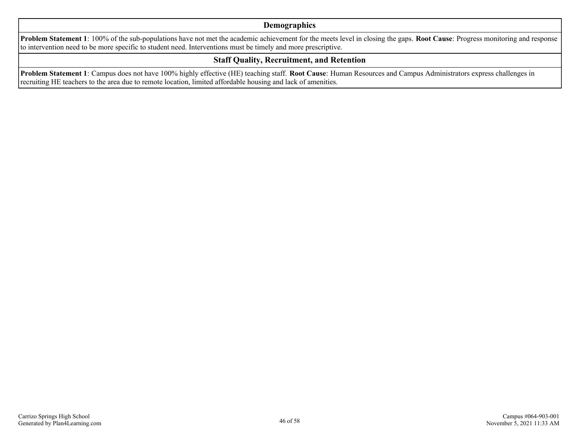#### **Demographics**

**Problem Statement 1**: 100% of the sub-populations have not met the academic achievement for the meets level in closing the gaps. **Root Cause**: Progress monitoring and response to intervention need to be more specific to student need. Interventions must be timely and more prescriptive.

#### **Staff Quality, Recruitment, and Retention**

**Problem Statement 1**: Campus does not have 100% highly effective (HE) teaching staff. **Root Cause**: Human Resources and Campus Administrators express challenges in recruiting HE teachers to the area due to remote location, limited affordable housing and lack of amenities.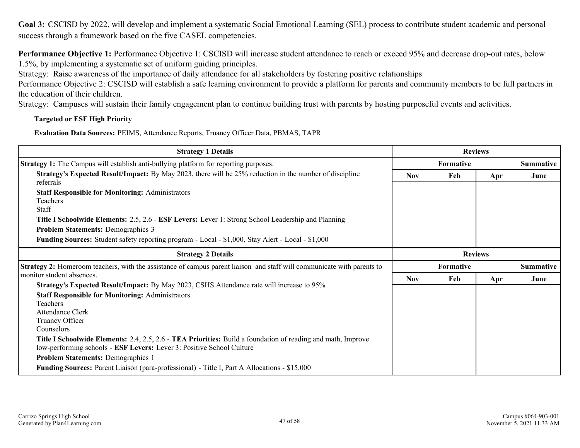<span id="page-46-0"></span>**Goal 3:** CSCISD by 2022, will develop and implement a systematic Social Emotional Learning (SEL) process to contribute student academic and personal success through a framework based on the five CASEL competencies.

**Performance Objective 1:** Performance Objective 1: CSCISD will increase student attendance to reach or exceed 95% and decrease drop-out rates, below 1.5%, by implementing a systematic set of uniform guiding principles.

Strategy: Raise awareness of the importance of daily attendance for all stakeholders by fostering positive relationships

Performance Objective 2: CSCISD will establish a safe learning environment to provide a platform for parents and community members to be full partners in the education of their children.

Strategy: Campuses will sustain their family engagement plan to continue building trust with parents by hosting purposeful events and activities.

#### **Targeted or ESF High Priority**

**Evaluation Data Sources:** PEIMS, Attendance Reports, Truancy Officer Data, PBMAS, TAPR

| <b>Strategy 1 Details</b>                                                                                                                                                                               | <b>Reviews</b> |                  |     |                  |
|---------------------------------------------------------------------------------------------------------------------------------------------------------------------------------------------------------|----------------|------------------|-----|------------------|
| Strategy 1: The Campus will establish anti-bullying platform for reporting purposes.                                                                                                                    |                | <b>Formative</b> |     | <b>Summative</b> |
| <b>Strategy's Expected Result/Impact:</b> By May 2023, there will be 25% reduction in the number of discipline<br>referrals                                                                             | <b>Nov</b>     | Feb              | Apr | June             |
| <b>Staff Responsible for Monitoring: Administrators</b><br>Teachers<br><b>Staff</b>                                                                                                                     |                |                  |     |                  |
| Title I Schoolwide Elements: 2.5, 2.6 - ESF Levers: Lever 1: Strong School Leadership and Planning                                                                                                      |                |                  |     |                  |
| <b>Problem Statements: Demographics 3</b>                                                                                                                                                               |                |                  |     |                  |
| Funding Sources: Student safety reporting program - Local - \$1,000, Stay Alert - Local - \$1,000                                                                                                       |                |                  |     |                  |
| <b>Strategy 2 Details</b>                                                                                                                                                                               | <b>Reviews</b> |                  |     |                  |
| Strategy 2: Homeroom teachers, with the assistance of campus parent liaison and staff will communicate with parents to                                                                                  |                | Formative        |     | <b>Summative</b> |
| monitor student absences.                                                                                                                                                                               | <b>Nov</b>     | Feb              | Apr | June             |
| Strategy's Expected Result/Impact: By May 2023, CSHS Attendance rate will increase to 95%<br><b>Staff Responsible for Monitoring: Administrators</b><br>Teachers<br>Attendance Clerk<br>Truancy Officer |                |                  |     |                  |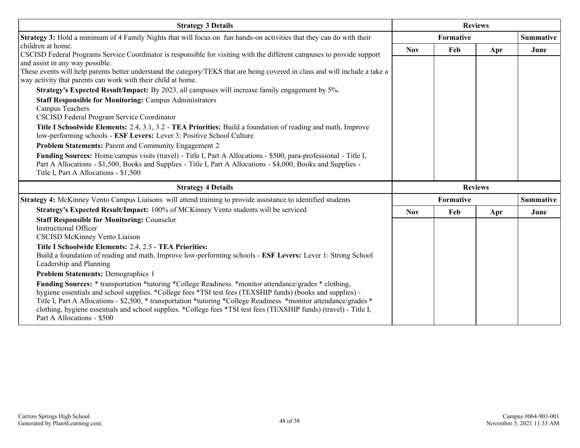| <b>Strategy 3 Details</b>                                                                                                                                                                                                                                                                                                                                                                                                                                                                                 | <b>Reviews</b> |           |                |                  |
|-----------------------------------------------------------------------------------------------------------------------------------------------------------------------------------------------------------------------------------------------------------------------------------------------------------------------------------------------------------------------------------------------------------------------------------------------------------------------------------------------------------|----------------|-----------|----------------|------------------|
| <b>Strategy 3:</b> Hold a minimum of 4 Family Nights that will focus on fun hands-on activities that they can do with their                                                                                                                                                                                                                                                                                                                                                                               |                | Formative |                | Summative        |
| children at home.<br>CSCISD Federal Programs Service Coordinator is responsible for visiting with the different campuses to provide support                                                                                                                                                                                                                                                                                                                                                               | <b>Nov</b>     | Feb       | Apr            | June             |
| and assist in any way possible.                                                                                                                                                                                                                                                                                                                                                                                                                                                                           |                |           |                |                  |
| These events will help parents better understand the category/TEKS that are being covered in class and will include a take a<br>way activity that parents can work with their child at home.                                                                                                                                                                                                                                                                                                              |                |           |                |                  |
| Strategy's Expected Result/Impact: By 2023, all campuses will increase family engagement by 5%.                                                                                                                                                                                                                                                                                                                                                                                                           |                |           |                |                  |
| <b>Staff Responsible for Monitoring: Campus Administrators</b>                                                                                                                                                                                                                                                                                                                                                                                                                                            |                |           |                |                  |
| Campus Teachers<br>CSCISD Federal Program Service Coordinator                                                                                                                                                                                                                                                                                                                                                                                                                                             |                |           |                |                  |
| Title I Schoolwide Elements: 2.4, 3.1, 3.2 - TEA Priorities: Build a foundation of reading and math, Improve<br>low-performing schools - ESF Levers: Lever 3: Positive School Culture                                                                                                                                                                                                                                                                                                                     |                |           |                |                  |
| Problem Statements: Parent and Community Engagement 2                                                                                                                                                                                                                                                                                                                                                                                                                                                     |                |           |                |                  |
| Funding Sources: Home/campus visits (travel) - Title I, Part A Allocations - \$500, para-professional - Title I,<br>Part A Allocations - \$1,500, Books and Supplies - Title I, Part A Allocations - \$4,000, Books and Supplies -<br>Title I, Part A Allocations - \$1,500                                                                                                                                                                                                                               |                |           |                |                  |
| <b>Strategy 4 Details</b>                                                                                                                                                                                                                                                                                                                                                                                                                                                                                 |                |           | <b>Reviews</b> |                  |
| <b>Strategy 4:</b> McKinney Vento Campus Liaisons will attend training to provide assistance to identified students                                                                                                                                                                                                                                                                                                                                                                                       |                | Formative |                | <b>Summative</b> |
| Strategy's Expected Result/Impact: 100% of MCKinney Vento students will be serviced                                                                                                                                                                                                                                                                                                                                                                                                                       | <b>Nov</b>     | Feb       | Apr            | June             |
| <b>Staff Responsible for Monitoring: Counselor</b>                                                                                                                                                                                                                                                                                                                                                                                                                                                        |                |           |                |                  |
| <b>Instructional Officer</b><br><b>CSCISD McKinney Vento Liaison</b>                                                                                                                                                                                                                                                                                                                                                                                                                                      |                |           |                |                  |
| Title I Schoolwide Elements: 2.4, 2.5 - TEA Priorities:                                                                                                                                                                                                                                                                                                                                                                                                                                                   |                |           |                |                  |
| Build a foundation of reading and math, Improve low-performing schools - ESF Levers: Lever 1: Strong School<br>Leadership and Planning                                                                                                                                                                                                                                                                                                                                                                    |                |           |                |                  |
| <b>Problem Statements: Demographics 1</b>                                                                                                                                                                                                                                                                                                                                                                                                                                                                 |                |           |                |                  |
| <b>Funding Sources:</b> * transportation *tutoring *College Readiness. *monitor attendance/grades * clothing,<br>hygiene essentials and school supplies. *College fees *TSI test fees (TEXSHIP funds) (books and supplies) -<br>Title I, Part A Allocations - \$2,500, * transportation * tutoring * College Readiness. * monitor attendance/grades *<br>clothing, hygiene essentials and school supplies. *College fees *TSI test fees (TEXSHIP funds) (travel) - Title I,<br>Part A Allocations - \$500 |                |           |                |                  |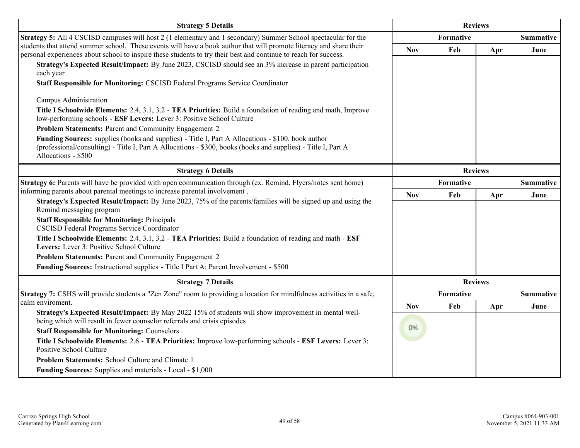| <b>Strategy 5 Details</b>                                                                                                                                                                                                                 |                               | <b>Reviews</b> |                |                  |  |  |  |  |
|-------------------------------------------------------------------------------------------------------------------------------------------------------------------------------------------------------------------------------------------|-------------------------------|----------------|----------------|------------------|--|--|--|--|
| Strategy 5: All 4 CSCISD campuses will host 2 (1 elementary and 1 secondary) Summer School spectacular for the                                                                                                                            |                               | Formative      |                | <b>Summative</b> |  |  |  |  |
| students that attend summer school. These events will have a book author that will promote literacy and share their<br>personal experiences about school to inspire these students to try their best and continue to reach for success.   | <b>Nov</b>                    | Feb            | Apr            | June             |  |  |  |  |
| Strategy's Expected Result/Impact: By June 2023, CSCISD should see an 3% increase in parent participation<br>each year                                                                                                                    |                               |                |                |                  |  |  |  |  |
| Staff Responsible for Monitoring: CSCISD Federal Programs Service Coordinator                                                                                                                                                             |                               |                |                |                  |  |  |  |  |
| Campus Administration                                                                                                                                                                                                                     |                               |                |                |                  |  |  |  |  |
| Title I Schoolwide Elements: 2.4, 3.1, 3.2 - TEA Priorities: Build a foundation of reading and math, Improve<br>low-performing schools - ESF Levers: Lever 3: Positive School Culture                                                     |                               |                |                |                  |  |  |  |  |
| Problem Statements: Parent and Community Engagement 2                                                                                                                                                                                     |                               |                |                |                  |  |  |  |  |
| Funding Sources: supplies (books and supplies) - Title I, Part A Allocations - \$100, book author<br>(professional/consulting) - Title I, Part A Allocations - \$300, books (books and supplies) - Title I, Part A<br>Allocations - \$500 |                               |                |                |                  |  |  |  |  |
| <b>Strategy 6 Details</b>                                                                                                                                                                                                                 |                               |                | <b>Reviews</b> |                  |  |  |  |  |
| Strategy 6: Parents will have be provided with open communication through (ex. Remind, Flyers/notes sent home)                                                                                                                            | Formative<br><b>Summative</b> |                |                |                  |  |  |  |  |
| informing parents about parental meetings to increase parental involvement.                                                                                                                                                               | <b>Nov</b>                    | Feb            | Apr            | June             |  |  |  |  |
| Strategy's Expected Result/Impact: By June 2023, 75% of the parents/families will be signed up and using the<br>Remind messaging program                                                                                                  |                               |                |                |                  |  |  |  |  |
| <b>Staff Responsible for Monitoring: Principals</b><br><b>CSCISD Federal Programs Service Coordinator</b>                                                                                                                                 |                               |                |                |                  |  |  |  |  |
| Title I Schoolwide Elements: 2.4, 3.1, 3.2 - TEA Priorities: Build a foundation of reading and math - ESF<br>Levers: Lever 3: Positive School Culture                                                                                     |                               |                |                |                  |  |  |  |  |
| Problem Statements: Parent and Community Engagement 2                                                                                                                                                                                     |                               |                |                |                  |  |  |  |  |
| Funding Sources: Instructional supplies - Title I Part A: Parent Involvement - \$500                                                                                                                                                      |                               |                |                |                  |  |  |  |  |
| <b>Strategy 7 Details</b>                                                                                                                                                                                                                 |                               |                | <b>Reviews</b> |                  |  |  |  |  |
| Strategy 7: CSHS will provide students a "Zen Zone" room to providing a location for mindfulness activities in a safe,                                                                                                                    |                               | Formative      |                | <b>Summative</b> |  |  |  |  |
| calm enviroment.                                                                                                                                                                                                                          | <b>Nov</b>                    | Feb            | Apr            | June             |  |  |  |  |
| Strategy's Expected Result/Impact: By May 2022 15% of students will show improvement in mental well-<br>being which will result in fewer counselor referrals and crisis episodes                                                          | 0%                            |                |                |                  |  |  |  |  |
| <b>Staff Responsible for Monitoring: Counselors</b>                                                                                                                                                                                       |                               |                |                |                  |  |  |  |  |
| Title I Schoolwide Elements: 2.6 - TEA Priorities: Improve low-performing schools - ESF Levers: Lever 3:<br><b>Positive School Culture</b>                                                                                                |                               |                |                |                  |  |  |  |  |
| Problem Statements: School Culture and Climate 1                                                                                                                                                                                          |                               |                |                |                  |  |  |  |  |
| Funding Sources: Supplies and materials - Local - \$1,000                                                                                                                                                                                 |                               |                |                |                  |  |  |  |  |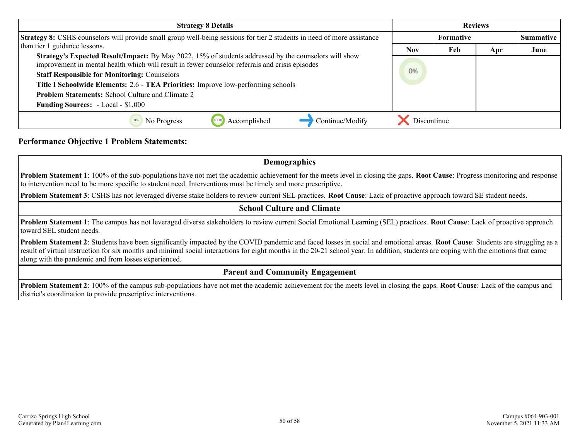| <b>Strategy 8 Details</b>                                                                                                                                                                                | <b>Reviews</b> |                  |     |      |  |  |  |
|----------------------------------------------------------------------------------------------------------------------------------------------------------------------------------------------------------|----------------|------------------|-----|------|--|--|--|
| <b>Strategy 8:</b> CSHS counselors will provide small group well-being sessions for tier 2 students in need of more assistance                                                                           |                | <b>Summative</b> |     |      |  |  |  |
| than tier 1 guidance lessons.                                                                                                                                                                            | <b>Nov</b>     | Feb              | Apr | June |  |  |  |
| Strategy's Expected Result/Impact: By May 2022, 15% of students addressed by the counselors will show<br>improvement in mental health which will result in fewer counselor referrals and crisis episodes |                |                  |     |      |  |  |  |
| <b>Staff Responsible for Monitoring: Counselors</b>                                                                                                                                                      | 0%             |                  |     |      |  |  |  |
| Title I Schoolwide Elements: 2.6 - TEA Priorities: Improve low-performing schools                                                                                                                        |                |                  |     |      |  |  |  |
| <b>Problem Statements:</b> School Culture and Climate 2                                                                                                                                                  |                |                  |     |      |  |  |  |
| <b>Funding Sources:</b> - Local - \$1,000                                                                                                                                                                |                |                  |     |      |  |  |  |
| Continue/Modify<br>No Progress<br>Accomplished                                                                                                                                                           | Discontinue    |                  |     |      |  |  |  |

#### **Performance Objective 1 Problem Statements:**

**Demographics**

**Problem Statement 1**: 100% of the sub-populations have not met the academic achievement for the meets level in closing the gaps. **Root Cause**: Progress monitoring and response to intervention need to be more specific to student need. Interventions must be timely and more prescriptive.

**Problem Statement 3**: CSHS has not leveraged diverse stake holders to review current SEL practices. **Root Cause**: Lack of proactive approach toward SE student needs.

#### **School Culture and Climate**

**Problem Statement 1**: The campus has not leveraged diverse stakeholders to review current Social Emotional Learning (SEL) practices. **Root Cause**: Lack of proactive approach toward SEL student needs.

**Problem Statement 2**: Students have been significantly impacted by the COVID pandemic and faced losses in social and emotional areas. **Root Cause**: Students are struggling as a result of virtual instruction for six months and minimal social interactions for eight months in the 20-21 school year. In addition, students are coping with the emotions that came along with the pandemic and from losses experienced.

#### **Parent and Community Engagement**

**Problem Statement 2**: 100% of the campus sub-populations have not met the academic achievement for the meets level in closing the gaps. **Root Cause**: Lack of the campus and district's coordination to provide prescriptive interventions.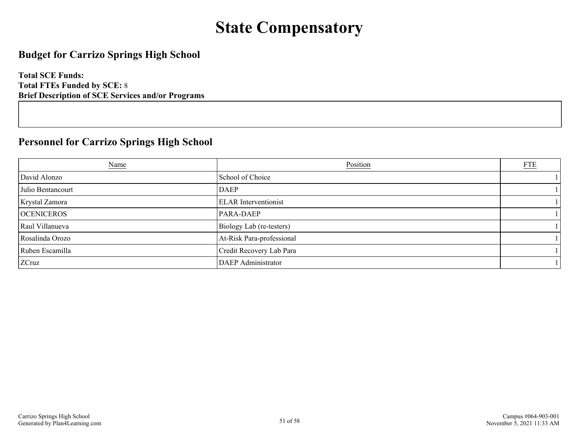## **State Compensatory**

### <span id="page-50-0"></span>**Budget for Carrizo Springs High School**

**Total SCE Funds: Total FTEs Funded by SCE:** 8 **Brief Description of SCE Services and/or Programs**

## **Personnel for Carrizo Springs High School**

| <b>Name</b>       | Position                    | <b>FTE</b> |
|-------------------|-----------------------------|------------|
| David Alonzo      | School of Choice            |            |
| Julio Bentancourt | <b>DAEP</b>                 |            |
| Krystal Zamora    | <b>ELAR</b> Interventionist |            |
| <b>OCENICEROS</b> | <b>PARA-DAEP</b>            |            |
| Raul Villanueva   | Biology Lab (re-testers)    |            |
| Rosalinda Orozo   | At-Risk Para-professional   |            |
| Ruben Escamilla   | Credit Recovery Lab Para    |            |
| ZCruz             | <b>DAEP</b> Administrator   |            |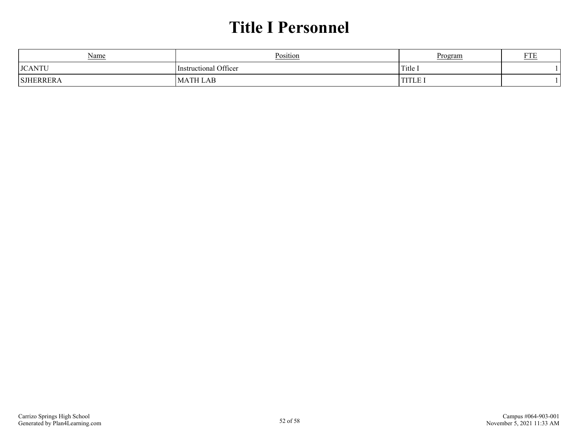## **Title I Personnel**

<span id="page-51-0"></span>

| Name          | Position              | Program | T/TT |
|---------------|-----------------------|---------|------|
| <b>JCANTU</b> | Instructional Officer | Title 1 |      |
| SJHERRERA     | LAB<br>M<br>Δ         | TITLE.  |      |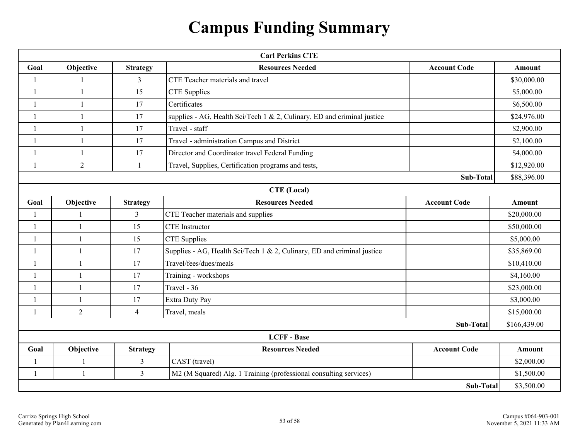## **Campus Funding Summary**

<span id="page-52-0"></span>

|                | <b>Carl Perkins CTE</b>   |                 |                                                                         |                     |               |  |  |  |  |  |  |
|----------------|---------------------------|-----------------|-------------------------------------------------------------------------|---------------------|---------------|--|--|--|--|--|--|
| Goal           | Objective                 | <b>Strategy</b> | <b>Resources Needed</b>                                                 | <b>Account Code</b> | <b>Amount</b> |  |  |  |  |  |  |
| $\mathbf{1}$   |                           | $\overline{3}$  | CTE Teacher materials and travel                                        |                     | \$30,000.00   |  |  |  |  |  |  |
| $\overline{1}$ | $\mathbf{1}$              | 15              | <b>CTE</b> Supplies                                                     |                     | \$5,000.00    |  |  |  |  |  |  |
| $\mathbf{1}$   | 1                         | 17              | Certificates                                                            |                     | \$6,500.00    |  |  |  |  |  |  |
| $\overline{1}$ | $\mathbf{1}$              | 17              | supplies - AG, Health Sci/Tech 1 & 2, Culinary, ED and criminal justice |                     | \$24,976.00   |  |  |  |  |  |  |
| $\mathbf{1}$   | Travel - staff<br>17<br>1 |                 |                                                                         |                     |               |  |  |  |  |  |  |
| $\mathbf{1}$   | 1                         | 17              | Travel - administration Campus and District                             |                     | \$2,100.00    |  |  |  |  |  |  |
| $\overline{1}$ | 1                         | 17              | Director and Coordinator travel Federal Funding                         |                     | \$4,000.00    |  |  |  |  |  |  |
| $\overline{1}$ | $\overline{2}$            | $\mathbf{1}$    | Travel, Supplies, Certification programs and tests,                     |                     | \$12,920.00   |  |  |  |  |  |  |
|                |                           |                 |                                                                         | Sub-Total           | \$88,396.00   |  |  |  |  |  |  |
|                | <b>CTE</b> (Local)        |                 |                                                                         |                     |               |  |  |  |  |  |  |
| Goal           | Objective                 | <b>Strategy</b> | <b>Resources Needed</b>                                                 | <b>Account Code</b> | <b>Amount</b> |  |  |  |  |  |  |
| $\mathbf{1}$   | $\overline{1}$            | $\mathfrak{Z}$  | CTE Teacher materials and supplies                                      |                     | \$20,000.00   |  |  |  |  |  |  |
| $\overline{1}$ | $\overline{1}$            | 15              | <b>CTE</b> Instructor                                                   |                     | \$50,000.00   |  |  |  |  |  |  |
| $\mathbf{1}$   | $\overline{1}$            | 15              | <b>CTE</b> Supplies                                                     |                     | \$5,000.00    |  |  |  |  |  |  |
| $\mathbf{1}$   | $\mathbf{1}$              | 17              | Supplies - AG, Health Sci/Tech 1 & 2, Culinary, ED and criminal justice |                     | \$35,869.00   |  |  |  |  |  |  |
| $\overline{1}$ | $\overline{1}$            | 17              | Travel/fees/dues/meals                                                  |                     | \$10,410.00   |  |  |  |  |  |  |
| $\mathbf{1}$   | $\mathbf{1}$              | 17              | Training - workshops                                                    |                     | \$4,160.00    |  |  |  |  |  |  |
| $\mathbf{1}$   | $\mathbf{1}$              | 17              | Travel - 36                                                             |                     | \$23,000.00   |  |  |  |  |  |  |
| $\mathbf{1}$   | $\mathbf{1}$              | 17              | Extra Duty Pay                                                          |                     | \$3,000.00    |  |  |  |  |  |  |
| $\overline{1}$ | $\overline{2}$            | $\overline{4}$  | Travel, meals                                                           |                     | \$15,000.00   |  |  |  |  |  |  |
|                |                           |                 |                                                                         | <b>Sub-Total</b>    | \$166,439.00  |  |  |  |  |  |  |
|                |                           |                 | <b>LCFF</b> - Base                                                      |                     |               |  |  |  |  |  |  |
| Goal           | Objective                 | <b>Strategy</b> | <b>Resources Needed</b>                                                 | <b>Account Code</b> | <b>Amount</b> |  |  |  |  |  |  |
| $\mathbf{1}$   | $\overline{1}$            | 3               | CAST (travel)                                                           |                     | \$2,000.00    |  |  |  |  |  |  |
| $\mathbf{1}$   | $\mathbf{1}$              | $\mathfrak{Z}$  | M2 (M Squared) Alg. 1 Training (professional consulting services)       |                     | \$1,500.00    |  |  |  |  |  |  |
|                | Sub-Total<br>\$3,500.00   |                 |                                                                         |                     |               |  |  |  |  |  |  |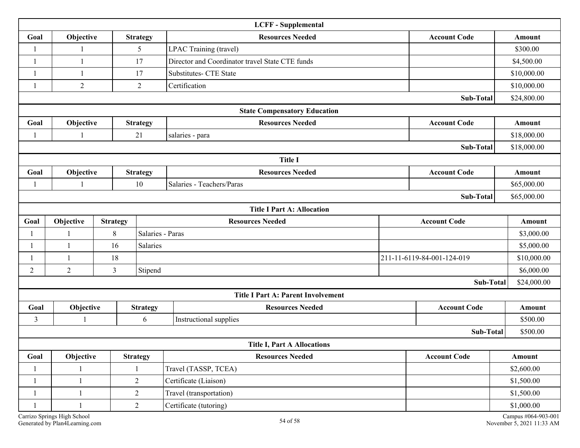|              |                                                                                |                |                  | <b>LCFF</b> - Supplemental                      |  |                            |                                                  |  |  |  |
|--------------|--------------------------------------------------------------------------------|----------------|------------------|-------------------------------------------------|--|----------------------------|--------------------------------------------------|--|--|--|
| Goal         | Objective<br><b>Resources Needed</b><br><b>Account Code</b><br><b>Strategy</b> |                |                  |                                                 |  |                            |                                                  |  |  |  |
| 1            |                                                                                |                | 5                | LPAC Training (travel)                          |  |                            | \$300.00                                         |  |  |  |
| 1            | 1                                                                              |                | 17               | Director and Coordinator travel State CTE funds |  |                            | \$4,500.00                                       |  |  |  |
| -1           | 1                                                                              |                | 17               | <b>Substitutes- CTE State</b>                   |  |                            | \$10,000.00                                      |  |  |  |
| 1            | $\overline{2}$                                                                 |                | $\overline{2}$   | Certification                                   |  |                            | \$10,000.00                                      |  |  |  |
|              |                                                                                |                |                  |                                                 |  | Sub-Total                  | \$24,800.00                                      |  |  |  |
|              |                                                                                |                |                  | <b>State Compensatory Education</b>             |  |                            |                                                  |  |  |  |
| Goal         | Objective                                                                      |                | <b>Strategy</b>  | <b>Resources Needed</b>                         |  | <b>Account Code</b>        | <b>Amount</b>                                    |  |  |  |
|              |                                                                                |                | 21               | salaries - para                                 |  |                            | \$18,000.00                                      |  |  |  |
|              | Sub-Total                                                                      |                |                  |                                                 |  |                            |                                                  |  |  |  |
|              |                                                                                |                |                  | <b>Title I</b>                                  |  |                            |                                                  |  |  |  |
| Goal         | Objective                                                                      |                | <b>Strategy</b>  | <b>Resources Needed</b>                         |  | <b>Account Code</b>        | <b>Amount</b>                                    |  |  |  |
| 1            | $\mathbf{1}$                                                                   |                | 10               | Salaries - Teachers/Paras                       |  |                            | \$65,000.00                                      |  |  |  |
| Sub-Total    |                                                                                |                |                  |                                                 |  |                            |                                                  |  |  |  |
|              |                                                                                |                |                  | <b>Title I Part A: Allocation</b>               |  |                            |                                                  |  |  |  |
| Goal         | Objective<br><b>Strategy</b>                                                   |                |                  | <b>Resources Needed</b>                         |  | <b>Account Code</b>        | Amount                                           |  |  |  |
| 1            |                                                                                | 8              | Salaries - Paras |                                                 |  | \$3,000.00                 |                                                  |  |  |  |
|              | $\mathbf{1}$                                                                   | 16             | Salaries         |                                                 |  |                            | \$5,000.00                                       |  |  |  |
|              |                                                                                | 18             |                  |                                                 |  | 211-11-6119-84-001-124-019 | \$10,000.00                                      |  |  |  |
| 2            | $\overline{2}$                                                                 | $\overline{3}$ | Stipend          |                                                 |  |                            | \$6,000.00                                       |  |  |  |
|              |                                                                                |                |                  |                                                 |  | Sub-Total                  | \$24,000.00                                      |  |  |  |
|              |                                                                                |                |                  | <b>Title I Part A: Parent Involvement</b>       |  |                            |                                                  |  |  |  |
| Goal         | Objective                                                                      |                | <b>Strategy</b>  | <b>Resources Needed</b>                         |  | <b>Account Code</b>        | <b>Amount</b>                                    |  |  |  |
| 3            |                                                                                |                | 6                | Instructional supplies                          |  |                            | \$500.00                                         |  |  |  |
|              |                                                                                |                |                  |                                                 |  | <b>Sub-Total</b>           | \$500.00                                         |  |  |  |
|              |                                                                                |                |                  | <b>Title I, Part A Allocations</b>              |  |                            |                                                  |  |  |  |
| Goal         | Objective                                                                      |                | <b>Strategy</b>  | <b>Resources Needed</b>                         |  | <b>Account Code</b>        | Amount                                           |  |  |  |
|              |                                                                                |                |                  | Travel (TASSP, TCEA)                            |  | \$2,600.00                 |                                                  |  |  |  |
| $\mathbf{1}$ | $\overline{2}$<br>$\mathbf{1}$                                                 |                |                  | Certificate (Liaison)                           |  |                            | \$1,500.00                                       |  |  |  |
| $\mathbf 1$  | $\mathbf{1}$                                                                   |                | $\overline{2}$   | Travel (transportation)                         |  |                            | \$1,500.00                                       |  |  |  |
|              |                                                                                |                | $\overline{2}$   | Certificate (tutoring)                          |  |                            | \$1,000.00                                       |  |  |  |
|              | Carrizo Springs High School<br>Generated by Plan4Learning.com                  |                |                  | 54 of 58                                        |  |                            | Campus #064-903-001<br>November 5, 2021 11:33 AM |  |  |  |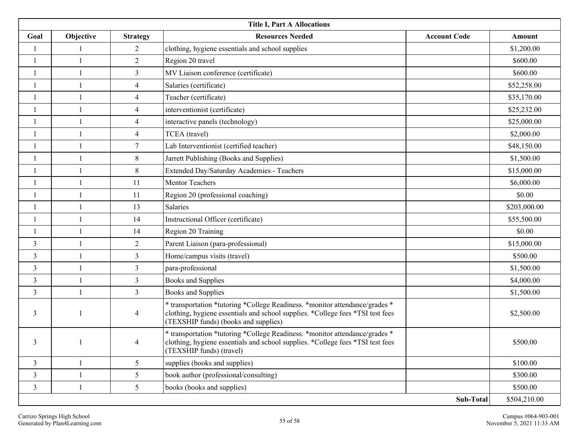| <b>Title I, Part A Allocations</b> |                |                 |                                                                                                                                                                                                       |                     |              |  |  |  |  |  |
|------------------------------------|----------------|-----------------|-------------------------------------------------------------------------------------------------------------------------------------------------------------------------------------------------------|---------------------|--------------|--|--|--|--|--|
| Goal                               | Objective      | <b>Strategy</b> | <b>Resources Needed</b>                                                                                                                                                                               | <b>Account Code</b> | Amount       |  |  |  |  |  |
| 1                                  |                | 2               | clothing, hygiene essentials and school supplies                                                                                                                                                      |                     | \$1,200.00   |  |  |  |  |  |
| $\mathbf{1}$                       | $\mathbf{1}$   | $\overline{2}$  | Region 20 travel                                                                                                                                                                                      |                     | \$600.00     |  |  |  |  |  |
| 1                                  | $\overline{1}$ | $\mathfrak{Z}$  | MV Liaison conference (certificate)                                                                                                                                                                   |                     | \$600.00     |  |  |  |  |  |
|                                    | -1             | $\overline{4}$  | Salaries (certificate)                                                                                                                                                                                |                     | \$52,258.00  |  |  |  |  |  |
| 1                                  | $\overline{1}$ | 4               | Teacher (certificate)                                                                                                                                                                                 |                     | \$35,170.00  |  |  |  |  |  |
| $\overline{1}$                     | $\overline{1}$ | $\overline{4}$  | interventionist (certificate)                                                                                                                                                                         |                     | \$25,232.00  |  |  |  |  |  |
| 1                                  | $\mathbf{1}$   | 4               | interactive panels (technology)                                                                                                                                                                       |                     | \$25,000.00  |  |  |  |  |  |
| $\mathbf{1}$                       | -1             | $\overline{4}$  | TCEA (travel)                                                                                                                                                                                         |                     | \$2,000.00   |  |  |  |  |  |
|                                    |                | $7\phantom{.0}$ | Lab Interventionist (certified teacher)                                                                                                                                                               |                     | \$48,150.00  |  |  |  |  |  |
| $\mathbf{1}$                       | $\mathbf{1}$   | $8\,$           | Jarrett Publishing (Books and Supplies)                                                                                                                                                               |                     | \$1,500.00   |  |  |  |  |  |
| $\overline{1}$                     | $\overline{1}$ | $8\,$           | Extended Day/Saturday Academies - Teachers                                                                                                                                                            |                     | \$15,000.00  |  |  |  |  |  |
| $\mathbf{1}$                       | $\overline{1}$ | 11              | Mentor Teachers                                                                                                                                                                                       |                     | \$6,000.00   |  |  |  |  |  |
|                                    |                | 11              | Region 20 (professional coaching)                                                                                                                                                                     |                     | \$0.00       |  |  |  |  |  |
| $\mathbf{1}$                       | $\overline{1}$ | 13              | Salaries                                                                                                                                                                                              |                     | \$203,000.00 |  |  |  |  |  |
| $\mathbf{1}$                       | $\mathbf{1}$   | 14              | Instructional Officer (certificate)                                                                                                                                                                   |                     | \$55,500.00  |  |  |  |  |  |
| $\overline{1}$                     | $\mathbf{1}$   | 14              | Region 20 Training                                                                                                                                                                                    |                     | \$0.00       |  |  |  |  |  |
| 3                                  | $\overline{1}$ | $\overline{2}$  | Parent Liaison (para-professional)                                                                                                                                                                    |                     | \$15,000.00  |  |  |  |  |  |
| $\mathfrak{Z}$                     | $\overline{1}$ | $\mathfrak{Z}$  | Home/campus visits (travel)                                                                                                                                                                           |                     | \$500.00     |  |  |  |  |  |
| $\mathfrak{Z}$                     | $\overline{1}$ | $\overline{3}$  | para-professional                                                                                                                                                                                     |                     | \$1,500.00   |  |  |  |  |  |
| $\mathfrak{Z}$                     | $\overline{1}$ | $\mathfrak{Z}$  | <b>Books and Supplies</b>                                                                                                                                                                             |                     | \$4,000.00   |  |  |  |  |  |
| $\mathfrak{Z}$                     | $\overline{1}$ | $\overline{3}$  | <b>Books and Supplies</b>                                                                                                                                                                             |                     | \$1,500.00   |  |  |  |  |  |
| 3                                  |                | $\overline{4}$  | * transportation *tutoring *College Readiness. *monitor attendance/grades *<br>clothing, hygiene essentials and school supplies. *College fees *TSI test fees<br>(TEXSHIP funds) (books and supplies) |                     | \$2,500.00   |  |  |  |  |  |
| 3                                  |                | 4               | * transportation *tutoring *College Readiness. *monitor attendance/grades *<br>clothing, hygiene essentials and school supplies. *College fees *TSI test fees<br>(TEXSHIP funds) (travel)             |                     | \$500.00     |  |  |  |  |  |
| $\overline{3}$                     | $\mathbf{1}$   | 5               | supplies (books and supplies)                                                                                                                                                                         |                     | \$100.00     |  |  |  |  |  |
| $\mathfrak{Z}$                     | $\mathbf{1}$   | 5               | book author (professional/consulting)                                                                                                                                                                 |                     | \$300.00     |  |  |  |  |  |
| $\mathfrak{Z}$                     | $\overline{1}$ | 5               | books (books and supplies)                                                                                                                                                                            |                     | \$500.00     |  |  |  |  |  |
|                                    |                |                 |                                                                                                                                                                                                       | Sub-Total           | \$504,210.00 |  |  |  |  |  |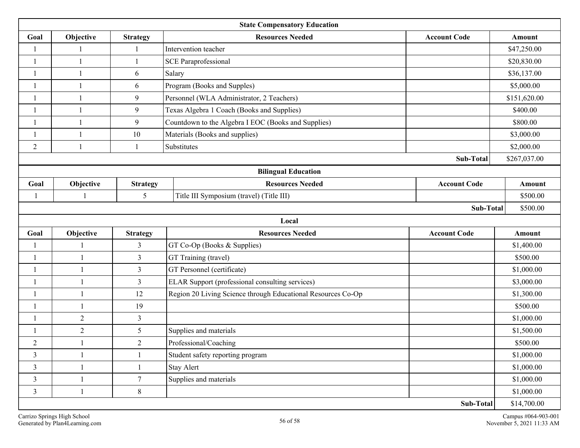| <b>State Compensatory Education</b> |                                                                                |                 |                                                              |  |              |  |  |  |  |  |  |
|-------------------------------------|--------------------------------------------------------------------------------|-----------------|--------------------------------------------------------------|--|--------------|--|--|--|--|--|--|
| Goal                                | Objective                                                                      | <b>Strategy</b> | <b>Resources Needed</b><br><b>Account Code</b>               |  | Amount       |  |  |  |  |  |  |
| $\mathbf{1}$                        |                                                                                |                 | Intervention teacher                                         |  | \$47,250.00  |  |  |  |  |  |  |
| $\overline{\phantom{a}}$            | -1                                                                             | 1               | <b>SCE Paraprofessional</b>                                  |  | \$20,830.00  |  |  |  |  |  |  |
| $\overline{\mathbf{1}}$             | $\overline{1}$                                                                 | 6               | Salary                                                       |  | \$36,137.00  |  |  |  |  |  |  |
| $\overline{1}$                      | $\overline{1}$                                                                 | 6               | Program (Books and Supples)                                  |  | \$5,000.00   |  |  |  |  |  |  |
| -1                                  | -1                                                                             | 9               | Personnel (WLA Administrator, 2 Teachers)                    |  | \$151,620.00 |  |  |  |  |  |  |
| $\overline{\phantom{a}}$            | $\mathbf{1}$                                                                   | 9               | Texas Algebra 1 Coach (Books and Supplies)                   |  | \$400.00     |  |  |  |  |  |  |
| $\overline{\phantom{a}}$            | $\mathbf{1}$                                                                   | $\overline{9}$  | Countdown to the Algebra I EOC (Books and Supplies)          |  | \$800.00     |  |  |  |  |  |  |
| $\mathbf{1}$                        | $\overline{1}$                                                                 | 10              | Materials (Books and supplies)                               |  | \$3,000.00   |  |  |  |  |  |  |
| $\overline{2}$                      | $\overline{\phantom{a}}$                                                       | 1               | Substitutes                                                  |  | \$2,000.00   |  |  |  |  |  |  |
|                                     |                                                                                |                 | Sub-Total                                                    |  | \$267,037.00 |  |  |  |  |  |  |
| <b>Bilingual Education</b>          |                                                                                |                 |                                                              |  |              |  |  |  |  |  |  |
| Goal                                | <b>Account Code</b><br>Objective<br><b>Resources Needed</b><br><b>Strategy</b> |                 |                                                              |  |              |  |  |  |  |  |  |
| $\overline{1}$                      |                                                                                | 5               | Title III Symposium (travel) (Title III)                     |  | \$500.00     |  |  |  |  |  |  |
| Sub-Total                           |                                                                                |                 |                                                              |  |              |  |  |  |  |  |  |
|                                     |                                                                                |                 | Local                                                        |  |              |  |  |  |  |  |  |
| Goal                                | Objective                                                                      | <b>Strategy</b> | <b>Resources Needed</b><br><b>Account Code</b>               |  | Amount       |  |  |  |  |  |  |
| $\mathbf{1}$                        |                                                                                | $\mathfrak{Z}$  | GT Co-Op (Books & Supplies)                                  |  | \$1,400.00   |  |  |  |  |  |  |
| $\overline{\mathbf{1}}$             | 1                                                                              | $\overline{3}$  | GT Training (travel)                                         |  | \$500.00     |  |  |  |  |  |  |
| $\overline{\phantom{a}}$            |                                                                                | $\overline{3}$  | GT Personnel (certificate)                                   |  | \$1,000.00   |  |  |  |  |  |  |
| $\mathbf{1}$                        | 1                                                                              | $\mathfrak{Z}$  | ELAR Support (professional consulting services)              |  | \$3,000.00   |  |  |  |  |  |  |
| -1                                  |                                                                                | 12              | Region 20 Living Science through Educational Resources Co-Op |  | \$1,300.00   |  |  |  |  |  |  |
| $\overline{\phantom{a}}$            |                                                                                | 19              |                                                              |  | \$500.00     |  |  |  |  |  |  |
| $\overline{1}$                      | $\overline{2}$                                                                 | $\overline{3}$  |                                                              |  | \$1,000.00   |  |  |  |  |  |  |
|                                     | $\overline{c}$                                                                 | 5               | Supplies and materials                                       |  | \$1,500.00   |  |  |  |  |  |  |
| $\overline{2}$                      |                                                                                | $\overline{2}$  | Professional/Coaching                                        |  | \$500.00     |  |  |  |  |  |  |
| 3                                   | 1                                                                              | $\mathbf{1}$    | Student safety reporting program                             |  | \$1,000.00   |  |  |  |  |  |  |
| $\mathfrak{Z}$                      | 1                                                                              | $\mathbf{1}$    | Stay Alert                                                   |  | \$1,000.00   |  |  |  |  |  |  |
| $\mathfrak{Z}$                      |                                                                                | $\tau$          | Supplies and materials                                       |  | \$1,000.00   |  |  |  |  |  |  |
| $\mathfrak{Z}$                      | $\mathbf{1}$                                                                   | $8\,$           |                                                              |  | \$1,000.00   |  |  |  |  |  |  |
|                                     |                                                                                |                 | Sub-Total                                                    |  | \$14,700.00  |  |  |  |  |  |  |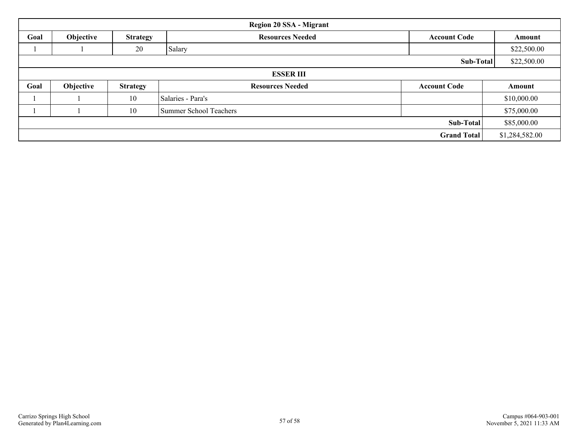|                          | <b>Region 20 SSA - Migrant</b> |                 |                               |                     |                |  |  |  |  |  |  |  |
|--------------------------|--------------------------------|-----------------|-------------------------------|---------------------|----------------|--|--|--|--|--|--|--|
| Goal                     | Objective                      | <b>Strategy</b> | <b>Resources Needed</b>       | <b>Account Code</b> | Amount         |  |  |  |  |  |  |  |
|                          |                                | 20              | Salary                        |                     | \$22,500.00    |  |  |  |  |  |  |  |
| \$22,500.00<br>Sub-Total |                                |                 |                               |                     |                |  |  |  |  |  |  |  |
|                          | <b>ESSER III</b>               |                 |                               |                     |                |  |  |  |  |  |  |  |
| Goal                     | Objective                      | <b>Strategy</b> | <b>Resources Needed</b>       | <b>Account Code</b> | Amount         |  |  |  |  |  |  |  |
|                          |                                | 10              | Salaries - Para's             |                     | \$10,000.00    |  |  |  |  |  |  |  |
|                          |                                | 10              | <b>Summer School Teachers</b> |                     | \$75,000.00    |  |  |  |  |  |  |  |
|                          |                                |                 |                               | Sub-Total           | \$85,000.00    |  |  |  |  |  |  |  |
|                          |                                |                 |                               | <b>Grand Total</b>  | \$1,284,582.00 |  |  |  |  |  |  |  |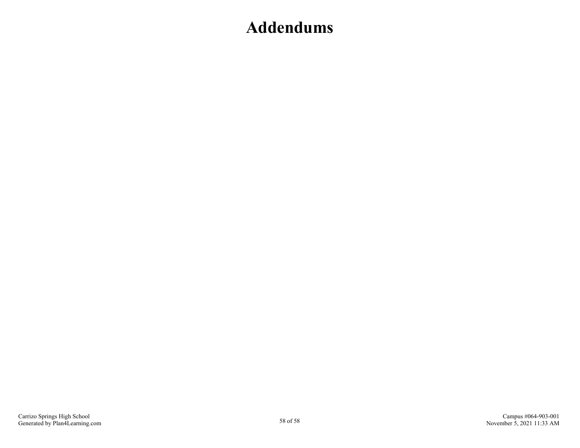## <span id="page-57-0"></span>**Addendums**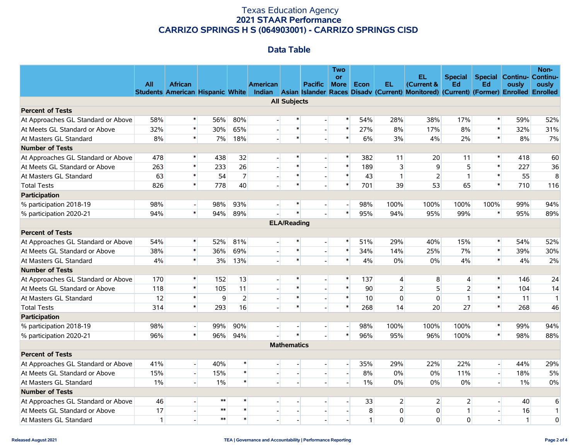#### Texas Education Agency **2021 STAAR Performance CARRIZO SPRINGS H S (064903001) - CARRIZO SPRINGS CISD**

#### **Data Table**

|                                    | All          | <b>African</b> |            |                | American                 |                     | <b>Pacific</b>           | <b>Two</b><br><b>or</b><br><b>More</b> | Econ  | EL.            | <b>EL</b><br>(Current &                                                                                                       | <b>Special</b><br>Ed | Ed                       | <b>Special Continu- Continu-</b><br>ously | Non-<br>ously  |
|------------------------------------|--------------|----------------|------------|----------------|--------------------------|---------------------|--------------------------|----------------------------------------|-------|----------------|-------------------------------------------------------------------------------------------------------------------------------|----------------------|--------------------------|-------------------------------------------|----------------|
|                                    |              |                |            |                |                          |                     |                          |                                        |       |                | Students American Hispanic White Indian Asian Islander Races Disadv (Current) Monitored) (Current) (Former) Enrolled Enrolled |                      |                          |                                           |                |
|                                    |              |                |            |                |                          | <b>All Subjects</b> |                          |                                        |       |                |                                                                                                                               |                      |                          |                                           |                |
| <b>Percent of Tests</b>            |              |                |            |                |                          |                     |                          |                                        |       |                |                                                                                                                               |                      |                          |                                           |                |
| At Approaches GL Standard or Above | 58%          | $\ast$         | 56%        | 80%            |                          | $\ast$              |                          | $\ast$                                 | 54%   | 28%            | 38%                                                                                                                           | 17%                  | $\pmb{\ast}$             | 59%                                       | 52%            |
| At Meets GL Standard or Above      | 32%          | $\ast$         | 30%        | 65%            |                          | $\ast$              | $\mathbf{L}$             | $\ast$                                 | 27%   | 8%             | 17%                                                                                                                           | 8%                   | $\ast$                   | 32%                                       | 31%            |
| At Masters GL Standard             | 8%           | $\ast$         | 7%         | 18%            |                          | $\ast$              |                          | $\ast$                                 | 6%    | 3%             | 4%                                                                                                                            | 2%                   | $\ast$                   | 8%                                        | 7%             |
| <b>Number of Tests</b>             |              |                |            |                |                          |                     |                          |                                        |       |                |                                                                                                                               |                      |                          |                                           |                |
| At Approaches GL Standard or Above | 478          | $\pmb{\ast}$   | 438        | 32             |                          | $\ast$              | $\overline{\phantom{a}}$ | $\ast$                                 | 382   | 11             | 20                                                                                                                            | 11                   | $\ast$                   | 418                                       | 60             |
| At Meets GL Standard or Above      | 263          | $\ast$         | 233        | 26             |                          | $\ast$              |                          | $\ast$                                 | 189   | 3              | 9                                                                                                                             | 5                    | $\ast$                   | 227                                       | 36             |
| At Masters GL Standard             | 63           | $\ast$         | 54         | $\overline{7}$ |                          | $\ast$              |                          | $\ast$                                 | 43    | $\mathbf{1}$   | $\overline{2}$                                                                                                                | $\mathbf{1}$         | $\ast$                   | 55                                        | 8              |
| <b>Total Tests</b>                 | 826          | $\ast$         | 778        | 40             |                          | $\ast$              |                          | $\ast$                                 | 701   | 39             | 53                                                                                                                            | 65                   | $\ast$                   | 710                                       | 116            |
| Participation                      |              |                |            |                |                          |                     |                          |                                        |       |                |                                                                                                                               |                      |                          |                                           |                |
| % participation 2018-19            | 98%          | $\overline{a}$ | 98%        | 93%            |                          | $\ast$              | $\overline{a}$           | $\overline{a}$                         | 98%   | 100%           | 100%                                                                                                                          | 100%                 | 100%                     | 99%                                       | 94%            |
| % participation 2020-21            | 94%          | $\ast$         | 94%        | 89%            |                          | $\ast$              |                          | $\ast$                                 | 95%   | 94%            | 95%                                                                                                                           | 99%                  | $\pmb{\ast}$             | 95%                                       | 89%            |
|                                    |              |                |            |                |                          | <b>ELA/Reading</b>  |                          |                                        |       |                |                                                                                                                               |                      |                          |                                           |                |
| <b>Percent of Tests</b>            |              |                |            |                |                          |                     |                          |                                        |       |                |                                                                                                                               |                      |                          |                                           |                |
| At Approaches GL Standard or Above | 54%          | $\ast$         | 52%        | 81%            |                          | $\ast$              |                          | $\ast$                                 | 51%   | 29%            | 40%                                                                                                                           | 15%                  | $\ast$                   | 54%                                       | 52%            |
| At Meets GL Standard or Above      | 38%          | $\ast$         | 36%        | 69%            |                          | $\ast$              | $\overline{a}$           | $\ast$                                 | 34%   | 14%            | 25%                                                                                                                           | 7%                   | $\ast$                   | 39%                                       | 30%            |
| At Masters GL Standard             | 4%           | $\ast$         | 3%         | 13%            |                          | $\ast$              |                          | $\ast$                                 | 4%    | 0%             | 0%                                                                                                                            | 4%                   | $\ast$                   | 4%                                        | 2%             |
| <b>Number of Tests</b>             |              |                |            |                |                          |                     |                          |                                        |       |                |                                                                                                                               |                      |                          |                                           |                |
| At Approaches GL Standard or Above | 170          | $\ast$         | 152        | 13             |                          | $\ast$              |                          | $\ast$                                 | 137   | $\overline{4}$ | 8                                                                                                                             | 4                    | $\pmb{\ast}$             | 146                                       | 24             |
| At Meets GL Standard or Above      | 118          | $\ast$         | 105        | 11             |                          | $\ast$              | $\overline{\phantom{a}}$ | $\ast$                                 | 90    | $\overline{2}$ | 5 <sup>1</sup>                                                                                                                | $\overline{2}$       | $\ast$                   | 104                                       | 14             |
| At Masters GL Standard             | 12           | $\ast$         | 9          | 2              |                          | $\ast$              | $\overline{\phantom{a}}$ | $\ast$                                 | 10    | $\Omega$       | $\mathbf{0}$                                                                                                                  | $\mathbf{1}$         | $\ast$                   | 11                                        | $\overline{1}$ |
| <b>Total Tests</b>                 | 314          | $\ast$         | 293        | 16             |                          | $\ast$              |                          | $\ast$                                 | 268   | 14             | 20                                                                                                                            | 27                   | $\pmb{\ast}$             | 268                                       | 46             |
| Participation                      |              |                |            |                |                          |                     |                          |                                        |       |                |                                                                                                                               |                      |                          |                                           |                |
| % participation 2018-19            | 98%          | $\mathbf{L}$   | 99%        | 90%            | $\overline{\phantom{a}}$ | $\overline{a}$      | $\overline{\phantom{a}}$ | $\overline{\phantom{a}}$               | 98%   | 100%           | 100%                                                                                                                          | 100%                 | $\ast$                   | 99%                                       | 94%            |
| % participation 2020-21            | 96%          | $\pmb{\ast}$   | 96%        | 94%            |                          | $\ast$              |                          | $\ast$                                 | 96%   | 95%            | 96%                                                                                                                           | 100%                 | $\pmb{\ast}$             | 98%                                       | 88%            |
|                                    |              |                |            |                |                          | <b>Mathematics</b>  |                          |                                        |       |                |                                                                                                                               |                      |                          |                                           |                |
| <b>Percent of Tests</b>            |              |                |            |                |                          |                     |                          |                                        |       |                |                                                                                                                               |                      |                          |                                           |                |
| At Approaches GL Standard or Above | 41%          | $\overline{a}$ | 40%        | *              |                          | $\overline{a}$      | $\overline{a}$           | $\overline{a}$                         | 35%   | 29%            | 22%                                                                                                                           | 22%                  | $\overline{\phantom{a}}$ | 44%                                       | 29%            |
| At Meets GL Standard or Above      | 15%          | $\mathbf{L}$   | 15%        | $\ast$         |                          | $\Box$              | $\overline{\phantom{a}}$ | $\left  \cdot \right $                 | 8%    | 0%             | $0\%$                                                                                                                         | 11%                  | $\mathbf{L}$             | 18%                                       | 5%             |
| At Masters GL Standard             | 1%           | $\overline{a}$ | $1\%$      | $\ast$         |                          | $\overline{a}$      | $\mathbf{L}$             |                                        | $1\%$ | 0%             | $0\%$                                                                                                                         | 0%                   | $\overline{\phantom{a}}$ | $1\%$                                     | 0%             |
| <b>Number of Tests</b>             |              |                |            |                |                          |                     |                          |                                        |       |                |                                                                                                                               |                      |                          |                                           |                |
| At Approaches GL Standard or Above | 46           |                | $\ast\ast$ | $\ast$         |                          |                     |                          |                                        | 33    | $\overline{2}$ | $\overline{2}$                                                                                                                | $\overline{2}$       | $\frac{1}{2}$            | 40                                        | 6              |
| At Meets GL Standard or Above      | 17           |                | $**$       | $\ast$         |                          | $\overline{a}$      | $\overline{\phantom{a}}$ |                                        | 8     | $\Omega$       | $\Omega$                                                                                                                      | $\mathbf{1}$         | $\overline{a}$           | 16                                        | $\mathbf{1}$   |
| At Masters GL Standard             | $\mathbf{1}$ |                | $**$       | $\ast$         |                          |                     |                          |                                        | 1     | $\Omega$       | $\Omega$                                                                                                                      | 0                    |                          | $\mathbf{1}$                              | 0              |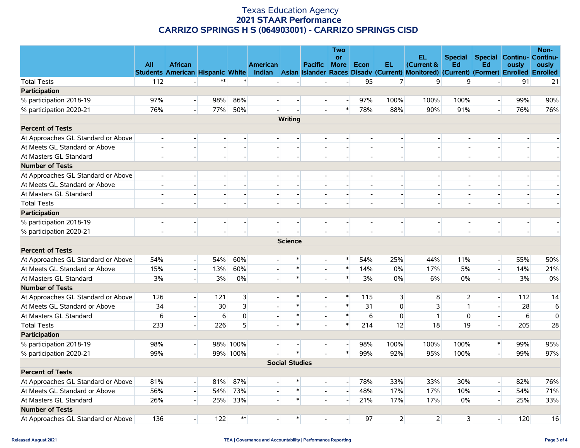#### Texas Education Agency **2021 STAAR Performance CARRIZO SPRINGS H S (064903001) - CARRIZO SPRINGS CISD**

|                                    |              |                                         |                          |                          |                 |                          |                          | <b>Two</b>               |                |                |                                                                                              |                          |                          |                                           | Non-        |
|------------------------------------|--------------|-----------------------------------------|--------------------------|--------------------------|-----------------|--------------------------|--------------------------|--------------------------|----------------|----------------|----------------------------------------------------------------------------------------------|--------------------------|--------------------------|-------------------------------------------|-------------|
|                                    | <b>All</b>   | <b>African</b>                          |                          |                          | <b>American</b> |                          | Pacific                  | <b>or</b><br><b>More</b> | Econ           | EL.            | EL.<br>(Current &                                                                            | <b>Special</b><br>Ed     | Ed                       | <b>Special Continu- Continu-</b><br>ously | ously       |
|                                    |              | <b>Students American Hispanic White</b> |                          |                          |                 |                          |                          |                          |                |                | Indian Asian Islander Races Disady (Current) Monitored) (Current) (Former) Enrolled Enrolled |                          |                          |                                           |             |
| <b>Total Tests</b>                 | 112          |                                         | $***$                    | $\ast$                   |                 |                          |                          |                          | 95             | 7              | 9                                                                                            | 9                        |                          | 91                                        | 21          |
| Participation                      |              |                                         |                          |                          |                 |                          |                          |                          |                |                |                                                                                              |                          |                          |                                           |             |
| % participation 2018-19            | 97%          | $\overline{a}$                          | 98%                      | 86%                      | $\overline{a}$  | $\overline{\phantom{a}}$ | $\overline{a}$           | $\sim$                   | 97%            | 100%           | 100%                                                                                         | 100%                     | $\overline{a}$           | 99%                                       | 90%         |
| % participation 2020-21            | 76%          |                                         | 77%                      | 50%                      |                 |                          |                          | $\ast$                   | 78%            | 88%            | 90%                                                                                          | 91%                      | $\overline{a}$           | 76%                                       | 76%         |
|                                    |              |                                         |                          |                          |                 | Writing                  |                          |                          |                |                |                                                                                              |                          |                          |                                           |             |
| <b>Percent of Tests</b>            |              |                                         |                          |                          |                 |                          |                          |                          |                |                |                                                                                              |                          |                          |                                           |             |
| At Approaches GL Standard or Above |              | $\overline{\phantom{a}}$                |                          | $\overline{\phantom{a}}$ |                 | $\overline{\phantom{a}}$ | $\overline{\phantom{a}}$ |                          | $\blacksquare$ |                |                                                                                              |                          | $\overline{\phantom{a}}$ | $\overline{\phantom{a}}$                  |             |
| At Meets GL Standard or Above      |              |                                         |                          |                          |                 | $\overline{a}$           |                          |                          | $\mathbf{L}$   |                |                                                                                              |                          |                          |                                           |             |
| At Masters GL Standard             | $\mathbf{r}$ | $\overline{a}$                          |                          |                          |                 | $\overline{a}$           |                          |                          | $\mathbf{L}$   |                |                                                                                              | $\overline{a}$           | $\mathbf{L}$             | $\mathbf{E}$                              |             |
| <b>Number of Tests</b>             |              |                                         |                          |                          |                 |                          |                          |                          |                |                |                                                                                              |                          |                          |                                           |             |
| At Approaches GL Standard or Above |              |                                         |                          |                          |                 |                          |                          |                          |                |                |                                                                                              |                          |                          |                                           |             |
| At Meets GL Standard or Above      |              |                                         |                          |                          |                 | $\overline{a}$           |                          |                          |                |                |                                                                                              |                          |                          |                                           |             |
| At Masters GL Standard             |              | $\blacksquare$                          |                          | $\overline{a}$           |                 | $\blacksquare$           | $\blacksquare$           |                          | $\sim$         |                |                                                                                              | $\sim$                   | $\overline{a}$           | $\overline{\phantom{a}}$                  | $\sim$      |
| <b>Total Tests</b>                 |              |                                         |                          |                          |                 |                          |                          |                          |                |                |                                                                                              |                          | $\blacksquare$           |                                           |             |
| Participation                      |              |                                         |                          |                          |                 |                          |                          |                          |                |                |                                                                                              |                          |                          |                                           |             |
| % participation 2018-19            | $\mathbf{r}$ | $\overline{a}$                          | $\overline{\phantom{0}}$ | $\mathbf{E}$             | шI              | $\overline{a}$           | $\overline{a}$           |                          | $\sim$         |                |                                                                                              | $\overline{\phantom{a}}$ | $\overline{a}$           | $\overline{\phantom{a}}$                  |             |
| % participation 2020-21            |              |                                         |                          |                          |                 |                          |                          |                          |                |                |                                                                                              |                          | $\overline{a}$           | $\overline{a}$                            |             |
|                                    |              |                                         |                          |                          |                 | <b>Science</b>           |                          |                          |                |                |                                                                                              |                          |                          |                                           |             |
| <b>Percent of Tests</b>            |              |                                         |                          |                          |                 |                          |                          |                          |                |                |                                                                                              |                          |                          |                                           |             |
| At Approaches GL Standard or Above | 54%          | $\left  - \right $                      | 54%                      | 60%                      |                 | *                        | $\overline{a}$           | $\ast$                   | 54%            | 25%            | 44%                                                                                          | 11%                      | $\overline{a}$           | 55%                                       | 50%         |
| At Meets GL Standard or Above      | 15%          | $\overline{a}$                          | 13%                      | 60%                      |                 | $\ast$                   | Ţ                        | $\ast$                   | 14%            | $0\%$          | 17%                                                                                          | 5%                       | $\mathbf{L}$             | 14%                                       | 21%         |
| At Masters GL Standard             | 3%           | $\overline{a}$                          | 3%                       | 0%                       |                 | $\ast$                   | $\mathbf{L}$             | $\ast$                   | 3%             | 0%             | 6%                                                                                           | 0%                       | $\mathbb{L}$             | 3%                                        | 0%          |
| <b>Number of Tests</b>             |              |                                         |                          |                          |                 |                          |                          |                          |                |                |                                                                                              |                          |                          |                                           |             |
| At Approaches GL Standard or Above | 126          | $\overline{\phantom{a}}$                | 121                      | 3                        |                 |                          |                          | $\ast$                   | 115            | $\mathbf{3}$   | 8                                                                                            | $\overline{2}$           | $\overline{\phantom{0}}$ | 112                                       | 14          |
| At Meets GL Standard or Above      | 34           |                                         | 30                       | $\overline{\mathbf{3}}$  |                 | $\ast$                   | $\mathbf{I}$             | $\ast$                   | 31             | $\mathbf 0$    | 3                                                                                            | $\mathbf{1}$             | $\mathbb{E}[\cdot]$      | 28                                        | $\,$ 6      |
| At Masters GL Standard             | 6            | $\overline{a}$                          | 6                        | $\overline{0}$           |                 | $\ast$                   | $\overline{\phantom{a}}$ | $\ast$                   | 6              | $\mathbf{0}$   | $\mathbf{1}$                                                                                 | 0                        | $\mathbb{L}$             | 6                                         | $\mathbf 0$ |
| <b>Total Tests</b>                 | 233          | $\overline{a}$                          | 226                      | 5                        |                 | $\ast$                   |                          | $\ast$                   | 214            | 12             | 18                                                                                           | 19                       | $\mathbf{L}$             | 205                                       | 28          |
| Participation                      |              |                                         |                          |                          |                 |                          |                          |                          |                |                |                                                                                              |                          |                          |                                           |             |
| % participation 2018-19            | 98%          | $\overline{\phantom{0}}$                |                          | 98% 100%                 |                 |                          | $\overline{a}$           | $\mathbf{L}$             | 98%            | 100%           | 100%                                                                                         | 100%                     | $\ast$                   | 99%                                       | 95%         |
| % participation 2020-21            | 99%          |                                         |                          | 99% 100%                 |                 | $\ast$                   |                          | $\ast$                   | 99%            | 92%            | 95%                                                                                          | 100%                     | $\overline{a}$           | 99%                                       | 97%         |
|                                    |              |                                         |                          |                          |                 | <b>Social Studies</b>    |                          |                          |                |                |                                                                                              |                          |                          |                                           |             |
| <b>Percent of Tests</b>            |              |                                         |                          |                          |                 |                          |                          |                          |                |                |                                                                                              |                          |                          |                                           |             |
| At Approaches GL Standard or Above | 81%          | $\left  - \right $                      | 81%                      | 87%                      |                 | $\ast$                   | $\overline{a}$           | $\overline{\phantom{a}}$ | 78%            | 33%            | 33%                                                                                          | 30%                      | $\overline{a}$           | 82%                                       | 76%         |
| At Meets GL Standard or Above      | 56%          | $\overline{a}$                          | 54%                      | 73%                      |                 | $\ast$                   | $\mathbf{L}$             | $\overline{a}$           | 48%            | 17%            | 17%                                                                                          | 10%                      | $\mathbb{L}$             | 54%                                       | 71%         |
| At Masters GL Standard             | 26%          |                                         | 25%                      | 33%                      |                 | $\ast$                   | $\Box$                   |                          | 21%            | 17%            | 17%                                                                                          | 0%                       | $\mathbb{L}$             | 25%                                       | 33%         |
| <b>Number of Tests</b>             |              |                                         |                          |                          |                 |                          |                          |                          |                |                |                                                                                              |                          |                          |                                           |             |
| At Approaches GL Standard or Above | 136          | $\overline{a}$                          | 122                      | $**$                     |                 | $\ast$                   |                          |                          | 97             | $\overline{2}$ | $\overline{2}$                                                                               | $\overline{\mathbf{3}}$  | $\overline{\phantom{a}}$ | 120                                       | 16          |